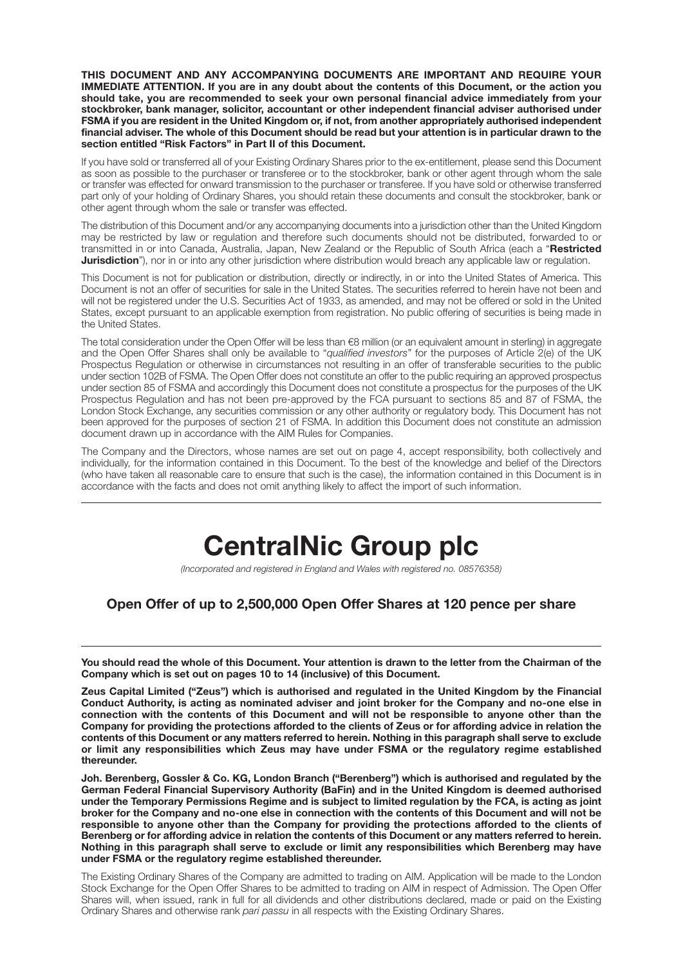**THIS DOCUMENT AND ANY ACCOMPANYING DOCUMENTS ARE IMPORTANT AND REQUIRE YOUR IMMEDIATE ATTENTION. If you are in any doubt about the contents of this Document, or the action you should take, you are recommended to seek your own personal financial advice immediately from your stockbroker, bank manager, solicitor, accountant or other independent financial adviser authorised under FSMA if you are resident in the United Kingdom or, if not, from another appropriately authorised independent financial adviser. The whole of this Document should be read but your attention is in particular drawn to the section entitled "Risk Factors" in Part II of this Document.**

If you have sold or transferred all of your Existing Ordinary Shares prior to the ex-entitlement, please send this Document as soon as possible to the purchaser or transferee or to the stockbroker, bank or other agent through whom the sale or transfer was effected for onward transmission to the purchaser or transferee. If you have sold or otherwise transferred part only of your holding of Ordinary Shares, you should retain these documents and consult the stockbroker, bank or other agent through whom the sale or transfer was effected.

The distribution of this Document and/or any accompanying documents into a jurisdiction other than the United Kingdom may be restricted by law or regulation and therefore such documents should not be distributed, forwarded to or transmitted in or into Canada, Australia, Japan, New Zealand or the Republic of South Africa (each a "**Restricted Jurisdiction**"), nor in or into any other jurisdiction where distribution would breach any applicable law or regulation.

This Document is not for publication or distribution, directly or indirectly, in or into the United States of America. This Document is not an offer of securities for sale in the United States. The securities referred to herein have not been and will not be registered under the U.S. Securities Act of 1933, as amended, and may not be offered or sold in the United States, except pursuant to an applicable exemption from registration. No public offering of securities is being made in the United States.

The total consideration under the Open Offer will be less than €8 million (or an equivalent amount in sterling) in aggregate and the Open Offer Shares shall only be available to "*qualified investors*" for the purposes of Article 2(e) of the UK Prospectus Regulation or otherwise in circumstances not resulting in an offer of transferable securities to the public under section 102B of FSMA. The Open Offer does not constitute an offer to the public requiring an approved prospectus under section 85 of FSMA and accordingly this Document does not constitute a prospectus for the purposes of the UK Prospectus Regulation and has not been pre-approved by the FCA pursuant to sections 85 and 87 of FSMA, the London Stock Exchange, any securities commission or any other authority or regulatory body. This Document has not been approved for the purposes of section 21 of FSMA. In addition this Document does not constitute an admission document drawn up in accordance with the AIM Rules for Companies.

The Company and the Directors, whose names are set out on page 4, accept responsibility, both collectively and individually, for the information contained in this Document. To the best of the knowledge and belief of the Directors (who have taken all reasonable care to ensure that such is the case), the information contained in this Document is in accordance with the facts and does not omit anything likely to affect the import of such information.

# **CentralNic Group plc**

*(Incorporated and registered in England and Wales with registered no. 08576358)*

# **Open Offer of up to 2,500,000 Open Offer Shares at 120 pence per share**

**You should read the whole of this Document. Your attention is drawn to the letter from the Chairman of the Company which is set out on pages 10 to 14 (inclusive) of this Document.**

**Zeus Capital Limited ("Zeus") which is authorised and regulated in the United Kingdom by the Financial Conduct Authority, is acting as nominated adviser and joint broker for the Company and no-one else in connection with the contents of this Document and will not be responsible to anyone other than the Company for providing the protections afforded to the clients of Zeus or for affording advice in relation the contents of this Document or any matters referred to herein. Nothing in this paragraph shall serve to exclude or limit any responsibilities which Zeus may have under FSMA or the regulatory regime established thereunder.**

**Joh. Berenberg, Gossler & Co. KG, London Branch ("Berenberg") which is authorised and regulated by the German Federal Financial Supervisory Authority (BaFin) and in the United Kingdom is deemed authorised under the Temporary Permissions Regime and is subject to limited regulation by the FCA, is acting as joint broker for the Company and no-one else in connection with the contents of this Document and will not be responsible to anyone other than the Company for providing the protections afforded to the clients of Berenberg or for affording advice in relation the contents of this Document or any matters referred to herein. Nothing in this paragraph shall serve to exclude or limit any responsibilities which Berenberg may have under FSMA or the regulatory regime established thereunder.**

The Existing Ordinary Shares of the Company are admitted to trading on AIM. Application will be made to the London Stock Exchange for the Open Offer Shares to be admitted to trading on AIM in respect of Admission. The Open Offer Shares will, when issued, rank in full for all dividends and other distributions declared, made or paid on the Existing Ordinary Shares and otherwise rank *pari passu* in all respects with the Existing Ordinary Shares.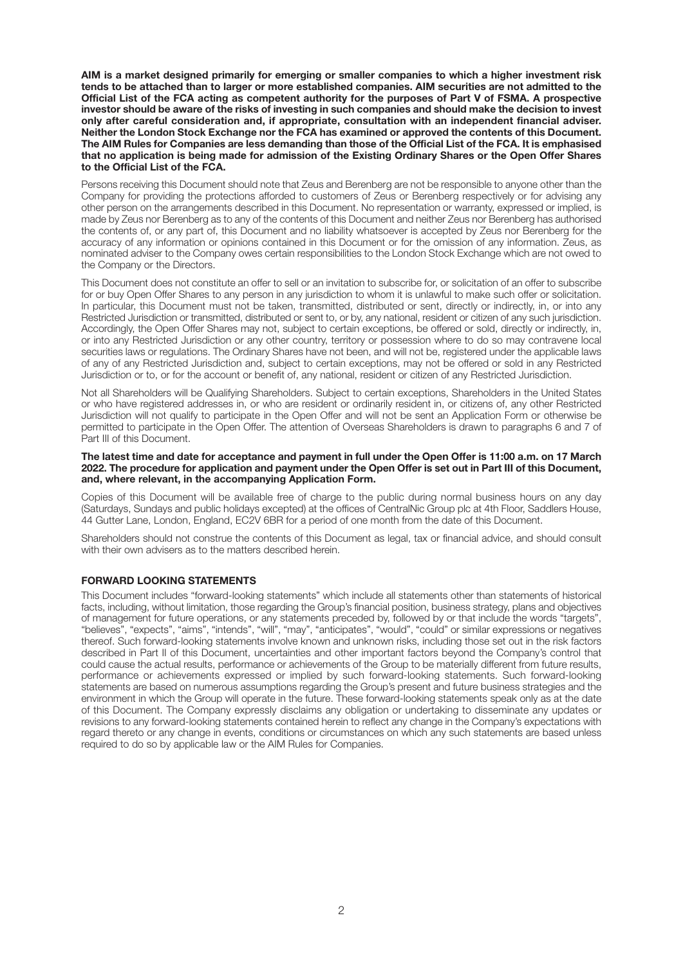**AIM is a market designed primarily for emerging or smaller companies to which a higher investment risk tends to be attached than to larger or more established companies. AIM securities are not admitted to the Official List of the FCA acting as competent authority for the purposes of Part V of FSMA. A prospective investor should be aware of the risks of investing in such companies and should make the decision to invest only after careful consideration and, if appropriate, consultation with an independent financial adviser. Neither the London Stock Exchange nor the FCA has examined or approved the contents of this Document. The AIM Rules for Companies are less demanding than those of the Official List of the FCA. It is emphasised that no application is being made for admission of the Existing Ordinary Shares or the Open Offer Shares to the Official List of the FCA.**

Persons receiving this Document should note that Zeus and Berenberg are not be responsible to anyone other than the Company for providing the protections afforded to customers of Zeus or Berenberg respectively or for advising any other person on the arrangements described in this Document. No representation or warranty, expressed or implied, is made by Zeus nor Berenberg as to any of the contents of this Document and neither Zeus nor Berenberg has authorised the contents of, or any part of, this Document and no liability whatsoever is accepted by Zeus nor Berenberg for the accuracy of any information or opinions contained in this Document or for the omission of any information. Zeus, as nominated adviser to the Company owes certain responsibilities to the London Stock Exchange which are not owed to the Company or the Directors.

This Document does not constitute an offer to sell or an invitation to subscribe for, or solicitation of an offer to subscribe for or buy Open Offer Shares to any person in any jurisdiction to whom it is unlawful to make such offer or solicitation. In particular, this Document must not be taken, transmitted, distributed or sent, directly or indirectly, in, or into any Restricted Jurisdiction or transmitted, distributed or sent to, or by, any national, resident or citizen of any such jurisdiction. Accordingly, the Open Offer Shares may not, subject to certain exceptions, be offered or sold, directly or indirectly, in, or into any Restricted Jurisdiction or any other country, territory or possession where to do so may contravene local securities laws or regulations. The Ordinary Shares have not been, and will not be, registered under the applicable laws of any of any Restricted Jurisdiction and, subject to certain exceptions, may not be offered or sold in any Restricted Jurisdiction or to, or for the account or benefit of, any national, resident or citizen of any Restricted Jurisdiction.

Not all Shareholders will be Qualifying Shareholders. Subject to certain exceptions, Shareholders in the United States or who have registered addresses in, or who are resident or ordinarily resident in, or citizens of, any other Restricted Jurisdiction will not qualify to participate in the Open Offer and will not be sent an Application Form or otherwise be permitted to participate in the Open Offer. The attention of Overseas Shareholders is drawn to paragraphs 6 and 7 of Part III of this Document.

#### **The latest time and date for acceptance and payment in full under the Open Offer is 11:00 a.m. on 17 March 2022. The procedure for application and payment under the Open Offer is set out in Part III of this Document, and, where relevant, in the accompanying Application Form.**

Copies of this Document will be available free of charge to the public during normal business hours on any day (Saturdays, Sundays and public holidays excepted) at the offices of CentralNic Group plc at 4th Floor, Saddlers House, 44 Gutter Lane, London, England, EC2V 6BR for a period of one month from the date of this Document.

Shareholders should not construe the contents of this Document as legal, tax or financial advice, and should consult with their own advisers as to the matters described herein.

#### **FORWARD LOOKING STATEMENTS**

This Document includes "forward-looking statements" which include all statements other than statements of historical facts, including, without limitation, those regarding the Group's financial position, business strategy, plans and objectives of management for future operations, or any statements preceded by, followed by or that include the words "targets", "believes", "expects", "aims", "intends", "will", "may", "anticipates", "would", "could" or similar expressions or negatives thereof. Such forward-looking statements involve known and unknown risks, including those set out in the risk factors described in Part II of this Document, uncertainties and other important factors beyond the Company's control that could cause the actual results, performance or achievements of the Group to be materially different from future results, performance or achievements expressed or implied by such forward-looking statements. Such forward-looking statements are based on numerous assumptions regarding the Group's present and future business strategies and the environment in which the Group will operate in the future. These forward-looking statements speak only as at the date of this Document. The Company expressly disclaims any obligation or undertaking to disseminate any updates or revisions to any forward-looking statements contained herein to reflect any change in the Company's expectations with regard thereto or any change in events, conditions or circumstances on which any such statements are based unless required to do so by applicable law or the AIM Rules for Companies.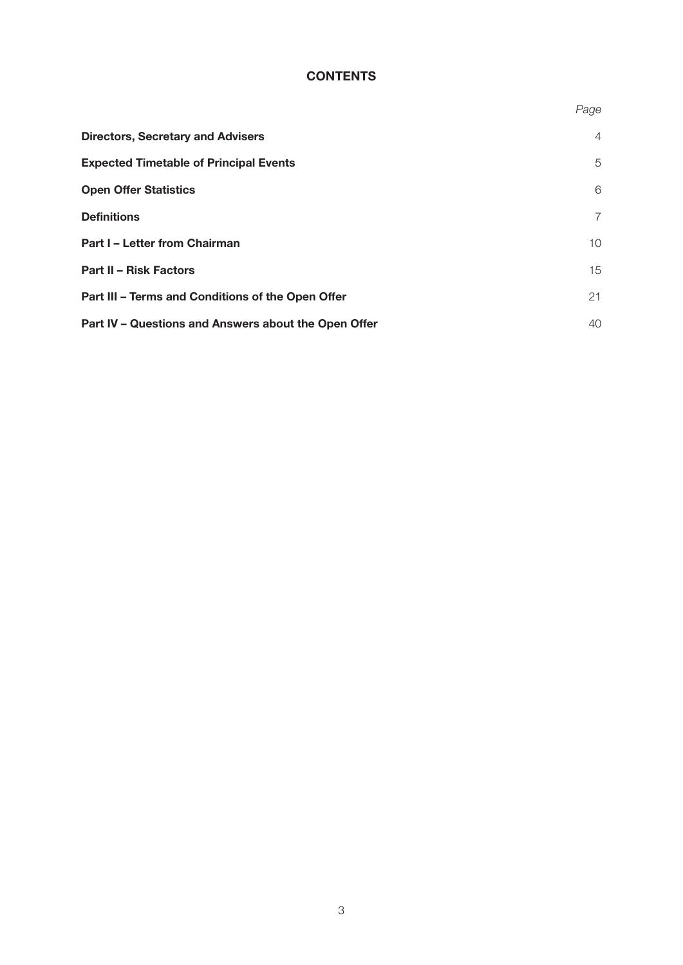# **CONTENTS**

|                                                      | Page           |
|------------------------------------------------------|----------------|
| <b>Directors, Secretary and Advisers</b>             | $\overline{4}$ |
| <b>Expected Timetable of Principal Events</b>        | 5              |
| <b>Open Offer Statistics</b>                         | 6              |
| <b>Definitions</b>                                   | $\overline{7}$ |
| <b>Part I - Letter from Chairman</b>                 | 10             |
| <b>Part II - Risk Factors</b>                        | 15             |
| Part III - Terms and Conditions of the Open Offer    | 21             |
| Part IV - Questions and Answers about the Open Offer | 40             |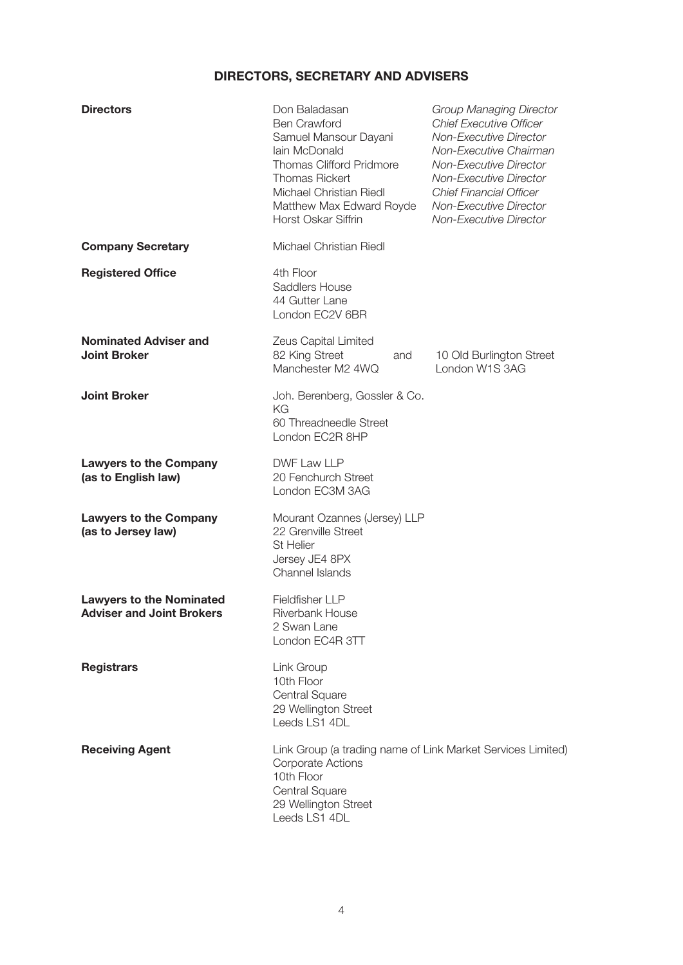# **DIRECTORS, SECRETARY AND ADVISERS**

| <b>Directors</b>                                                    | Don Baladasan<br><b>Ben Crawford</b><br>Samuel Mansour Dayani<br>lain McDonald<br><b>Thomas Clifford Pridmore</b><br><b>Thomas Rickert</b><br>Michael Christian Riedl<br>Matthew Max Edward Royde<br>Horst Oskar Siffrin | <b>Group Managing Director</b><br><b>Chief Executive Officer</b><br><b>Non-Executive Director</b><br>Non-Executive Chairman<br><b>Non-Executive Director</b><br><b>Non-Executive Director</b><br><b>Chief Financial Officer</b><br><b>Non-Executive Director</b><br><b>Non-Executive Director</b> |
|---------------------------------------------------------------------|--------------------------------------------------------------------------------------------------------------------------------------------------------------------------------------------------------------------------|---------------------------------------------------------------------------------------------------------------------------------------------------------------------------------------------------------------------------------------------------------------------------------------------------|
| <b>Company Secretary</b>                                            | Michael Christian Riedl                                                                                                                                                                                                  |                                                                                                                                                                                                                                                                                                   |
| <b>Registered Office</b>                                            | 4th Floor<br><b>Saddlers House</b><br>44 Gutter Lane<br>London EC2V 6BR                                                                                                                                                  |                                                                                                                                                                                                                                                                                                   |
| <b>Nominated Adviser and</b><br><b>Joint Broker</b>                 | Zeus Capital Limited<br>82 King Street<br>and<br>Manchester M2 4WQ                                                                                                                                                       | 10 Old Burlington Street<br>London W1S 3AG                                                                                                                                                                                                                                                        |
| <b>Joint Broker</b>                                                 | Joh. Berenberg, Gossler & Co.<br>KG<br>60 Threadneedle Street<br>London EC2R 8HP                                                                                                                                         |                                                                                                                                                                                                                                                                                                   |
| <b>Lawyers to the Company</b><br>(as to English law)                | DWF Law LLP<br>20 Fenchurch Street<br>London EC3M 3AG                                                                                                                                                                    |                                                                                                                                                                                                                                                                                                   |
| <b>Lawyers to the Company</b><br>(as to Jersey law)                 | Mourant Ozannes (Jersey) LLP<br>22 Grenville Street<br><b>St Helier</b><br>Jersey JE4 8PX<br>Channel Islands                                                                                                             |                                                                                                                                                                                                                                                                                                   |
| <b>Lawyers to the Nominated</b><br><b>Adviser and Joint Brokers</b> | <b>Fieldfisher LLP</b><br>Riverbank House<br>2 Swan Lane<br>London EC4R 3TT                                                                                                                                              |                                                                                                                                                                                                                                                                                                   |
| <b>Registrars</b>                                                   | Link Group<br>10th Floor<br>Central Square<br>29 Wellington Street<br>Leeds LS1 4DL                                                                                                                                      |                                                                                                                                                                                                                                                                                                   |
| <b>Receiving Agent</b>                                              | Link Group (a trading name of Link Market Services Limited)<br><b>Corporate Actions</b><br>10th Floor<br>Central Square<br>29 Wellington Street<br>Leeds LS1 4DL                                                         |                                                                                                                                                                                                                                                                                                   |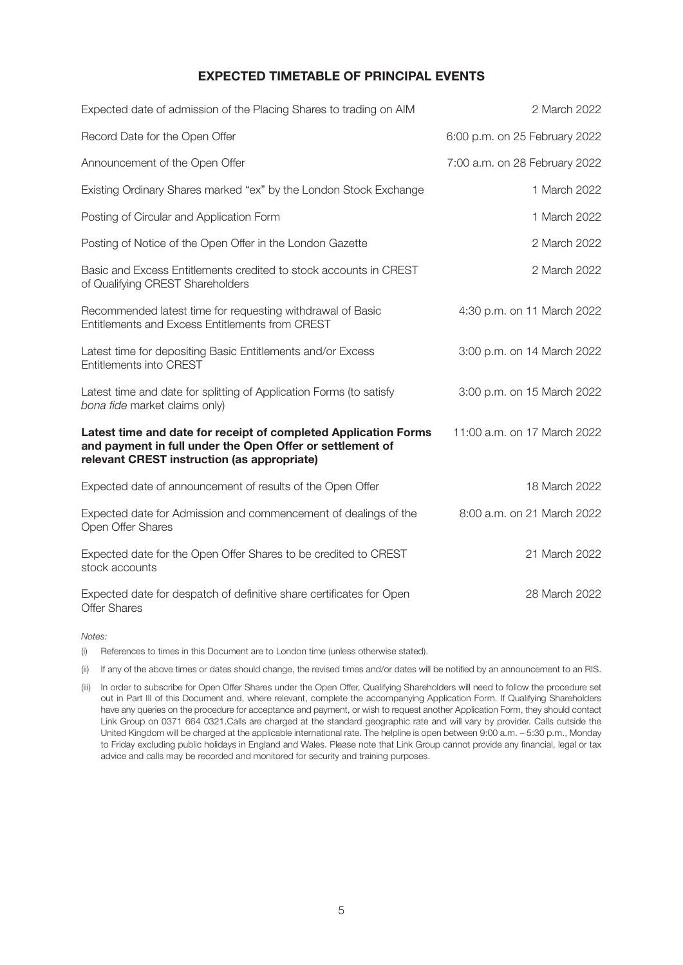# **EXPECTED TIMETABLE OF PRINCIPAL EVENTS**

| Expected date of admission of the Placing Shares to trading on AIM                                                                                                          | 2 March 2022                  |
|-----------------------------------------------------------------------------------------------------------------------------------------------------------------------------|-------------------------------|
| Record Date for the Open Offer                                                                                                                                              | 6:00 p.m. on 25 February 2022 |
| Announcement of the Open Offer                                                                                                                                              | 7:00 a.m. on 28 February 2022 |
| Existing Ordinary Shares marked "ex" by the London Stock Exchange                                                                                                           | 1 March 2022                  |
| Posting of Circular and Application Form                                                                                                                                    | 1 March 2022                  |
| Posting of Notice of the Open Offer in the London Gazette                                                                                                                   | 2 March 2022                  |
| Basic and Excess Entitlements credited to stock accounts in CREST<br>of Qualifying CREST Shareholders                                                                       | 2 March 2022                  |
| Recommended latest time for requesting withdrawal of Basic<br>Entitlements and Excess Entitlements from CREST                                                               | 4:30 p.m. on 11 March 2022    |
| Latest time for depositing Basic Entitlements and/or Excess<br><b>Entitlements into CREST</b>                                                                               | 3:00 p.m. on 14 March 2022    |
| Latest time and date for splitting of Application Forms (to satisfy<br>bona fide market claims only)                                                                        | 3:00 p.m. on 15 March 2022    |
| Latest time and date for receipt of completed Application Forms<br>and payment in full under the Open Offer or settlement of<br>relevant CREST instruction (as appropriate) | 11:00 a.m. on 17 March 2022   |
| Expected date of announcement of results of the Open Offer                                                                                                                  | 18 March 2022                 |
| Expected date for Admission and commencement of dealings of the<br>Open Offer Shares                                                                                        | 8:00 a.m. on 21 March 2022    |
| Expected date for the Open Offer Shares to be credited to CREST<br>stock accounts                                                                                           | 21 March 2022                 |
| Expected date for despatch of definitive share certificates for Open<br><b>Offer Shares</b>                                                                                 | 28 March 2022                 |

*Notes:*

(i) References to times in this Document are to London time (unless otherwise stated).

(ii) If any of the above times or dates should change, the revised times and/or dates will be notified by an announcement to an RIS.

(iii) In order to subscribe for Open Offer Shares under the Open Offer, Qualifying Shareholders will need to follow the procedure set out in Part III of this Document and, where relevant, complete the accompanying Application Form. If Qualifying Shareholders have any queries on the procedure for acceptance and payment, or wish to request another Application Form, they should contact Link Group on 0371 664 0321.Calls are charged at the standard geographic rate and will vary by provider. Calls outside the United Kingdom will be charged at the applicable international rate. The helpline is open between 9:00 a.m. – 5:30 p.m., Monday to Friday excluding public holidays in England and Wales. Please note that Link Group cannot provide any financial, legal or tax advice and calls may be recorded and monitored for security and training purposes.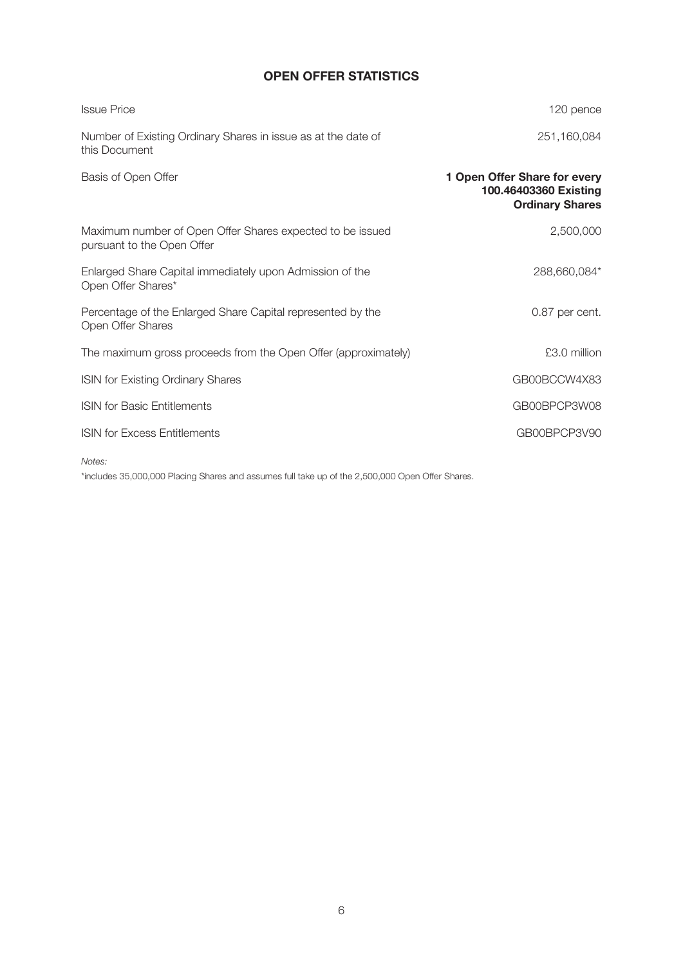# **OPEN OFFER STATISTICS**

| <b>Issue Price</b>                                                                      | 120 pence                                                                       |
|-----------------------------------------------------------------------------------------|---------------------------------------------------------------------------------|
| Number of Existing Ordinary Shares in issue as at the date of<br>this Document          | 251,160,084                                                                     |
| Basis of Open Offer                                                                     | 1 Open Offer Share for every<br>100.46403360 Existing<br><b>Ordinary Shares</b> |
| Maximum number of Open Offer Shares expected to be issued<br>pursuant to the Open Offer | 2,500,000                                                                       |
| Enlarged Share Capital immediately upon Admission of the<br>Open Offer Shares*          | 288,660,084*                                                                    |
| Percentage of the Enlarged Share Capital represented by the<br>Open Offer Shares        | 0.87 per cent.                                                                  |
| The maximum gross proceeds from the Open Offer (approximately)                          | £3.0 million                                                                    |
| <b>ISIN for Existing Ordinary Shares</b>                                                | GB00BCCW4X83                                                                    |
| <b>ISIN for Basic Entitlements</b>                                                      | GB00BPCP3W08                                                                    |
| <b>ISIN for Excess Entitlements</b>                                                     | GB00BPCP3V90                                                                    |

*Notes:*

\*includes 35,000,000 Placing Shares and assumes full take up of the 2,500,000 Open Offer Shares.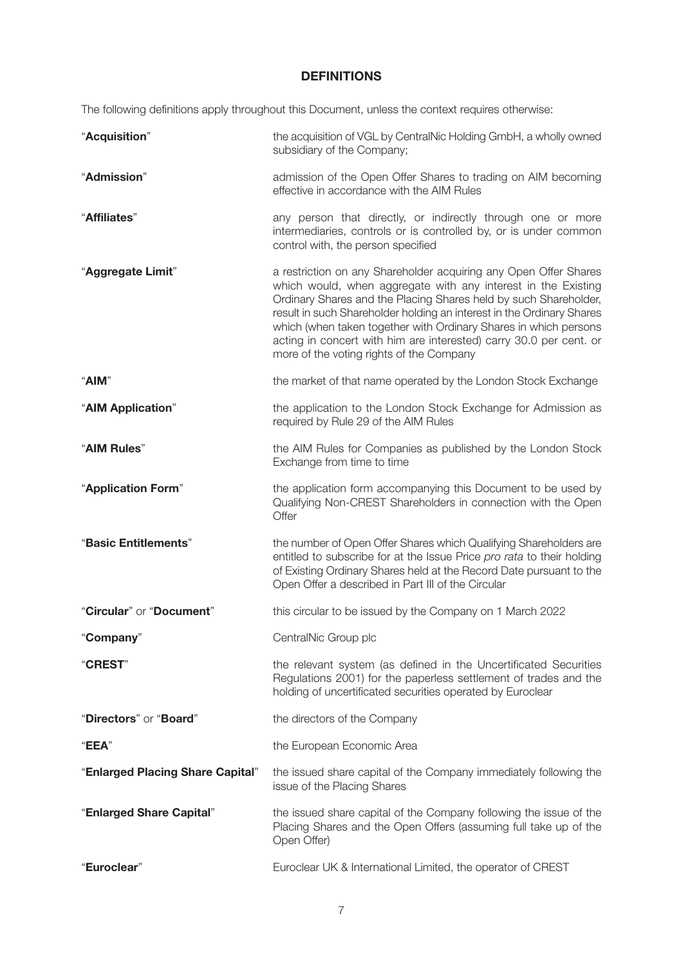# **DEFINITIONS**

The following definitions apply throughout this Document, unless the context requires otherwise:

| "Acquisition"                    | the acquisition of VGL by CentralNic Holding GmbH, a wholly owned<br>subsidiary of the Company;                                                                                                                                                                                                                                                                                                                                                                      |
|----------------------------------|----------------------------------------------------------------------------------------------------------------------------------------------------------------------------------------------------------------------------------------------------------------------------------------------------------------------------------------------------------------------------------------------------------------------------------------------------------------------|
| "Admission"                      | admission of the Open Offer Shares to trading on AIM becoming<br>effective in accordance with the AIM Rules                                                                                                                                                                                                                                                                                                                                                          |
| "Affiliates"                     | any person that directly, or indirectly through one or more<br>intermediaries, controls or is controlled by, or is under common<br>control with, the person specified                                                                                                                                                                                                                                                                                                |
| "Aggregate Limit"                | a restriction on any Shareholder acquiring any Open Offer Shares<br>which would, when aggregate with any interest in the Existing<br>Ordinary Shares and the Placing Shares held by such Shareholder,<br>result in such Shareholder holding an interest in the Ordinary Shares<br>which (when taken together with Ordinary Shares in which persons<br>acting in concert with him are interested) carry 30.0 per cent. or<br>more of the voting rights of the Company |
| "AIM"                            | the market of that name operated by the London Stock Exchange                                                                                                                                                                                                                                                                                                                                                                                                        |
| "AIM Application"                | the application to the London Stock Exchange for Admission as<br>required by Rule 29 of the AIM Rules                                                                                                                                                                                                                                                                                                                                                                |
| "AIM Rules"                      | the AIM Rules for Companies as published by the London Stock<br>Exchange from time to time                                                                                                                                                                                                                                                                                                                                                                           |
| "Application Form"               | the application form accompanying this Document to be used by<br>Qualifying Non-CREST Shareholders in connection with the Open<br>Offer                                                                                                                                                                                                                                                                                                                              |
| "Basic Entitlements"             | the number of Open Offer Shares which Qualifying Shareholders are<br>entitled to subscribe for at the Issue Price pro rata to their holding<br>of Existing Ordinary Shares held at the Record Date pursuant to the<br>Open Offer a described in Part III of the Circular                                                                                                                                                                                             |
| "Circular" or "Document"         | this circular to be issued by the Company on 1 March 2022                                                                                                                                                                                                                                                                                                                                                                                                            |
| "Company"                        | CentralNic Group plc                                                                                                                                                                                                                                                                                                                                                                                                                                                 |
| "CREST"                          | the relevant system (as defined in the Uncertificated Securities<br>Regulations 2001) for the paperless settlement of trades and the<br>holding of uncertificated securities operated by Euroclear                                                                                                                                                                                                                                                                   |
| "Directors" or "Board"           | the directors of the Company                                                                                                                                                                                                                                                                                                                                                                                                                                         |
| "EEA"                            | the European Economic Area                                                                                                                                                                                                                                                                                                                                                                                                                                           |
| "Enlarged Placing Share Capital" | the issued share capital of the Company immediately following the<br>issue of the Placing Shares                                                                                                                                                                                                                                                                                                                                                                     |
| "Enlarged Share Capital"         | the issued share capital of the Company following the issue of the<br>Placing Shares and the Open Offers (assuming full take up of the<br>Open Offer)                                                                                                                                                                                                                                                                                                                |
| "Euroclear"                      | Euroclear UK & International Limited, the operator of CREST                                                                                                                                                                                                                                                                                                                                                                                                          |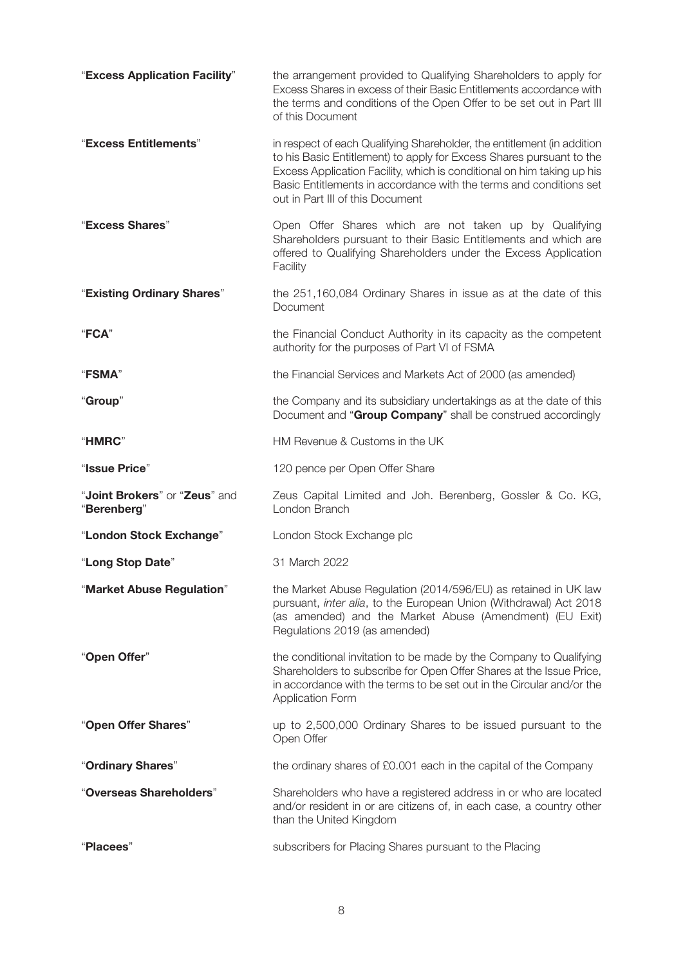| "Excess Application Facility"                | the arrangement provided to Qualifying Shareholders to apply for<br>Excess Shares in excess of their Basic Entitlements accordance with<br>the terms and conditions of the Open Offer to be set out in Part III<br>of this Document                                                                                                 |
|----------------------------------------------|-------------------------------------------------------------------------------------------------------------------------------------------------------------------------------------------------------------------------------------------------------------------------------------------------------------------------------------|
| "Excess Entitlements"                        | in respect of each Qualifying Shareholder, the entitlement (in addition<br>to his Basic Entitlement) to apply for Excess Shares pursuant to the<br>Excess Application Facility, which is conditional on him taking up his<br>Basic Entitlements in accordance with the terms and conditions set<br>out in Part III of this Document |
| "Excess Shares"                              | Open Offer Shares which are not taken up by Qualifying<br>Shareholders pursuant to their Basic Entitlements and which are<br>offered to Qualifying Shareholders under the Excess Application<br>Facility                                                                                                                            |
| "Existing Ordinary Shares"                   | the 251,160,084 Ordinary Shares in issue as at the date of this<br>Document                                                                                                                                                                                                                                                         |
| "FCA"                                        | the Financial Conduct Authority in its capacity as the competent<br>authority for the purposes of Part VI of FSMA                                                                                                                                                                                                                   |
| "FSMA"                                       | the Financial Services and Markets Act of 2000 (as amended)                                                                                                                                                                                                                                                                         |
| "Group"                                      | the Company and its subsidiary undertakings as at the date of this<br>Document and "Group Company" shall be construed accordingly                                                                                                                                                                                                   |
| "HMRC"                                       | HM Revenue & Customs in the UK                                                                                                                                                                                                                                                                                                      |
| "Issue Price"                                | 120 pence per Open Offer Share                                                                                                                                                                                                                                                                                                      |
| "Joint Brokers" or "Zeus" and<br>"Berenberg" | Zeus Capital Limited and Joh. Berenberg, Gossler & Co. KG,<br>London Branch                                                                                                                                                                                                                                                         |
| "London Stock Exchange"                      | London Stock Exchange plc                                                                                                                                                                                                                                                                                                           |
| "Long Stop Date"                             | 31 March 2022                                                                                                                                                                                                                                                                                                                       |
| "Market Abuse Regulation"                    | the Market Abuse Regulation (2014/596/EU) as retained in UK law<br>pursuant, inter alia, to the European Union (Withdrawal) Act 2018<br>(as amended) and the Market Abuse (Amendment) (EU Exit)<br>Regulations 2019 (as amended)                                                                                                    |
| "Open Offer"                                 | the conditional invitation to be made by the Company to Qualifying<br>Shareholders to subscribe for Open Offer Shares at the Issue Price,<br>in accordance with the terms to be set out in the Circular and/or the<br><b>Application Form</b>                                                                                       |
| "Open Offer Shares"                          | up to 2,500,000 Ordinary Shares to be issued pursuant to the<br>Open Offer                                                                                                                                                                                                                                                          |
| "Ordinary Shares"                            | the ordinary shares of £0.001 each in the capital of the Company                                                                                                                                                                                                                                                                    |
| "Overseas Shareholders"                      | Shareholders who have a registered address in or who are located<br>and/or resident in or are citizens of, in each case, a country other<br>than the United Kingdom                                                                                                                                                                 |
| "Placees"                                    | subscribers for Placing Shares pursuant to the Placing                                                                                                                                                                                                                                                                              |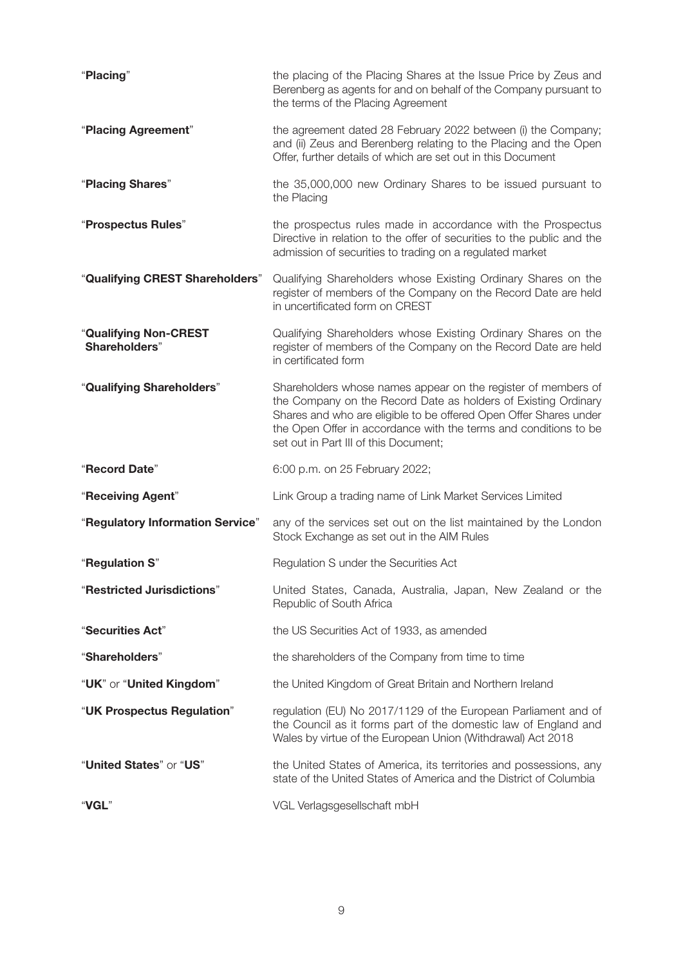| "Placing"                              | the placing of the Placing Shares at the Issue Price by Zeus and<br>Berenberg as agents for and on behalf of the Company pursuant to<br>the terms of the Placing Agreement                                                                                                                                        |
|----------------------------------------|-------------------------------------------------------------------------------------------------------------------------------------------------------------------------------------------------------------------------------------------------------------------------------------------------------------------|
| "Placing Agreement"                    | the agreement dated 28 February 2022 between (i) the Company;<br>and (ii) Zeus and Berenberg relating to the Placing and the Open<br>Offer, further details of which are set out in this Document                                                                                                                 |
| "Placing Shares"                       | the 35,000,000 new Ordinary Shares to be issued pursuant to<br>the Placing                                                                                                                                                                                                                                        |
| "Prospectus Rules"                     | the prospectus rules made in accordance with the Prospectus<br>Directive in relation to the offer of securities to the public and the<br>admission of securities to trading on a regulated market                                                                                                                 |
| "Qualifying CREST Shareholders"        | Qualifying Shareholders whose Existing Ordinary Shares on the<br>register of members of the Company on the Record Date are held<br>in uncertificated form on CREST                                                                                                                                                |
| "Qualifying Non-CREST<br>Shareholders" | Qualifying Shareholders whose Existing Ordinary Shares on the<br>register of members of the Company on the Record Date are held<br>in certificated form                                                                                                                                                           |
| "Qualifying Shareholders"              | Shareholders whose names appear on the register of members of<br>the Company on the Record Date as holders of Existing Ordinary<br>Shares and who are eligible to be offered Open Offer Shares under<br>the Open Offer in accordance with the terms and conditions to be<br>set out in Part III of this Document; |
| "Record Date"                          | 6:00 p.m. on 25 February 2022;                                                                                                                                                                                                                                                                                    |
| "Receiving Agent"                      | Link Group a trading name of Link Market Services Limited                                                                                                                                                                                                                                                         |
| "Regulatory Information Service"       | any of the services set out on the list maintained by the London<br>Stock Exchange as set out in the AIM Rules                                                                                                                                                                                                    |
| "Regulation S"                         | Regulation S under the Securities Act                                                                                                                                                                                                                                                                             |
| "Restricted Jurisdictions"             | United States, Canada, Australia, Japan, New Zealand or the<br>Republic of South Africa                                                                                                                                                                                                                           |
| "Securities Act"                       | the US Securities Act of 1933, as amended                                                                                                                                                                                                                                                                         |
| "Shareholders"                         | the shareholders of the Company from time to time                                                                                                                                                                                                                                                                 |
| "UK" or "United Kingdom"               | the United Kingdom of Great Britain and Northern Ireland                                                                                                                                                                                                                                                          |
| "UK Prospectus Regulation"             | regulation (EU) No 2017/1129 of the European Parliament and of<br>the Council as it forms part of the domestic law of England and<br>Wales by virtue of the European Union (Withdrawal) Act 2018                                                                                                                  |
| "United States" or "US"                | the United States of America, its territories and possessions, any<br>state of the United States of America and the District of Columbia                                                                                                                                                                          |
| "VGL"                                  | VGL Verlagsgesellschaft mbH                                                                                                                                                                                                                                                                                       |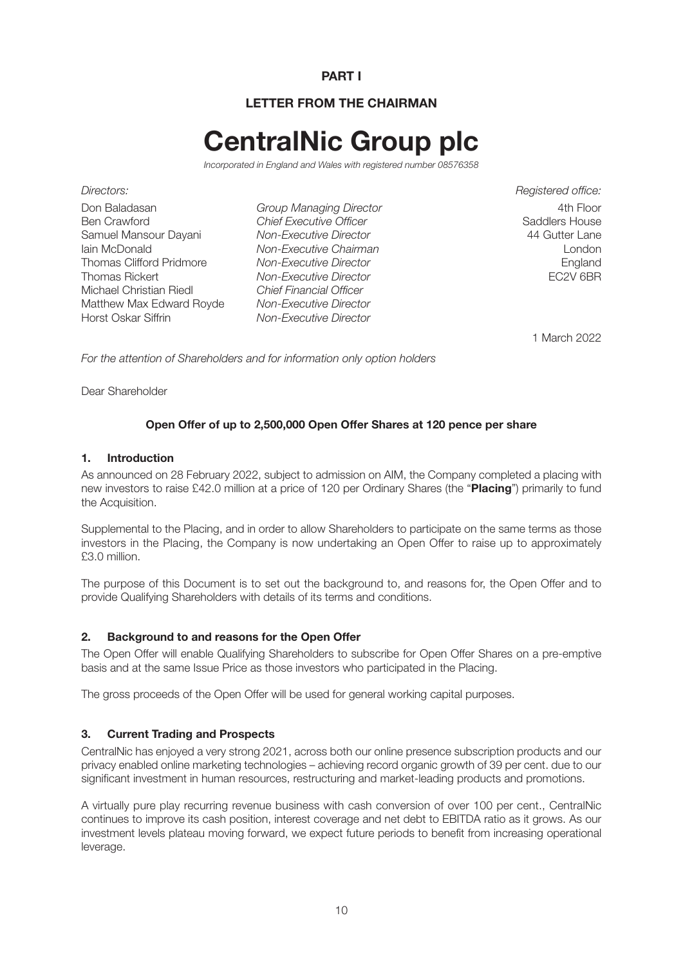# **PART I**

# **LETTER FROM THE CHAIRMAN**

# **CentralNic Group plc**

*Incorporated in England and Wales with registered number 08576358*

*Directors: Registered office:* Don Baladasan *Group Managing Director* 4th Floor Samuel Mansour Dayani *Non-Executive Director* 44 Gutter Lane Thomas Clifford Pridmore *Non-Executive Director*<br>Thomas Rickert *Non-Executive Director* **England** FC2V 6BR Michael Christian Riedl *Chief Financial Officer* Matthew Max Edward Royde *Non-Executive Director*

**Chief Executive Officer**<br>Non-Executive Director Iain Mon-Executive Chairman<br>
Iain Mon-Executive Director<br>
Install *Non-Executive Director* **Non-Executive Director Non-Executive Director** 

1 March 2022

*For the attention of Shareholders and for information only option holders*

Dear Shareholder

# **Open Offer of up to 2,500,000 Open Offer Shares at 120 pence per share**

#### **1. Introduction**

As announced on 28 February 2022, subject to admission on AIM, the Company completed a placing with new investors to raise £42.0 million at a price of 120 per Ordinary Shares (the "**Placing**") primarily to fund the Acquisition.

Supplemental to the Placing, and in order to allow Shareholders to participate on the same terms as those investors in the Placing, the Company is now undertaking an Open Offer to raise up to approximately £3.0 million.

The purpose of this Document is to set out the background to, and reasons for, the Open Offer and to provide Qualifying Shareholders with details of its terms and conditions.

#### **2. Background to and reasons for the Open Offer**

The Open Offer will enable Qualifying Shareholders to subscribe for Open Offer Shares on a pre-emptive basis and at the same Issue Price as those investors who participated in the Placing.

The gross proceeds of the Open Offer will be used for general working capital purposes.

#### **3. Current Trading and Prospects**

CentralNic has enjoyed a very strong 2021, across both our online presence subscription products and our privacy enabled online marketing technologies – achieving record organic growth of 39 per cent. due to our significant investment in human resources, restructuring and market-leading products and promotions.

A virtually pure play recurring revenue business with cash conversion of over 100 per cent., CentralNic continues to improve its cash position, interest coverage and net debt to EBITDA ratio as it grows. As our investment levels plateau moving forward, we expect future periods to benefit from increasing operational leverage.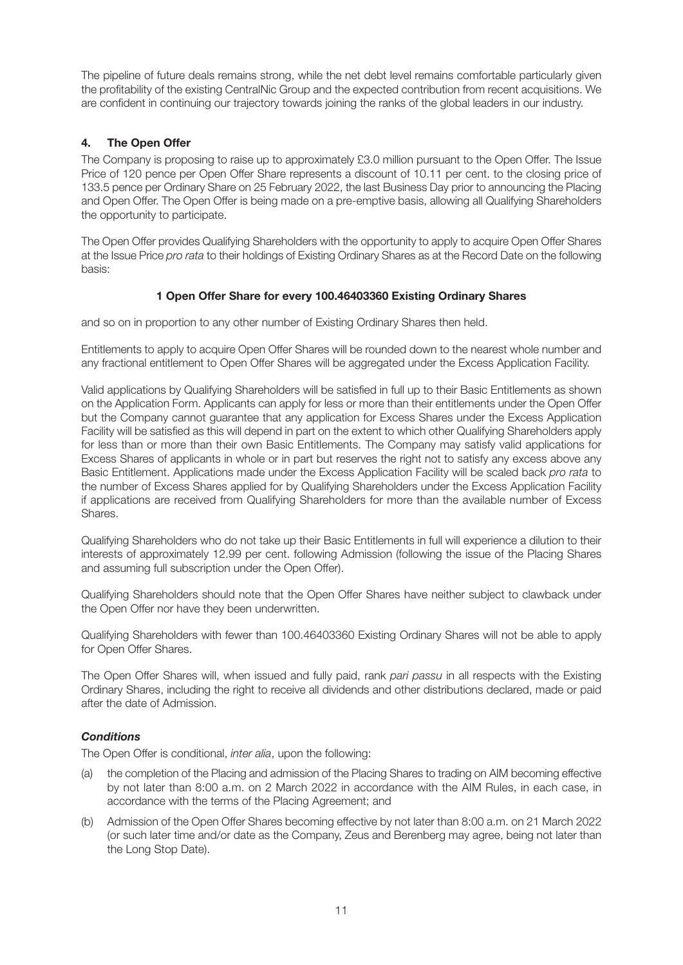The pipeline of future deals remains strong, while the net debt level remains comfortable particularly given the profitability of the existing CentralNic Group and the expected contribution from recent acquisitions. We are confident in continuing our trajectory towards joining the ranks of the global leaders in our industry.

# **4. The Open Offer**

The Company is proposing to raise up to approximately £3.0 million pursuant to the Open Offer. The Issue Price of 120 pence per Open Offer Share represents a discount of 10.11 per cent. to the closing price of 133.5 pence per Ordinary Share on 25 February 2022, the last Business Day prior to announcing the Placing and Open Offer. The Open Offer is being made on a pre-emptive basis, allowing all Qualifying Shareholders the opportunity to participate.

The Open Offer provides Qualifying Shareholders with the opportunity to apply to acquire Open Offer Shares at the Issue Price *pro rata* to their holdings of Existing Ordinary Shares as at the Record Date on the following basis:

# **1 Open Offer Share for every 100.46403360 Existing Ordinary Shares**

and so on in proportion to any other number of Existing Ordinary Shares then held.

Entitlements to apply to acquire Open Offer Shares will be rounded down to the nearest whole number and any fractional entitlement to Open Offer Shares will be aggregated under the Excess Application Facility.

Valid applications by Qualifying Shareholders will be satisfied in full up to their Basic Entitlements as shown on the Application Form. Applicants can apply for less or more than their entitlements under the Open Offer but the Company cannot guarantee that any application for Excess Shares under the Excess Application Facility will be satisfied as this will depend in part on the extent to which other Qualifying Shareholders apply for less than or more than their own Basic Entitlements. The Company may satisfy valid applications for Excess Shares of applicants in whole or in part but reserves the right not to satisfy any excess above any Basic Entitlement. Applications made under the Excess Application Facility will be scaled back *pro rata* to the number of Excess Shares applied for by Qualifying Shareholders under the Excess Application Facility if applications are received from Qualifying Shareholders for more than the available number of Excess Shares.

Qualifying Shareholders who do not take up their Basic Entitlements in full will experience a dilution to their interests of approximately 12.99 per cent. following Admission (following the issue of the Placing Shares and assuming full subscription under the Open Offer).

Qualifying Shareholders should note that the Open Offer Shares have neither subject to clawback under the Open Offer nor have they been underwritten.

Qualifying Shareholders with fewer than 100.46403360 Existing Ordinary Shares will not be able to apply for Open Offer Shares.

The Open Offer Shares will, when issued and fully paid, rank *pari passu* in all respects with the Existing Ordinary Shares, including the right to receive all dividends and other distributions declared, made or paid after the date of Admission.

# *Conditions*

The Open Offer is conditional, *inter alia*, upon the following:

- (a) the completion of the Placing and admission of the Placing Shares to trading on AIM becoming effective by not later than 8:00 a.m. on 2 March 2022 in accordance with the AIM Rules, in each case, in accordance with the terms of the Placing Agreement; and
- (b) Admission of the Open Offer Shares becoming effective by not later than 8:00 a.m. on 21 March 2022 (or such later time and/or date as the Company, Zeus and Berenberg may agree, being not later than the Long Stop Date).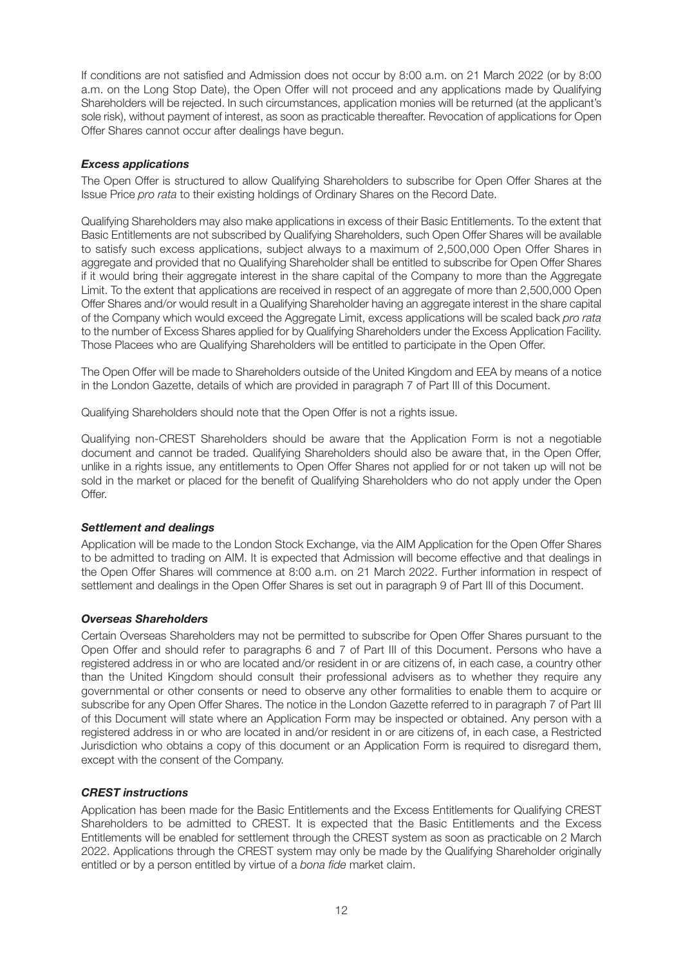If conditions are not satisfied and Admission does not occur by 8:00 a.m. on 21 March 2022 (or by 8:00 a.m. on the Long Stop Date), the Open Offer will not proceed and any applications made by Qualifying Shareholders will be rejected. In such circumstances, application monies will be returned (at the applicant's sole risk), without payment of interest, as soon as practicable thereafter. Revocation of applications for Open Offer Shares cannot occur after dealings have begun.

## *Excess applications*

The Open Offer is structured to allow Qualifying Shareholders to subscribe for Open Offer Shares at the Issue Price *pro rata* to their existing holdings of Ordinary Shares on the Record Date.

Qualifying Shareholders may also make applications in excess of their Basic Entitlements. To the extent that Basic Entitlements are not subscribed by Qualifying Shareholders, such Open Offer Shares will be available to satisfy such excess applications, subject always to a maximum of 2,500,000 Open Offer Shares in aggregate and provided that no Qualifying Shareholder shall be entitled to subscribe for Open Offer Shares if it would bring their aggregate interest in the share capital of the Company to more than the Aggregate Limit. To the extent that applications are received in respect of an aggregate of more than 2,500,000 Open Offer Shares and/or would result in a Qualifying Shareholder having an aggregate interest in the share capital of the Company which would exceed the Aggregate Limit, excess applications will be scaled back *pro rata* to the number of Excess Shares applied for by Qualifying Shareholders under the Excess Application Facility. Those Placees who are Qualifying Shareholders will be entitled to participate in the Open Offer.

The Open Offer will be made to Shareholders outside of the United Kingdom and EEA by means of a notice in the London Gazette, details of which are provided in paragraph 7 of Part III of this Document.

Qualifying Shareholders should note that the Open Offer is not a rights issue.

Qualifying non-CREST Shareholders should be aware that the Application Form is not a negotiable document and cannot be traded. Qualifying Shareholders should also be aware that, in the Open Offer, unlike in a rights issue, any entitlements to Open Offer Shares not applied for or not taken up will not be sold in the market or placed for the benefit of Qualifying Shareholders who do not apply under the Open Offer.

#### *Settlement and dealings*

Application will be made to the London Stock Exchange, via the AIM Application for the Open Offer Shares to be admitted to trading on AIM. It is expected that Admission will become effective and that dealings in the Open Offer Shares will commence at 8:00 a.m. on 21 March 2022. Further information in respect of settlement and dealings in the Open Offer Shares is set out in paragraph 9 of Part III of this Document.

#### *Overseas Shareholders*

Certain Overseas Shareholders may not be permitted to subscribe for Open Offer Shares pursuant to the Open Offer and should refer to paragraphs 6 and 7 of Part III of this Document. Persons who have a registered address in or who are located and/or resident in or are citizens of, in each case, a country other than the United Kingdom should consult their professional advisers as to whether they require any governmental or other consents or need to observe any other formalities to enable them to acquire or subscribe for any Open Offer Shares. The notice in the London Gazette referred to in paragraph 7 of Part III of this Document will state where an Application Form may be inspected or obtained. Any person with a registered address in or who are located in and/or resident in or are citizens of, in each case, a Restricted Jurisdiction who obtains a copy of this document or an Application Form is required to disregard them, except with the consent of the Company.

#### *CREST instructions*

Application has been made for the Basic Entitlements and the Excess Entitlements for Qualifying CREST Shareholders to be admitted to CREST. It is expected that the Basic Entitlements and the Excess Entitlements will be enabled for settlement through the CREST system as soon as practicable on 2 March 2022. Applications through the CREST system may only be made by the Qualifying Shareholder originally entitled or by a person entitled by virtue of a *bona fide* market claim.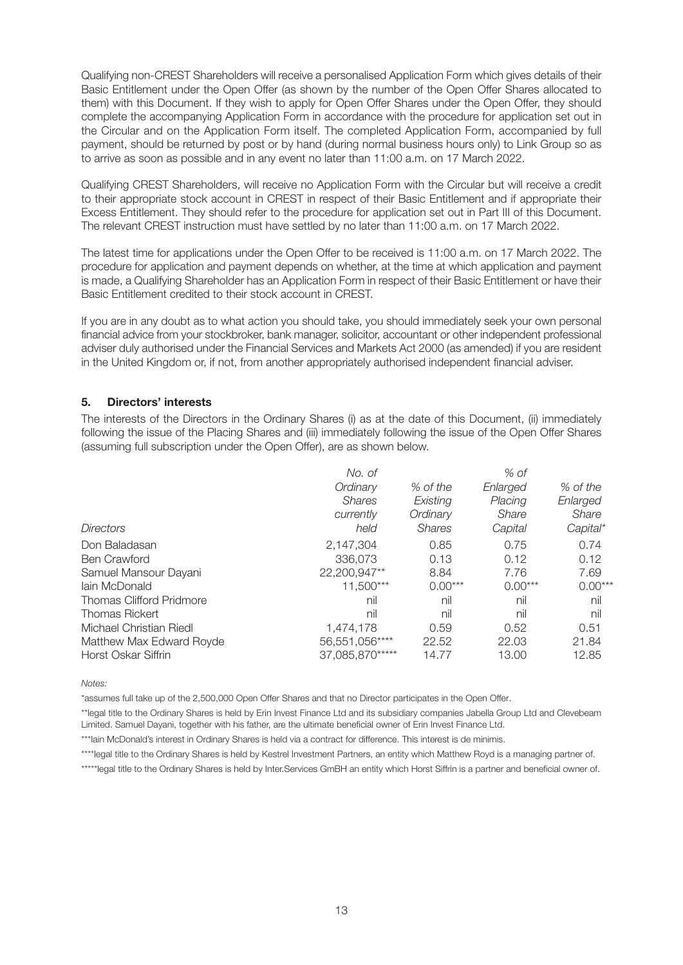Qualifying non-CREST Shareholders will receive a personalised Application Form which gives details of their Basic Entitlement under the Open Offer (as shown by the number of the Open Offer Shares allocated to them) with this Document. If they wish to apply for Open Offer Shares under the Open Offer, they should complete the accompanying Application Form in accordance with the procedure for application set out in the Circular and on the Application Form itself. The completed Application Form, accompanied by full payment, should be returned by post or by hand (during normal business hours only) to Link Group so as to arrive as soon as possible and in any event no later than 11:00 a.m. on 17 March 2022.

Qualifying CREST Shareholders, will receive no Application Form with the Circular but will receive a credit to their appropriate stock account in CREST in respect of their Basic Entitlement and if appropriate their Excess Entitlement. They should refer to the procedure for application set out in Part III of this Document. The relevant CREST instruction must have settled by no later than 11:00 a.m. on 17 March 2022.

The latest time for applications under the Open Offer to be received is 11:00 a.m. on 17 March 2022. The procedure for application and payment depends on whether, at the time at which application and payment is made, a Qualifying Shareholder has an Application Form in respect of their Basic Entitlement or have their Basic Entitlement credited to their stock account in CREST.

If you are in any doubt as to what action you should take, you should immediately seek your own personal financial advice from your stockbroker, bank manager, solicitor, accountant or other independent professional adviser duly authorised under the Financial Services and Markets Act 2000 (as amended) if you are resident in the United Kingdom or, if not, from another appropriately authorised independent financial adviser.

# **5. Directors' interests**

The interests of the Directors in the Ordinary Shares (i) as at the date of this Document, (ii) immediately following the issue of the Placing Shares and (iii) immediately following the issue of the Open Offer Shares (assuming full subscription under the Open Offer), are as shown below.

| No. of          |               | % of      |           |
|-----------------|---------------|-----------|-----------|
| Ordinary        | % of the      | Enlarged  | % of the  |
| <b>Shares</b>   | Existing      | Placing   | Enlarged  |
| currently       | Ordinary      | Share     | Share     |
| held            | <b>Shares</b> | Capital   | Capital*  |
| 2,147,304       | 0.85          | 0.75      | 0.74      |
| 336,073         | 0.13          | 0.12      | 0.12      |
| 22,200,947**    | 8.84          | 7.76      | 7.69      |
| 11,500***       | $0.00***$     | $0.00***$ | $0.00***$ |
| nil             | nil           | nil       | nil       |
| nil             | nil           | nil       | nil       |
| 1.474.178       | 0.59          | 0.52      | 0.51      |
| 56,551,056****  | 22.52         | 22.03     | 21.84     |
| 37,085,870***** | 14.77         | 13.00     | 12.85     |
|                 |               |           |           |

*Notes:*

\*assumes full take up of the 2,500,000 Open Offer Shares and that no Director participates in the Open Offer.

\*\*legal title to the Ordinary Shares is held by Erin Invest Finance Ltd and its subsidiary companies Jabella Group Ltd and Clevebeam Limited. Samuel Dayani, together with his father, are the ultimate beneficial owner of Erin Invest Finance Ltd.

\*\*\*lain McDonald's interest in Ordinary Shares is held via a contract for difference. This interest is de minimis.

\*\*\*\*legal title to the Ordinary Shares is held by Kestrel Investment Partners, an entity which Matthew Royd is a managing partner of.

\*\*\*\*\*legal title to the Ordinary Shares is held by Inter.Services GmBH an entity which Horst Siffrin is a partner and beneficial owner of.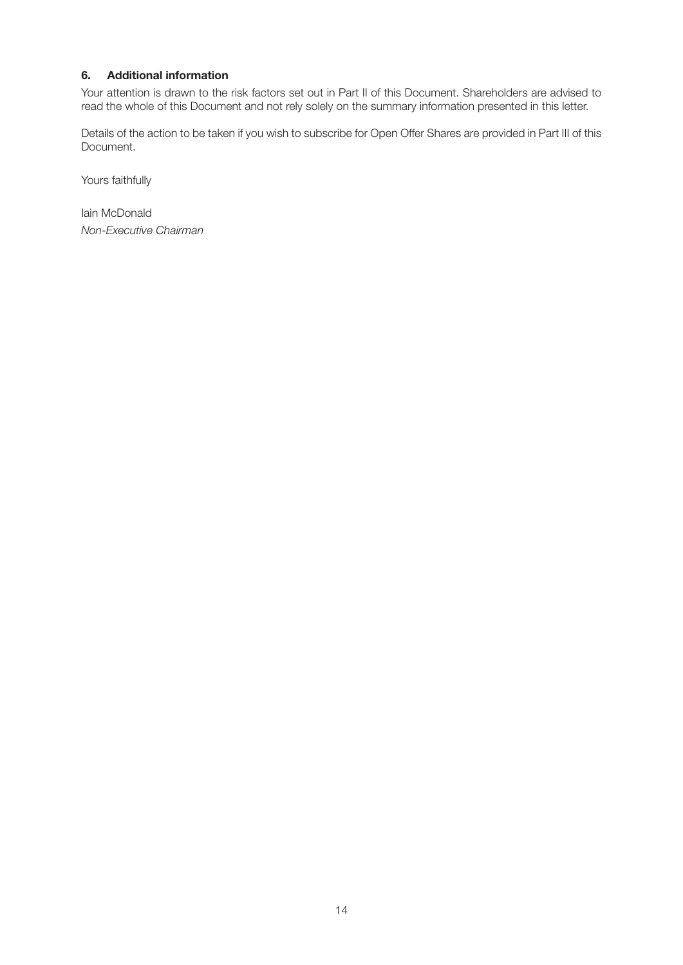# **6. Additional information**

Your attention is drawn to the risk factors set out in Part II of this Document. Shareholders are advised to read the whole of this Document and not rely solely on the summary information presented in this letter.

Details of the action to be taken if you wish to subscribe for Open Offer Shares are provided in Part III of this Document.

Yours faithfully

Iain McDonald *Non-Executive Chairman*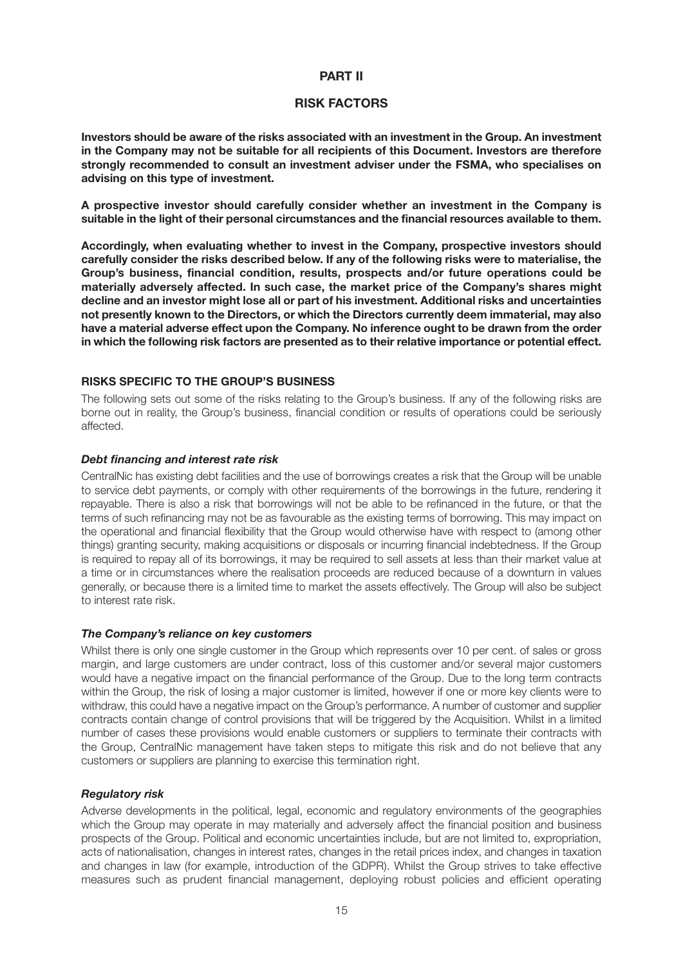#### **PART II**

#### **RISK FACTORS**

**Investors should be aware of the risks associated with an investment in the Group. An investment in the Company may not be suitable for all recipients of this Document. Investors are therefore strongly recommended to consult an investment adviser under the FSMA, who specialises on advising on this type of investment.**

**A prospective investor should carefully consider whether an investment in the Company is suitable in the light of their personal circumstances and the financial resources available to them.**

**Accordingly, when evaluating whether to invest in the Company, prospective investors should carefully consider the risks described below. If any of the following risks were to materialise, the Group's business, financial condition, results, prospects and/or future operations could be materially adversely affected. In such case, the market price of the Company's shares might decline and an investor might lose all or part of his investment. Additional risks and uncertainties not presently known to the Directors, or which the Directors currently deem immaterial, may also have a material adverse effect upon the Company. No inference ought to be drawn from the order in which the following risk factors are presented as to their relative importance or potential effect.**

#### **RISKS SPECIFIC TO THE GROUP'S BUSINESS**

The following sets out some of the risks relating to the Group's business. If any of the following risks are borne out in reality, the Group's business, financial condition or results of operations could be seriously affected.

#### *Debt financing and interest rate risk*

CentralNic has existing debt facilities and the use of borrowings creates a risk that the Group will be unable to service debt payments, or comply with other requirements of the borrowings in the future, rendering it repayable. There is also a risk that borrowings will not be able to be refinanced in the future, or that the terms of such refinancing may not be as favourable as the existing terms of borrowing. This may impact on the operational and financial flexibility that the Group would otherwise have with respect to (among other things) granting security, making acquisitions or disposals or incurring financial indebtedness. If the Group is required to repay all of its borrowings, it may be required to sell assets at less than their market value at a time or in circumstances where the realisation proceeds are reduced because of a downturn in values generally, or because there is a limited time to market the assets effectively. The Group will also be subject to interest rate risk.

#### *The Company's reliance on key customers*

Whilst there is only one single customer in the Group which represents over 10 per cent. of sales or gross margin, and large customers are under contract, loss of this customer and/or several major customers would have a negative impact on the financial performance of the Group. Due to the long term contracts within the Group, the risk of losing a major customer is limited, however if one or more key clients were to withdraw, this could have a negative impact on the Group's performance. A number of customer and supplier contracts contain change of control provisions that will be triggered by the Acquisition. Whilst in a limited number of cases these provisions would enable customers or suppliers to terminate their contracts with the Group, CentralNic management have taken steps to mitigate this risk and do not believe that any customers or suppliers are planning to exercise this termination right.

#### *Regulatory risk*

Adverse developments in the political, legal, economic and regulatory environments of the geographies which the Group may operate in may materially and adversely affect the financial position and business prospects of the Group. Political and economic uncertainties include, but are not limited to, expropriation, acts of nationalisation, changes in interest rates, changes in the retail prices index, and changes in taxation and changes in law (for example, introduction of the GDPR). Whilst the Group strives to take effective measures such as prudent financial management, deploying robust policies and efficient operating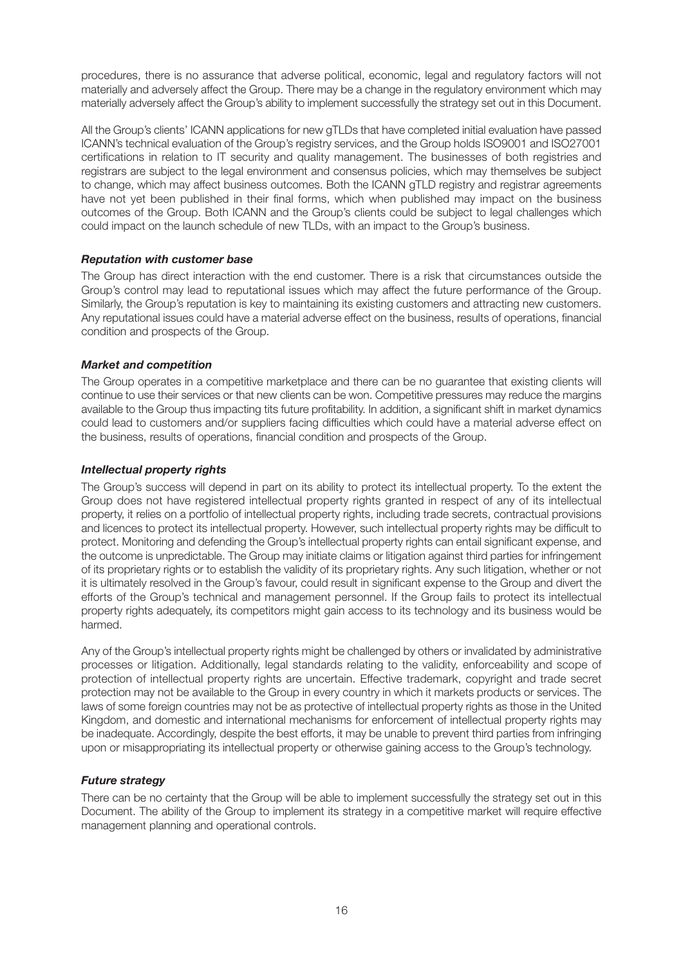procedures, there is no assurance that adverse political, economic, legal and regulatory factors will not materially and adversely affect the Group. There may be a change in the regulatory environment which may materially adversely affect the Group's ability to implement successfully the strategy set out in this Document.

All the Group's clients' ICANN applications for new gTLDs that have completed initial evaluation have passed ICANN's technical evaluation of the Group's registry services, and the Group holds ISO9001 and ISO27001 certifications in relation to IT security and quality management. The businesses of both registries and registrars are subject to the legal environment and consensus policies, which may themselves be subject to change, which may affect business outcomes. Both the ICANN gTLD registry and registrar agreements have not yet been published in their final forms, which when published may impact on the business outcomes of the Group. Both ICANN and the Group's clients could be subject to legal challenges which could impact on the launch schedule of new TLDs, with an impact to the Group's business.

# *Reputation with customer base*

The Group has direct interaction with the end customer. There is a risk that circumstances outside the Group's control may lead to reputational issues which may affect the future performance of the Group. Similarly, the Group's reputation is key to maintaining its existing customers and attracting new customers. Any reputational issues could have a material adverse effect on the business, results of operations, financial condition and prospects of the Group.

#### *Market and competition*

The Group operates in a competitive marketplace and there can be no guarantee that existing clients will continue to use their services or that new clients can be won. Competitive pressures may reduce the margins available to the Group thus impacting tits future profitability. In addition, a significant shift in market dynamics could lead to customers and/or suppliers facing difficulties which could have a material adverse effect on the business, results of operations, financial condition and prospects of the Group.

# *Intellectual property rights*

The Group's success will depend in part on its ability to protect its intellectual property. To the extent the Group does not have registered intellectual property rights granted in respect of any of its intellectual property, it relies on a portfolio of intellectual property rights, including trade secrets, contractual provisions and licences to protect its intellectual property. However, such intellectual property rights may be difficult to protect. Monitoring and defending the Group's intellectual property rights can entail significant expense, and the outcome is unpredictable. The Group may initiate claims or litigation against third parties for infringement of its proprietary rights or to establish the validity of its proprietary rights. Any such litigation, whether or not it is ultimately resolved in the Group's favour, could result in significant expense to the Group and divert the efforts of the Group's technical and management personnel. If the Group fails to protect its intellectual property rights adequately, its competitors might gain access to its technology and its business would be harmed.

Any of the Group's intellectual property rights might be challenged by others or invalidated by administrative processes or litigation. Additionally, legal standards relating to the validity, enforceability and scope of protection of intellectual property rights are uncertain. Effective trademark, copyright and trade secret protection may not be available to the Group in every country in which it markets products or services. The laws of some foreign countries may not be as protective of intellectual property rights as those in the United Kingdom, and domestic and international mechanisms for enforcement of intellectual property rights may be inadequate. Accordingly, despite the best efforts, it may be unable to prevent third parties from infringing upon or misappropriating its intellectual property or otherwise gaining access to the Group's technology.

# *Future strategy*

There can be no certainty that the Group will be able to implement successfully the strategy set out in this Document. The ability of the Group to implement its strategy in a competitive market will require effective management planning and operational controls.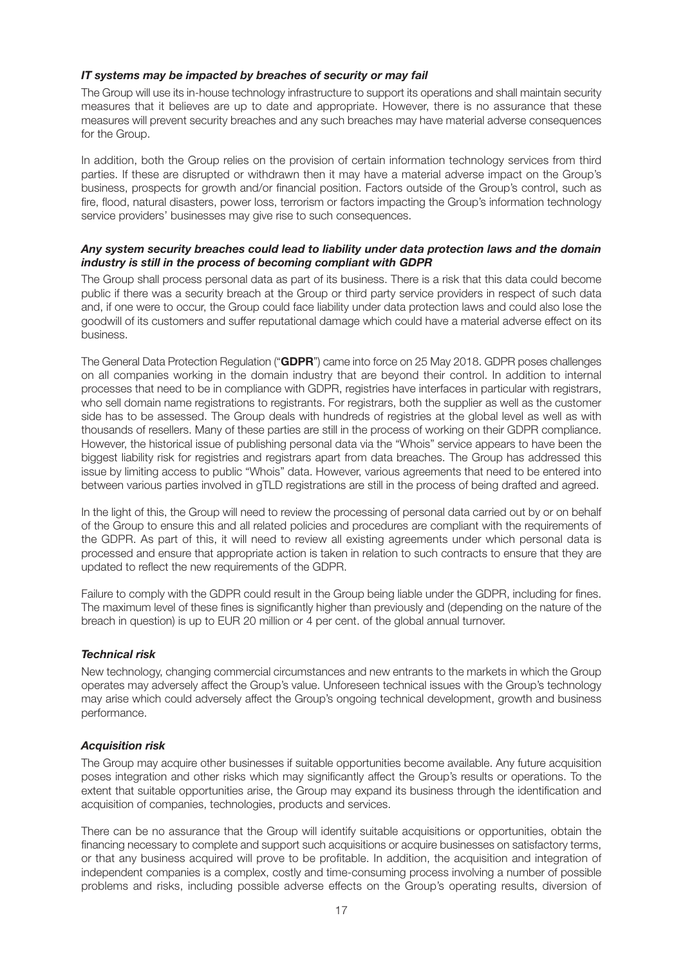# *IT systems may be impacted by breaches of security or may fail*

The Group will use its in-house technology infrastructure to support its operations and shall maintain security measures that it believes are up to date and appropriate. However, there is no assurance that these measures will prevent security breaches and any such breaches may have material adverse consequences for the Group.

In addition, both the Group relies on the provision of certain information technology services from third parties. If these are disrupted or withdrawn then it may have a material adverse impact on the Group's business, prospects for growth and/or financial position. Factors outside of the Group's control, such as fire, flood, natural disasters, power loss, terrorism or factors impacting the Group's information technology service providers' businesses may give rise to such consequences.

#### *Any system security breaches could lead to liability under data protection laws and the domain industry is still in the process of becoming compliant with GDPR*

The Group shall process personal data as part of its business. There is a risk that this data could become public if there was a security breach at the Group or third party service providers in respect of such data and, if one were to occur, the Group could face liability under data protection laws and could also lose the goodwill of its customers and suffer reputational damage which could have a material adverse effect on its business.

The General Data Protection Regulation ("**GDPR**") came into force on 25 May 2018. GDPR poses challenges on all companies working in the domain industry that are beyond their control. In addition to internal processes that need to be in compliance with GDPR, registries have interfaces in particular with registrars, who sell domain name registrations to registrants. For registrars, both the supplier as well as the customer side has to be assessed. The Group deals with hundreds of registries at the global level as well as with thousands of resellers. Many of these parties are still in the process of working on their GDPR compliance. However, the historical issue of publishing personal data via the "Whois" service appears to have been the biggest liability risk for registries and registrars apart from data breaches. The Group has addressed this issue by limiting access to public "Whois" data. However, various agreements that need to be entered into between various parties involved in gTLD registrations are still in the process of being drafted and agreed.

In the light of this, the Group will need to review the processing of personal data carried out by or on behalf of the Group to ensure this and all related policies and procedures are compliant with the requirements of the GDPR. As part of this, it will need to review all existing agreements under which personal data is processed and ensure that appropriate action is taken in relation to such contracts to ensure that they are updated to reflect the new requirements of the GDPR.

Failure to comply with the GDPR could result in the Group being liable under the GDPR, including for fines. The maximum level of these fines is significantly higher than previously and (depending on the nature of the breach in question) is up to EUR 20 million or 4 per cent. of the global annual turnover.

#### *Technical risk*

New technology, changing commercial circumstances and new entrants to the markets in which the Group operates may adversely affect the Group's value. Unforeseen technical issues with the Group's technology may arise which could adversely affect the Group's ongoing technical development, growth and business performance.

#### *Acquisition risk*

The Group may acquire other businesses if suitable opportunities become available. Any future acquisition poses integration and other risks which may significantly affect the Group's results or operations. To the extent that suitable opportunities arise, the Group may expand its business through the identification and acquisition of companies, technologies, products and services.

There can be no assurance that the Group will identify suitable acquisitions or opportunities, obtain the financing necessary to complete and support such acquisitions or acquire businesses on satisfactory terms, or that any business acquired will prove to be profitable. In addition, the acquisition and integration of independent companies is a complex, costly and time-consuming process involving a number of possible problems and risks, including possible adverse effects on the Group's operating results, diversion of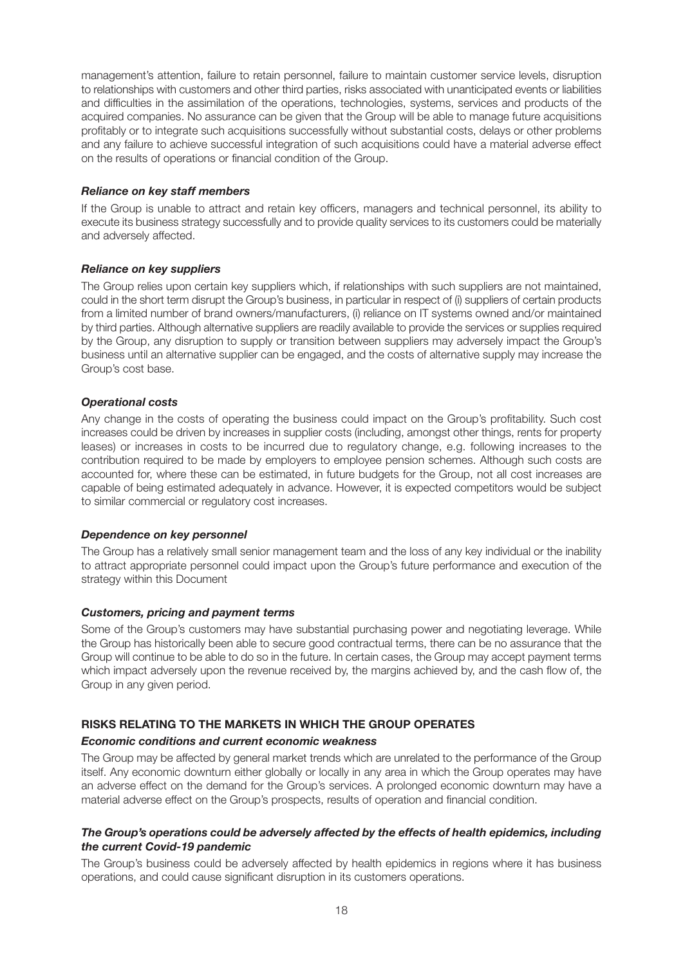management's attention, failure to retain personnel, failure to maintain customer service levels, disruption to relationships with customers and other third parties, risks associated with unanticipated events or liabilities and difficulties in the assimilation of the operations, technologies, systems, services and products of the acquired companies. No assurance can be given that the Group will be able to manage future acquisitions profitably or to integrate such acquisitions successfully without substantial costs, delays or other problems and any failure to achieve successful integration of such acquisitions could have a material adverse effect on the results of operations or financial condition of the Group.

#### *Reliance on key staff members*

If the Group is unable to attract and retain key officers, managers and technical personnel, its ability to execute its business strategy successfully and to provide quality services to its customers could be materially and adversely affected.

#### *Reliance on key suppliers*

The Group relies upon certain key suppliers which, if relationships with such suppliers are not maintained, could in the short term disrupt the Group's business, in particular in respect of (i) suppliers of certain products from a limited number of brand owners/manufacturers, (i) reliance on IT systems owned and/or maintained by third parties. Although alternative suppliers are readily available to provide the services or supplies required by the Group, any disruption to supply or transition between suppliers may adversely impact the Group's business until an alternative supplier can be engaged, and the costs of alternative supply may increase the Group's cost base.

#### *Operational costs*

Any change in the costs of operating the business could impact on the Group's profitability. Such cost increases could be driven by increases in supplier costs (including, amongst other things, rents for property leases) or increases in costs to be incurred due to regulatory change, e.g. following increases to the contribution required to be made by employers to employee pension schemes. Although such costs are accounted for, where these can be estimated, in future budgets for the Group, not all cost increases are capable of being estimated adequately in advance. However, it is expected competitors would be subject to similar commercial or regulatory cost increases.

#### *Dependence on key personnel*

The Group has a relatively small senior management team and the loss of any key individual or the inability to attract appropriate personnel could impact upon the Group's future performance and execution of the strategy within this Document

#### *Customers, pricing and payment terms*

Some of the Group's customers may have substantial purchasing power and negotiating leverage. While the Group has historically been able to secure good contractual terms, there can be no assurance that the Group will continue to be able to do so in the future. In certain cases, the Group may accept payment terms which impact adversely upon the revenue received by, the margins achieved by, and the cash flow of, the Group in any given period.

# **RISKS RELATING TO THE MARKETS IN WHICH THE GROUP OPERATES**

# *Economic conditions and current economic weakness*

The Group may be affected by general market trends which are unrelated to the performance of the Group itself. Any economic downturn either globally or locally in any area in which the Group operates may have an adverse effect on the demand for the Group's services. A prolonged economic downturn may have a material adverse effect on the Group's prospects, results of operation and financial condition.

#### *The Group's operations could be adversely affected by the effects of health epidemics, including the current Covid-19 pandemic*

The Group's business could be adversely affected by health epidemics in regions where it has business operations, and could cause significant disruption in its customers operations.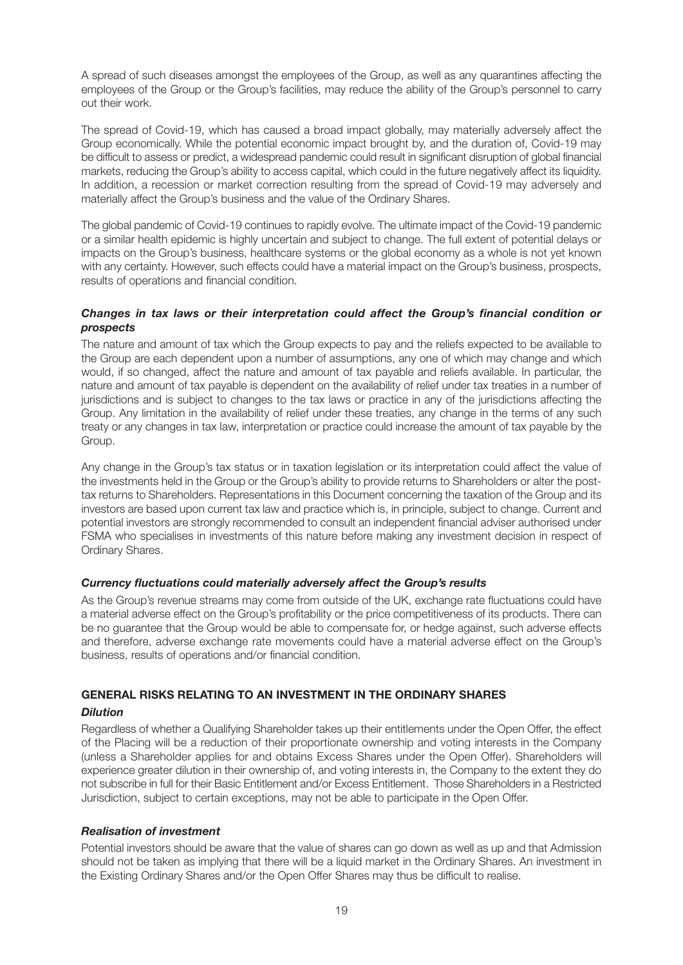A spread of such diseases amongst the employees of the Group, as well as any quarantines affecting the employees of the Group or the Group's facilities, may reduce the ability of the Group's personnel to carry out their work.

The spread of Covid-19, which has caused a broad impact globally, may materially adversely affect the Group economically. While the potential economic impact brought by, and the duration of, Covid-19 may be difficult to assess or predict, a widespread pandemic could result in significant disruption of global financial markets, reducing the Group's ability to access capital, which could in the future negatively affect its liquidity. In addition, a recession or market correction resulting from the spread of Covid-19 may adversely and materially affect the Group's business and the value of the Ordinary Shares.

The global pandemic of Covid-19 continues to rapidly evolve. The ultimate impact of the Covid-19 pandemic or a similar health epidemic is highly uncertain and subject to change. The full extent of potential delays or impacts on the Group's business, healthcare systems or the global economy as a whole is not yet known with any certainty. However, such effects could have a material impact on the Group's business, prospects, results of operations and financial condition.

#### *Changes in tax laws or their interpretation could affect the Group's financial condition or prospects*

The nature and amount of tax which the Group expects to pay and the reliefs expected to be available to the Group are each dependent upon a number of assumptions, any one of which may change and which would, if so changed, affect the nature and amount of tax payable and reliefs available. In particular, the nature and amount of tax payable is dependent on the availability of relief under tax treaties in a number of jurisdictions and is subject to changes to the tax laws or practice in any of the jurisdictions affecting the Group. Any limitation in the availability of relief under these treaties, any change in the terms of any such treaty or any changes in tax law, interpretation or practice could increase the amount of tax payable by the Group.

Any change in the Group's tax status or in taxation legislation or its interpretation could affect the value of the investments held in the Group or the Group's ability to provide returns to Shareholders or alter the posttax returns to Shareholders. Representations in this Document concerning the taxation of the Group and its investors are based upon current tax law and practice which is, in principle, subject to change. Current and potential investors are strongly recommended to consult an independent financial adviser authorised under FSMA who specialises in investments of this nature before making any investment decision in respect of Ordinary Shares.

#### *Currency fluctuations could materially adversely affect the Group's results*

As the Group's revenue streams may come from outside of the UK, exchange rate fluctuations could have a material adverse effect on the Group's profitability or the price competitiveness of its products. There can be no guarantee that the Group would be able to compensate for, or hedge against, such adverse effects and therefore, adverse exchange rate movements could have a material adverse effect on the Group's business, results of operations and/or financial condition.

# **GENERAL RISKS RELATING TO AN INVESTMENT IN THE ORDINARY SHARES**

#### *Dilution*

Regardless of whether a Qualifying Shareholder takes up their entitlements under the Open Offer, the effect of the Placing will be a reduction of their proportionate ownership and voting interests in the Company (unless a Shareholder applies for and obtains Excess Shares under the Open Offer). Shareholders will experience greater dilution in their ownership of, and voting interests in, the Company to the extent they do not subscribe in full for their Basic Entitlement and/or Excess Entitlement. Those Shareholders in a Restricted Jurisdiction, subject to certain exceptions, may not be able to participate in the Open Offer.

#### *Realisation of investment*

Potential investors should be aware that the value of shares can go down as well as up and that Admission should not be taken as implying that there will be a liquid market in the Ordinary Shares. An investment in the Existing Ordinary Shares and/or the Open Offer Shares may thus be difficult to realise.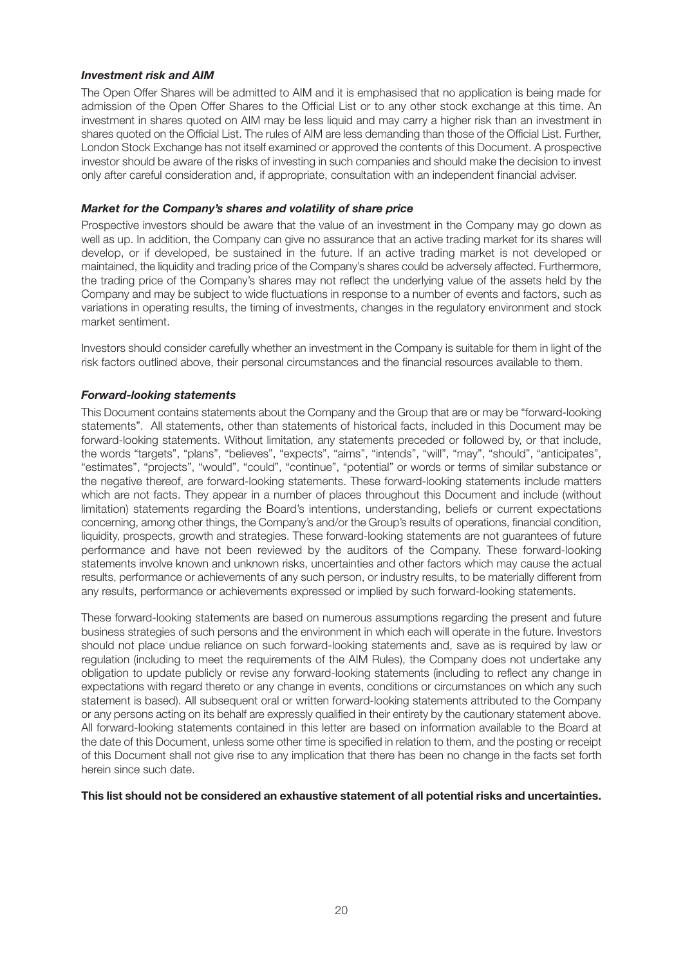# *Investment risk and AIM*

The Open Offer Shares will be admitted to AIM and it is emphasised that no application is being made for admission of the Open Offer Shares to the Official List or to any other stock exchange at this time. An investment in shares quoted on AIM may be less liquid and may carry a higher risk than an investment in shares quoted on the Official List. The rules of AIM are less demanding than those of the Official List. Further, London Stock Exchange has not itself examined or approved the contents of this Document. A prospective investor should be aware of the risks of investing in such companies and should make the decision to invest only after careful consideration and, if appropriate, consultation with an independent financial adviser.

#### *Market for the Company's shares and volatility of share price*

Prospective investors should be aware that the value of an investment in the Company may go down as well as up. In addition, the Company can give no assurance that an active trading market for its shares will develop, or if developed, be sustained in the future. If an active trading market is not developed or maintained, the liquidity and trading price of the Company's shares could be adversely affected. Furthermore, the trading price of the Company's shares may not reflect the underlying value of the assets held by the Company and may be subject to wide fluctuations in response to a number of events and factors, such as variations in operating results, the timing of investments, changes in the regulatory environment and stock market sentiment.

Investors should consider carefully whether an investment in the Company is suitable for them in light of the risk factors outlined above, their personal circumstances and the financial resources available to them.

# *Forward-looking statements*

This Document contains statements about the Company and the Group that are or may be "forward-looking statements". All statements, other than statements of historical facts, included in this Document may be forward-looking statements. Without limitation, any statements preceded or followed by, or that include, the words "targets", "plans", "believes", "expects", "aims", "intends", "will", "may", "should", "anticipates", "estimates", "projects", "would", "could", "continue", "potential" or words or terms of similar substance or the negative thereof, are forward-looking statements. These forward-looking statements include matters which are not facts. They appear in a number of places throughout this Document and include (without limitation) statements regarding the Board's intentions, understanding, beliefs or current expectations concerning, among other things, the Company's and/or the Group's results of operations, financial condition, liquidity, prospects, growth and strategies. These forward-looking statements are not guarantees of future performance and have not been reviewed by the auditors of the Company. These forward-looking statements involve known and unknown risks, uncertainties and other factors which may cause the actual results, performance or achievements of any such person, or industry results, to be materially different from any results, performance or achievements expressed or implied by such forward-looking statements.

These forward-looking statements are based on numerous assumptions regarding the present and future business strategies of such persons and the environment in which each will operate in the future. Investors should not place undue reliance on such forward-looking statements and, save as is required by law or regulation (including to meet the requirements of the AIM Rules), the Company does not undertake any obligation to update publicly or revise any forward-looking statements (including to reflect any change in expectations with regard thereto or any change in events, conditions or circumstances on which any such statement is based). All subsequent oral or written forward-looking statements attributed to the Company or any persons acting on its behalf are expressly qualified in their entirety by the cautionary statement above. All forward-looking statements contained in this letter are based on information available to the Board at the date of this Document, unless some other time is specified in relation to them, and the posting or receipt of this Document shall not give rise to any implication that there has been no change in the facts set forth herein since such date.

**This list should not be considered an exhaustive statement of all potential risks and uncertainties.**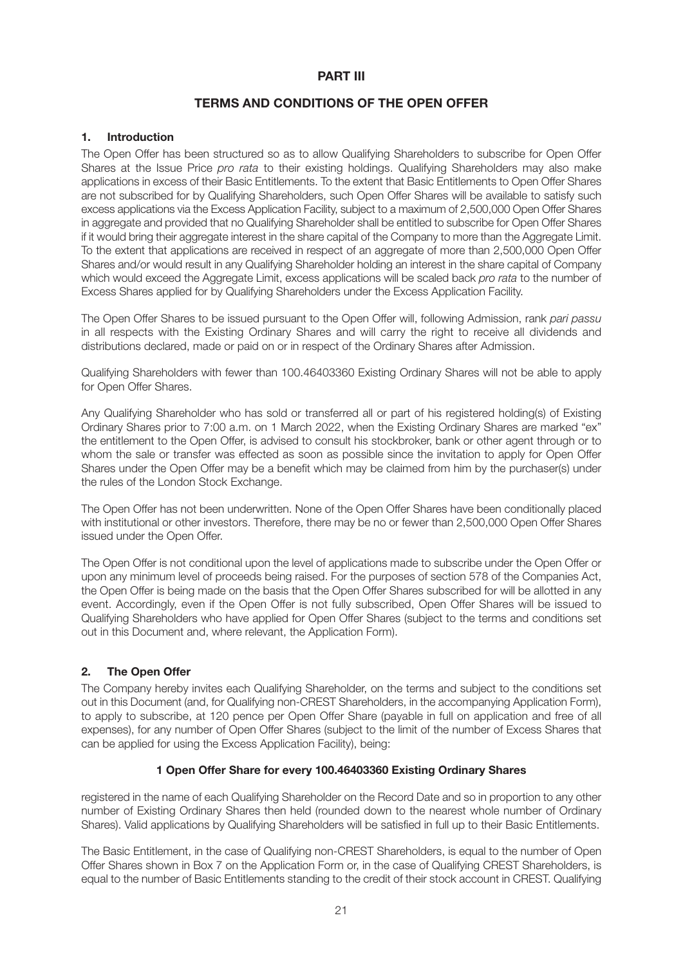# **PART III**

# **TERMS AND CONDITIONS OF THE OPEN OFFER**

#### **1. Introduction**

The Open Offer has been structured so as to allow Qualifying Shareholders to subscribe for Open Offer Shares at the Issue Price *pro rata* to their existing holdings. Qualifying Shareholders may also make applications in excess of their Basic Entitlements. To the extent that Basic Entitlements to Open Offer Shares are not subscribed for by Qualifying Shareholders, such Open Offer Shares will be available to satisfy such excess applications via the Excess Application Facility, subject to a maximum of 2,500,000 Open Offer Shares in aggregate and provided that no Qualifying Shareholder shall be entitled to subscribe for Open Offer Shares if it would bring their aggregate interest in the share capital of the Company to more than the Aggregate Limit. To the extent that applications are received in respect of an aggregate of more than 2,500,000 Open Offer Shares and/or would result in any Qualifying Shareholder holding an interest in the share capital of Company which would exceed the Aggregate Limit, excess applications will be scaled back *pro rata* to the number of Excess Shares applied for by Qualifying Shareholders under the Excess Application Facility.

The Open Offer Shares to be issued pursuant to the Open Offer will, following Admission, rank *pari passu* in all respects with the Existing Ordinary Shares and will carry the right to receive all dividends and distributions declared, made or paid on or in respect of the Ordinary Shares after Admission.

Qualifying Shareholders with fewer than 100.46403360 Existing Ordinary Shares will not be able to apply for Open Offer Shares.

Any Qualifying Shareholder who has sold or transferred all or part of his registered holding(s) of Existing Ordinary Shares prior to 7:00 a.m. on 1 March 2022, when the Existing Ordinary Shares are marked "ex" the entitlement to the Open Offer, is advised to consult his stockbroker, bank or other agent through or to whom the sale or transfer was effected as soon as possible since the invitation to apply for Open Offer Shares under the Open Offer may be a benefit which may be claimed from him by the purchaser(s) under the rules of the London Stock Exchange.

The Open Offer has not been underwritten. None of the Open Offer Shares have been conditionally placed with institutional or other investors. Therefore, there may be no or fewer than 2,500,000 Open Offer Shares issued under the Open Offer.

The Open Offer is not conditional upon the level of applications made to subscribe under the Open Offer or upon any minimum level of proceeds being raised. For the purposes of section 578 of the Companies Act, the Open Offer is being made on the basis that the Open Offer Shares subscribed for will be allotted in any event. Accordingly, even if the Open Offer is not fully subscribed, Open Offer Shares will be issued to Qualifying Shareholders who have applied for Open Offer Shares (subject to the terms and conditions set out in this Document and, where relevant, the Application Form).

#### **2. The Open Offer**

The Company hereby invites each Qualifying Shareholder, on the terms and subject to the conditions set out in this Document (and, for Qualifying non-CREST Shareholders, in the accompanying Application Form), to apply to subscribe, at 120 pence per Open Offer Share (payable in full on application and free of all expenses), for any number of Open Offer Shares (subject to the limit of the number of Excess Shares that can be applied for using the Excess Application Facility), being:

#### **1 Open Offer Share for every 100.46403360 Existing Ordinary Shares**

registered in the name of each Qualifying Shareholder on the Record Date and so in proportion to any other number of Existing Ordinary Shares then held (rounded down to the nearest whole number of Ordinary Shares). Valid applications by Qualifying Shareholders will be satisfied in full up to their Basic Entitlements.

The Basic Entitlement, in the case of Qualifying non-CREST Shareholders, is equal to the number of Open Offer Shares shown in Box 7 on the Application Form or, in the case of Qualifying CREST Shareholders, is equal to the number of Basic Entitlements standing to the credit of their stock account in CREST. Qualifying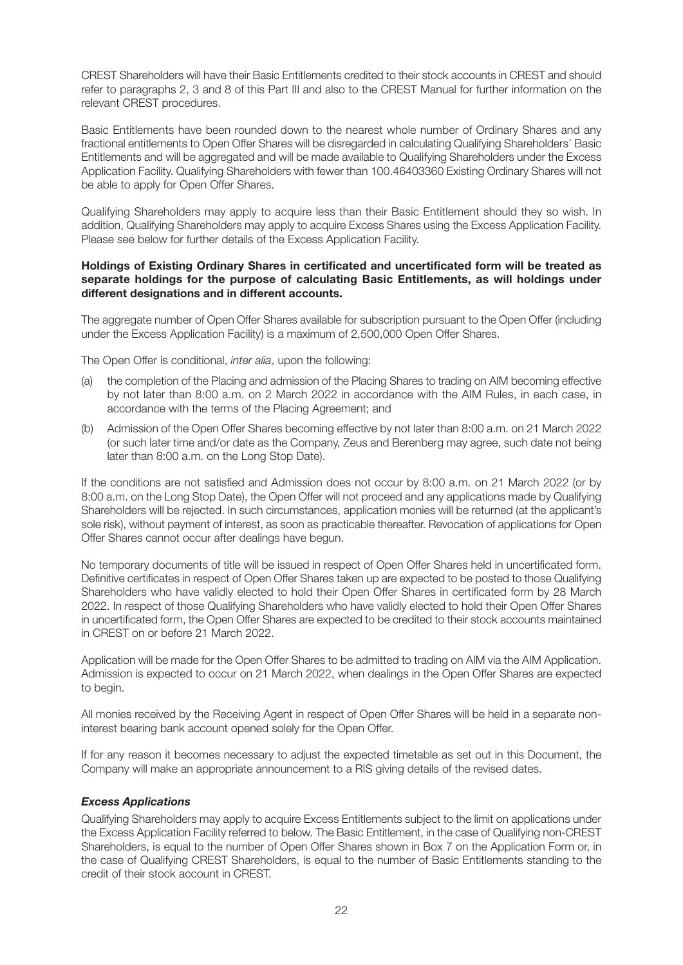CREST Shareholders will have their Basic Entitlements credited to their stock accounts in CREST and should refer to paragraphs 2, 3 and 8 of this Part III and also to the CREST Manual for further information on the relevant CREST procedures.

Basic Entitlements have been rounded down to the nearest whole number of Ordinary Shares and any fractional entitlements to Open Offer Shares will be disregarded in calculating Qualifying Shareholders' Basic Entitlements and will be aggregated and will be made available to Qualifying Shareholders under the Excess Application Facility. Qualifying Shareholders with fewer than 100.46403360 Existing Ordinary Shares will not be able to apply for Open Offer Shares.

Qualifying Shareholders may apply to acquire less than their Basic Entitlement should they so wish. In addition, Qualifying Shareholders may apply to acquire Excess Shares using the Excess Application Facility. Please see below for further details of the Excess Application Facility.

#### **Holdings of Existing Ordinary Shares in certificated and uncertificated form will be treated as separate holdings for the purpose of calculating Basic Entitlements, as will holdings under different designations and in different accounts.**

The aggregate number of Open Offer Shares available for subscription pursuant to the Open Offer (including under the Excess Application Facility) is a maximum of 2,500,000 Open Offer Shares.

The Open Offer is conditional, *inter alia*, upon the following:

- (a) the completion of the Placing and admission of the Placing Shares to trading on AIM becoming effective by not later than 8:00 a.m. on 2 March 2022 in accordance with the AIM Rules, in each case, in accordance with the terms of the Placing Agreement; and
- (b) Admission of the Open Offer Shares becoming effective by not later than 8:00 a.m. on 21 March 2022 (or such later time and/or date as the Company, Zeus and Berenberg may agree, such date not being later than 8:00 a.m. on the Long Stop Date).

If the conditions are not satisfied and Admission does not occur by 8:00 a.m. on 21 March 2022 (or by 8:00 a.m. on the Long Stop Date), the Open Offer will not proceed and any applications made by Qualifying Shareholders will be rejected. In such circumstances, application monies will be returned (at the applicant's sole risk), without payment of interest, as soon as practicable thereafter. Revocation of applications for Open Offer Shares cannot occur after dealings have begun.

No temporary documents of title will be issued in respect of Open Offer Shares held in uncertificated form. Definitive certificates in respect of Open Offer Shares taken up are expected to be posted to those Qualifying Shareholders who have validly elected to hold their Open Offer Shares in certificated form by 28 March 2022. In respect of those Qualifying Shareholders who have validly elected to hold their Open Offer Shares in uncertificated form, the Open Offer Shares are expected to be credited to their stock accounts maintained in CREST on or before 21 March 2022.

Application will be made for the Open Offer Shares to be admitted to trading on AIM via the AIM Application. Admission is expected to occur on 21 March 2022, when dealings in the Open Offer Shares are expected to begin.

All monies received by the Receiving Agent in respect of Open Offer Shares will be held in a separate noninterest bearing bank account opened solely for the Open Offer.

If for any reason it becomes necessary to adjust the expected timetable as set out in this Document, the Company will make an appropriate announcement to a RIS giving details of the revised dates.

#### *Excess Applications*

Qualifying Shareholders may apply to acquire Excess Entitlements subject to the limit on applications under the Excess Application Facility referred to below. The Basic Entitlement, in the case of Qualifying non-CREST Shareholders, is equal to the number of Open Offer Shares shown in Box 7 on the Application Form or, in the case of Qualifying CREST Shareholders, is equal to the number of Basic Entitlements standing to the credit of their stock account in CREST.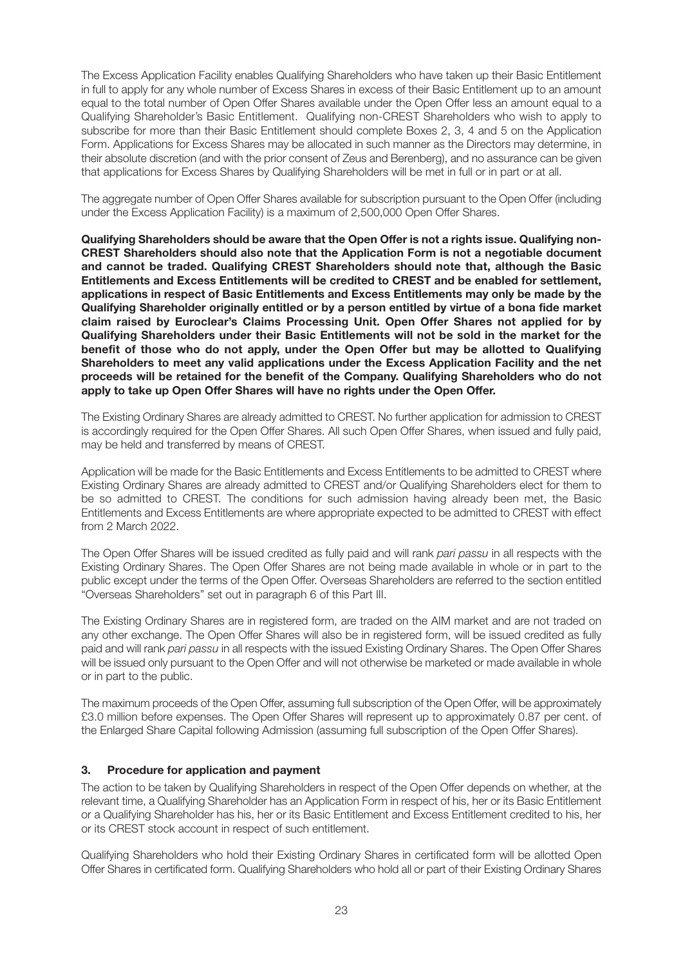The Excess Application Facility enables Qualifying Shareholders who have taken up their Basic Entitlement in full to apply for any whole number of Excess Shares in excess of their Basic Entitlement up to an amount equal to the total number of Open Offer Shares available under the Open Offer less an amount equal to a Qualifying Shareholder's Basic Entitlement. Qualifying non-CREST Shareholders who wish to apply to subscribe for more than their Basic Entitlement should complete Boxes 2, 3, 4 and 5 on the Application Form. Applications for Excess Shares may be allocated in such manner as the Directors may determine, in their absolute discretion (and with the prior consent of Zeus and Berenberg), and no assurance can be given that applications for Excess Shares by Qualifying Shareholders will be met in full or in part or at all.

The aggregate number of Open Offer Shares available for subscription pursuant to the Open Offer (including under the Excess Application Facility) is a maximum of 2,500,000 Open Offer Shares.

**Qualifying Shareholders should be aware that the Open Offer is not a rights issue. Qualifying non-CREST Shareholders should also note that the Application Form is not a negotiable document and cannot be traded. Qualifying CREST Shareholders should note that, although the Basic Entitlements and Excess Entitlements will be credited to CREST and be enabled for settlement, applications in respect of Basic Entitlements and Excess Entitlements may only be made by the Qualifying Shareholder originally entitled or by a person entitled by virtue of a bona fide market claim raised by Euroclear's Claims Processing Unit. Open Offer Shares not applied for by Qualifying Shareholders under their Basic Entitlements will not be sold in the market for the benefit of those who do not apply, under the Open Offer but may be allotted to Qualifying Shareholders to meet any valid applications under the Excess Application Facility and the net proceeds will be retained for the benefit of the Company. Qualifying Shareholders who do not apply to take up Open Offer Shares will have no rights under the Open Offer.**

The Existing Ordinary Shares are already admitted to CREST. No further application for admission to CREST is accordingly required for the Open Offer Shares. All such Open Offer Shares, when issued and fully paid, may be held and transferred by means of CREST.

Application will be made for the Basic Entitlements and Excess Entitlements to be admitted to CREST where Existing Ordinary Shares are already admitted to CREST and/or Qualifying Shareholders elect for them to be so admitted to CREST. The conditions for such admission having already been met, the Basic Entitlements and Excess Entitlements are where appropriate expected to be admitted to CREST with effect from 2 March 2022.

The Open Offer Shares will be issued credited as fully paid and will rank *pari passu* in all respects with the Existing Ordinary Shares. The Open Offer Shares are not being made available in whole or in part to the public except under the terms of the Open Offer. Overseas Shareholders are referred to the section entitled "Overseas Shareholders" set out in paragraph 6 of this Part III.

The Existing Ordinary Shares are in registered form, are traded on the AIM market and are not traded on any other exchange. The Open Offer Shares will also be in registered form, will be issued credited as fully paid and will rank *pari passu* in all respects with the issued Existing Ordinary Shares. The Open Offer Shares will be issued only pursuant to the Open Offer and will not otherwise be marketed or made available in whole or in part to the public.

The maximum proceeds of the Open Offer, assuming full subscription of the Open Offer, will be approximately £3.0 million before expenses. The Open Offer Shares will represent up to approximately 0.87 per cent. of the Enlarged Share Capital following Admission (assuming full subscription of the Open Offer Shares).

## **3. Procedure for application and payment**

The action to be taken by Qualifying Shareholders in respect of the Open Offer depends on whether, at the relevant time, a Qualifying Shareholder has an Application Form in respect of his, her or its Basic Entitlement or a Qualifying Shareholder has his, her or its Basic Entitlement and Excess Entitlement credited to his, her or its CREST stock account in respect of such entitlement.

Qualifying Shareholders who hold their Existing Ordinary Shares in certificated form will be allotted Open Offer Shares in certificated form. Qualifying Shareholders who hold all or part of their Existing Ordinary Shares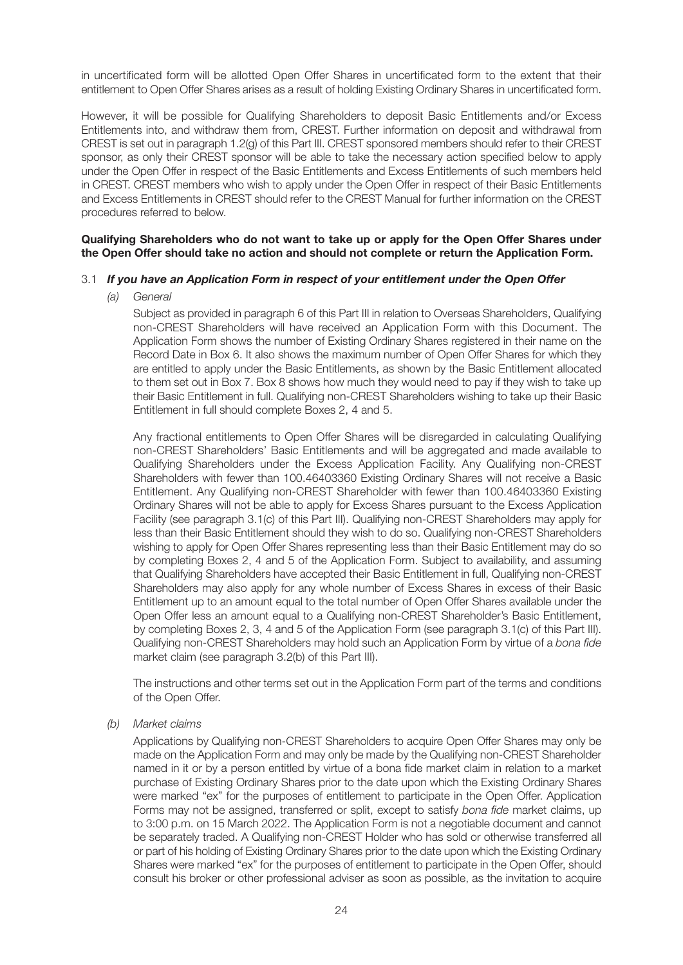in uncertificated form will be allotted Open Offer Shares in uncertificated form to the extent that their entitlement to Open Offer Shares arises as a result of holding Existing Ordinary Shares in uncertificated form.

However, it will be possible for Qualifying Shareholders to deposit Basic Entitlements and/or Excess Entitlements into, and withdraw them from, CREST. Further information on deposit and withdrawal from CREST is set out in paragraph 1.2(g) of this Part III. CREST sponsored members should refer to their CREST sponsor, as only their CREST sponsor will be able to take the necessary action specified below to apply under the Open Offer in respect of the Basic Entitlements and Excess Entitlements of such members held in CREST. CREST members who wish to apply under the Open Offer in respect of their Basic Entitlements and Excess Entitlements in CREST should refer to the CREST Manual for further information on the CREST procedures referred to below.

#### **Qualifying Shareholders who do not want to take up or apply for the Open Offer Shares under the Open Offer should take no action and should not complete or return the Application Form.**

#### 3.1 *If you have an Application Form in respect of your entitlement under the Open Offer*

*(a) General*

Subject as provided in paragraph 6 of this Part III in relation to Overseas Shareholders, Qualifying non-CREST Shareholders will have received an Application Form with this Document. The Application Form shows the number of Existing Ordinary Shares registered in their name on the Record Date in Box 6. It also shows the maximum number of Open Offer Shares for which they are entitled to apply under the Basic Entitlements, as shown by the Basic Entitlement allocated to them set out in Box 7. Box 8 shows how much they would need to pay if they wish to take up their Basic Entitlement in full. Qualifying non-CREST Shareholders wishing to take up their Basic Entitlement in full should complete Boxes 2, 4 and 5.

Any fractional entitlements to Open Offer Shares will be disregarded in calculating Qualifying non-CREST Shareholders' Basic Entitlements and will be aggregated and made available to Qualifying Shareholders under the Excess Application Facility. Any Qualifying non-CREST Shareholders with fewer than 100.46403360 Existing Ordinary Shares will not receive a Basic Entitlement. Any Qualifying non-CREST Shareholder with fewer than 100.46403360 Existing Ordinary Shares will not be able to apply for Excess Shares pursuant to the Excess Application Facility (see paragraph 3.1(c) of this Part III). Qualifying non-CREST Shareholders may apply for less than their Basic Entitlement should they wish to do so. Qualifying non-CREST Shareholders wishing to apply for Open Offer Shares representing less than their Basic Entitlement may do so by completing Boxes 2, 4 and 5 of the Application Form. Subject to availability, and assuming that Qualifying Shareholders have accepted their Basic Entitlement in full, Qualifying non-CREST Shareholders may also apply for any whole number of Excess Shares in excess of their Basic Entitlement up to an amount equal to the total number of Open Offer Shares available under the Open Offer less an amount equal to a Qualifying non-CREST Shareholder's Basic Entitlement, by completing Boxes 2, 3, 4 and 5 of the Application Form (see paragraph 3.1(c) of this Part III). Qualifying non-CREST Shareholders may hold such an Application Form by virtue of a *bona fide* market claim (see paragraph 3.2(b) of this Part III).

The instructions and other terms set out in the Application Form part of the terms and conditions of the Open Offer.

#### *(b) Market claims*

Applications by Qualifying non-CREST Shareholders to acquire Open Offer Shares may only be made on the Application Form and may only be made by the Qualifying non-CREST Shareholder named in it or by a person entitled by virtue of a bona fide market claim in relation to a market purchase of Existing Ordinary Shares prior to the date upon which the Existing Ordinary Shares were marked "ex" for the purposes of entitlement to participate in the Open Offer. Application Forms may not be assigned, transferred or split, except to satisfy *bona fide* market claims, up to 3:00 p.m. on 15 March 2022. The Application Form is not a negotiable document and cannot be separately traded. A Qualifying non-CREST Holder who has sold or otherwise transferred all or part of his holding of Existing Ordinary Shares prior to the date upon which the Existing Ordinary Shares were marked "ex" for the purposes of entitlement to participate in the Open Offer, should consult his broker or other professional adviser as soon as possible, as the invitation to acquire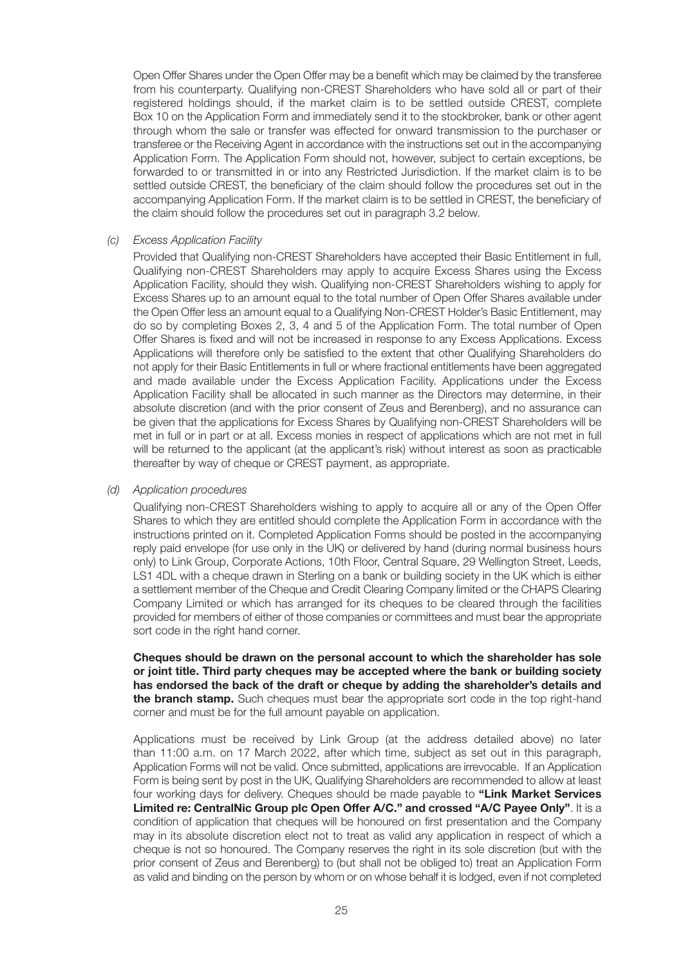Open Offer Shares under the Open Offer may be a benefit which may be claimed by the transferee from his counterparty. Qualifying non-CREST Shareholders who have sold all or part of their registered holdings should, if the market claim is to be settled outside CREST, complete Box 10 on the Application Form and immediately send it to the stockbroker, bank or other agent through whom the sale or transfer was effected for onward transmission to the purchaser or transferee or the Receiving Agent in accordance with the instructions set out in the accompanying Application Form. The Application Form should not, however, subject to certain exceptions, be forwarded to or transmitted in or into any Restricted Jurisdiction. If the market claim is to be settled outside CREST, the beneficiary of the claim should follow the procedures set out in the accompanying Application Form. If the market claim is to be settled in CREST, the beneficiary of the claim should follow the procedures set out in paragraph 3.2 below.

#### *(c) Excess Application Facility*

Provided that Qualifying non-CREST Shareholders have accepted their Basic Entitlement in full, Qualifying non-CREST Shareholders may apply to acquire Excess Shares using the Excess Application Facility, should they wish. Qualifying non-CREST Shareholders wishing to apply for Excess Shares up to an amount equal to the total number of Open Offer Shares available under the Open Offer less an amount equal to a Qualifying Non-CREST Holder's Basic Entitlement, may do so by completing Boxes 2, 3, 4 and 5 of the Application Form. The total number of Open Offer Shares is fixed and will not be increased in response to any Excess Applications. Excess Applications will therefore only be satisfied to the extent that other Qualifying Shareholders do not apply for their Basic Entitlements in full or where fractional entitlements have been aggregated and made available under the Excess Application Facility. Applications under the Excess Application Facility shall be allocated in such manner as the Directors may determine, in their absolute discretion (and with the prior consent of Zeus and Berenberg), and no assurance can be given that the applications for Excess Shares by Qualifying non-CREST Shareholders will be met in full or in part or at all. Excess monies in respect of applications which are not met in full will be returned to the applicant (at the applicant's risk) without interest as soon as practicable thereafter by way of cheque or CREST payment, as appropriate.

#### *(d) Application procedures*

Qualifying non-CREST Shareholders wishing to apply to acquire all or any of the Open Offer Shares to which they are entitled should complete the Application Form in accordance with the instructions printed on it. Completed Application Forms should be posted in the accompanying reply paid envelope (for use only in the UK) or delivered by hand (during normal business hours only) to Link Group, Corporate Actions, 10th Floor, Central Square, 29 Wellington Street, Leeds, LS1 4DL with a cheque drawn in Sterling on a bank or building society in the UK which is either a settlement member of the Cheque and Credit Clearing Company limited or the CHAPS Clearing Company Limited or which has arranged for its cheques to be cleared through the facilities provided for members of either of those companies or committees and must bear the appropriate sort code in the right hand corner.

**Cheques should be drawn on the personal account to which the shareholder has sole or joint title. Third party cheques may be accepted where the bank or building society has endorsed the back of the draft or cheque by adding the shareholder's details and the branch stamp.** Such cheques must bear the appropriate sort code in the top right-hand corner and must be for the full amount payable on application.

Applications must be received by Link Group (at the address detailed above) no later than 11:00 a.m. on 17 March 2022, after which time, subject as set out in this paragraph, Application Forms will not be valid. Once submitted, applications are irrevocable. If an Application Form is being sent by post in the UK, Qualifying Shareholders are recommended to allow at least four working days for delivery. Cheques should be made payable to **"Link Market Services Limited re: CentralNic Group plc Open Offer A/C." and crossed "A/C Payee Only"**. It is a condition of application that cheques will be honoured on first presentation and the Company may in its absolute discretion elect not to treat as valid any application in respect of which a cheque is not so honoured. The Company reserves the right in its sole discretion (but with the prior consent of Zeus and Berenberg) to (but shall not be obliged to) treat an Application Form as valid and binding on the person by whom or on whose behalf it is lodged, even if not completed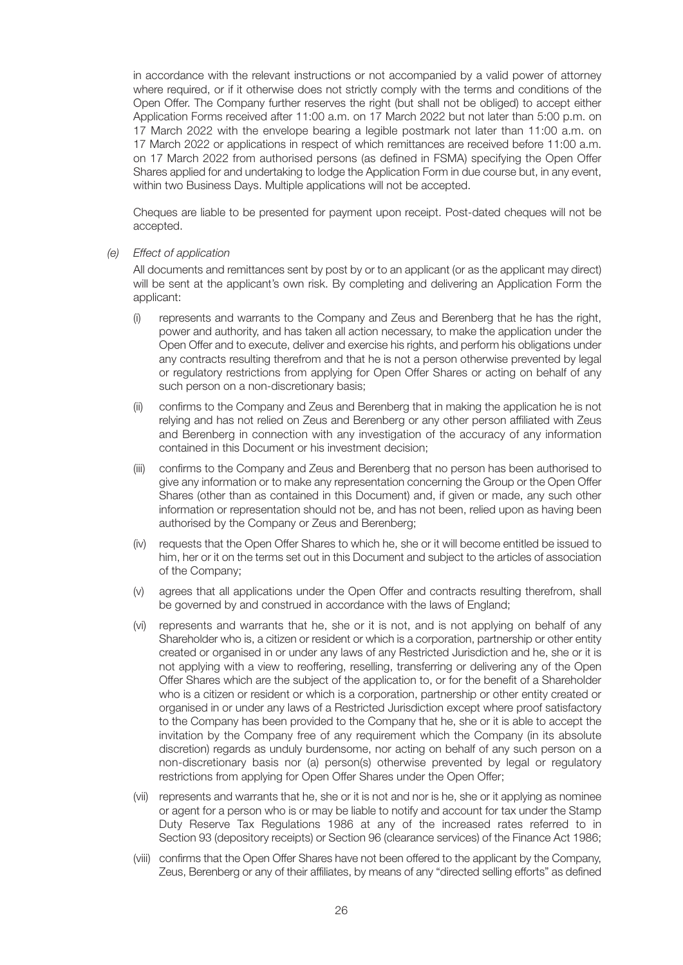in accordance with the relevant instructions or not accompanied by a valid power of attorney where required, or if it otherwise does not strictly comply with the terms and conditions of the Open Offer. The Company further reserves the right (but shall not be obliged) to accept either Application Forms received after 11:00 a.m. on 17 March 2022 but not later than 5:00 p.m. on 17 March 2022 with the envelope bearing a legible postmark not later than 11:00 a.m. on 17 March 2022 or applications in respect of which remittances are received before 11:00 a.m. on 17 March 2022 from authorised persons (as defined in FSMA) specifying the Open Offer Shares applied for and undertaking to lodge the Application Form in due course but, in any event, within two Business Days. Multiple applications will not be accepted.

Cheques are liable to be presented for payment upon receipt. Post-dated cheques will not be accepted.

*(e) Effect of application*

All documents and remittances sent by post by or to an applicant (or as the applicant may direct) will be sent at the applicant's own risk. By completing and delivering an Application Form the applicant:

- (i) represents and warrants to the Company and Zeus and Berenberg that he has the right, power and authority, and has taken all action necessary, to make the application under the Open Offer and to execute, deliver and exercise his rights, and perform his obligations under any contracts resulting therefrom and that he is not a person otherwise prevented by legal or regulatory restrictions from applying for Open Offer Shares or acting on behalf of any such person on a non-discretionary basis;
- (ii) confirms to the Company and Zeus and Berenberg that in making the application he is not relying and has not relied on Zeus and Berenberg or any other person affiliated with Zeus and Berenberg in connection with any investigation of the accuracy of any information contained in this Document or his investment decision;
- (iii) confirms to the Company and Zeus and Berenberg that no person has been authorised to give any information or to make any representation concerning the Group or the Open Offer Shares (other than as contained in this Document) and, if given or made, any such other information or representation should not be, and has not been, relied upon as having been authorised by the Company or Zeus and Berenberg;
- (iv) requests that the Open Offer Shares to which he, she or it will become entitled be issued to him, her or it on the terms set out in this Document and subject to the articles of association of the Company;
- (v) agrees that all applications under the Open Offer and contracts resulting therefrom, shall be governed by and construed in accordance with the laws of England;
- (vi) represents and warrants that he, she or it is not, and is not applying on behalf of any Shareholder who is, a citizen or resident or which is a corporation, partnership or other entity created or organised in or under any laws of any Restricted Jurisdiction and he, she or it is not applying with a view to reoffering, reselling, transferring or delivering any of the Open Offer Shares which are the subject of the application to, or for the benefit of a Shareholder who is a citizen or resident or which is a corporation, partnership or other entity created or organised in or under any laws of a Restricted Jurisdiction except where proof satisfactory to the Company has been provided to the Company that he, she or it is able to accept the invitation by the Company free of any requirement which the Company (in its absolute discretion) regards as unduly burdensome, nor acting on behalf of any such person on a non-discretionary basis nor (a) person(s) otherwise prevented by legal or regulatory restrictions from applying for Open Offer Shares under the Open Offer;
- (vii) represents and warrants that he, she or it is not and nor is he, she or it applying as nominee or agent for a person who is or may be liable to notify and account for tax under the Stamp Duty Reserve Tax Regulations 1986 at any of the increased rates referred to in Section 93 (depository receipts) or Section 96 (clearance services) of the Finance Act 1986;
- (viii) confirms that the Open Offer Shares have not been offered to the applicant by the Company, Zeus, Berenberg or any of their affiliates, by means of any "directed selling efforts" as defined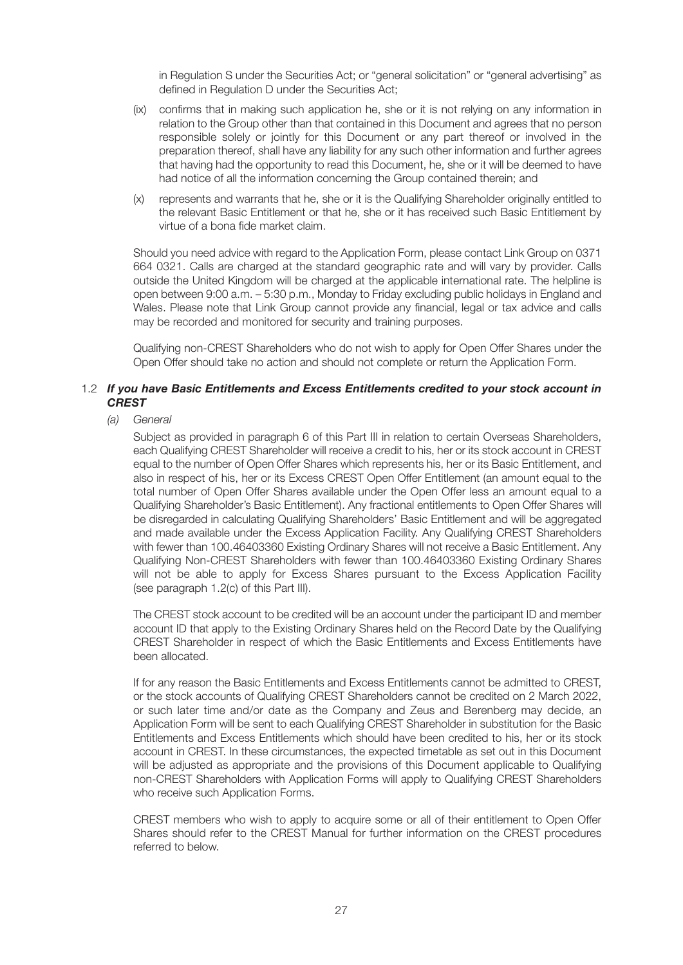in Regulation S under the Securities Act; or "general solicitation" or "general advertising" as defined in Regulation D under the Securities Act;

- (ix) confirms that in making such application he, she or it is not relying on any information in relation to the Group other than that contained in this Document and agrees that no person responsible solely or jointly for this Document or any part thereof or involved in the preparation thereof, shall have any liability for any such other information and further agrees that having had the opportunity to read this Document, he, she or it will be deemed to have had notice of all the information concerning the Group contained therein; and
- (x) represents and warrants that he, she or it is the Qualifying Shareholder originally entitled to the relevant Basic Entitlement or that he, she or it has received such Basic Entitlement by virtue of a bona fide market claim.

Should you need advice with regard to the Application Form, please contact Link Group on 0371 664 0321. Calls are charged at the standard geographic rate and will vary by provider. Calls outside the United Kingdom will be charged at the applicable international rate. The helpline is open between 9:00 a.m. – 5:30 p.m., Monday to Friday excluding public holidays in England and Wales. Please note that Link Group cannot provide any financial, legal or tax advice and calls may be recorded and monitored for security and training purposes.

Qualifying non-CREST Shareholders who do not wish to apply for Open Offer Shares under the Open Offer should take no action and should not complete or return the Application Form.

#### 1.2 *If you have Basic Entitlements and Excess Entitlements credited to your stock account in CREST*

#### *(a) General*

Subject as provided in paragraph 6 of this Part III in relation to certain Overseas Shareholders, each Qualifying CREST Shareholder will receive a credit to his, her or its stock account in CREST equal to the number of Open Offer Shares which represents his, her or its Basic Entitlement, and also in respect of his, her or its Excess CREST Open Offer Entitlement (an amount equal to the total number of Open Offer Shares available under the Open Offer less an amount equal to a Qualifying Shareholder's Basic Entitlement). Any fractional entitlements to Open Offer Shares will be disregarded in calculating Qualifying Shareholders' Basic Entitlement and will be aggregated and made available under the Excess Application Facility. Any Qualifying CREST Shareholders with fewer than 100.46403360 Existing Ordinary Shares will not receive a Basic Entitlement. Any Qualifying Non-CREST Shareholders with fewer than 100.46403360 Existing Ordinary Shares will not be able to apply for Excess Shares pursuant to the Excess Application Facility (see paragraph 1.2(c) of this Part III).

The CREST stock account to be credited will be an account under the participant ID and member account ID that apply to the Existing Ordinary Shares held on the Record Date by the Qualifying CREST Shareholder in respect of which the Basic Entitlements and Excess Entitlements have been allocated.

If for any reason the Basic Entitlements and Excess Entitlements cannot be admitted to CREST, or the stock accounts of Qualifying CREST Shareholders cannot be credited on 2 March 2022, or such later time and/or date as the Company and Zeus and Berenberg may decide, an Application Form will be sent to each Qualifying CREST Shareholder in substitution for the Basic Entitlements and Excess Entitlements which should have been credited to his, her or its stock account in CREST. In these circumstances, the expected timetable as set out in this Document will be adjusted as appropriate and the provisions of this Document applicable to Qualifying non-CREST Shareholders with Application Forms will apply to Qualifying CREST Shareholders who receive such Application Forms.

CREST members who wish to apply to acquire some or all of their entitlement to Open Offer Shares should refer to the CREST Manual for further information on the CREST procedures referred to below.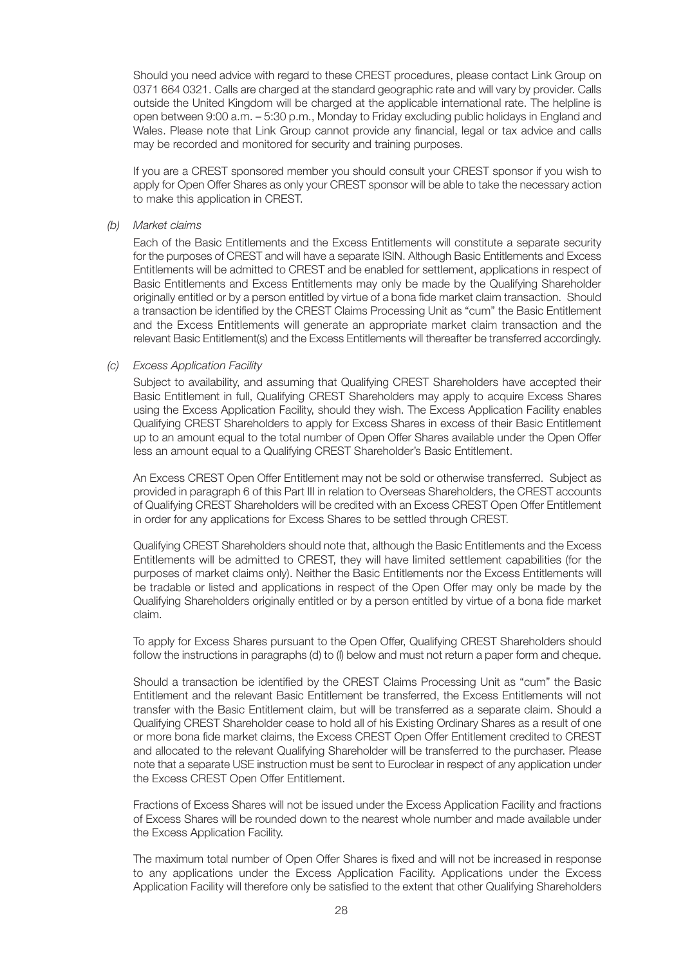Should you need advice with regard to these CREST procedures, please contact Link Group on 0371 664 0321. Calls are charged at the standard geographic rate and will vary by provider. Calls outside the United Kingdom will be charged at the applicable international rate. The helpline is open between 9:00 a.m. – 5:30 p.m., Monday to Friday excluding public holidays in England and Wales. Please note that Link Group cannot provide any financial, legal or tax advice and calls may be recorded and monitored for security and training purposes.

If you are a CREST sponsored member you should consult your CREST sponsor if you wish to apply for Open Offer Shares as only your CREST sponsor will be able to take the necessary action to make this application in CREST.

#### *(b) Market claims*

Each of the Basic Entitlements and the Excess Entitlements will constitute a separate security for the purposes of CREST and will have a separate ISIN. Although Basic Entitlements and Excess Entitlements will be admitted to CREST and be enabled for settlement, applications in respect of Basic Entitlements and Excess Entitlements may only be made by the Qualifying Shareholder originally entitled or by a person entitled by virtue of a bona fide market claim transaction. Should a transaction be identified by the CREST Claims Processing Unit as "cum" the Basic Entitlement and the Excess Entitlements will generate an appropriate market claim transaction and the relevant Basic Entitlement(s) and the Excess Entitlements will thereafter be transferred accordingly.

#### *(c) Excess Application Facility*

Subject to availability, and assuming that Qualifying CREST Shareholders have accepted their Basic Entitlement in full, Qualifying CREST Shareholders may apply to acquire Excess Shares using the Excess Application Facility, should they wish. The Excess Application Facility enables Qualifying CREST Shareholders to apply for Excess Shares in excess of their Basic Entitlement up to an amount equal to the total number of Open Offer Shares available under the Open Offer less an amount equal to a Qualifying CREST Shareholder's Basic Entitlement.

An Excess CREST Open Offer Entitlement may not be sold or otherwise transferred. Subject as provided in paragraph 6 of this Part III in relation to Overseas Shareholders, the CREST accounts of Qualifying CREST Shareholders will be credited with an Excess CREST Open Offer Entitlement in order for any applications for Excess Shares to be settled through CREST.

Qualifying CREST Shareholders should note that, although the Basic Entitlements and the Excess Entitlements will be admitted to CREST, they will have limited settlement capabilities (for the purposes of market claims only). Neither the Basic Entitlements nor the Excess Entitlements will be tradable or listed and applications in respect of the Open Offer may only be made by the Qualifying Shareholders originally entitled or by a person entitled by virtue of a bona fide market claim.

To apply for Excess Shares pursuant to the Open Offer, Qualifying CREST Shareholders should follow the instructions in paragraphs (d) to (l) below and must not return a paper form and cheque.

Should a transaction be identified by the CREST Claims Processing Unit as "cum" the Basic Entitlement and the relevant Basic Entitlement be transferred, the Excess Entitlements will not transfer with the Basic Entitlement claim, but will be transferred as a separate claim. Should a Qualifying CREST Shareholder cease to hold all of his Existing Ordinary Shares as a result of one or more bona fide market claims, the Excess CREST Open Offer Entitlement credited to CREST and allocated to the relevant Qualifying Shareholder will be transferred to the purchaser. Please note that a separate USE instruction must be sent to Euroclear in respect of any application under the Excess CREST Open Offer Entitlement.

Fractions of Excess Shares will not be issued under the Excess Application Facility and fractions of Excess Shares will be rounded down to the nearest whole number and made available under the Excess Application Facility.

The maximum total number of Open Offer Shares is fixed and will not be increased in response to any applications under the Excess Application Facility. Applications under the Excess Application Facility will therefore only be satisfied to the extent that other Qualifying Shareholders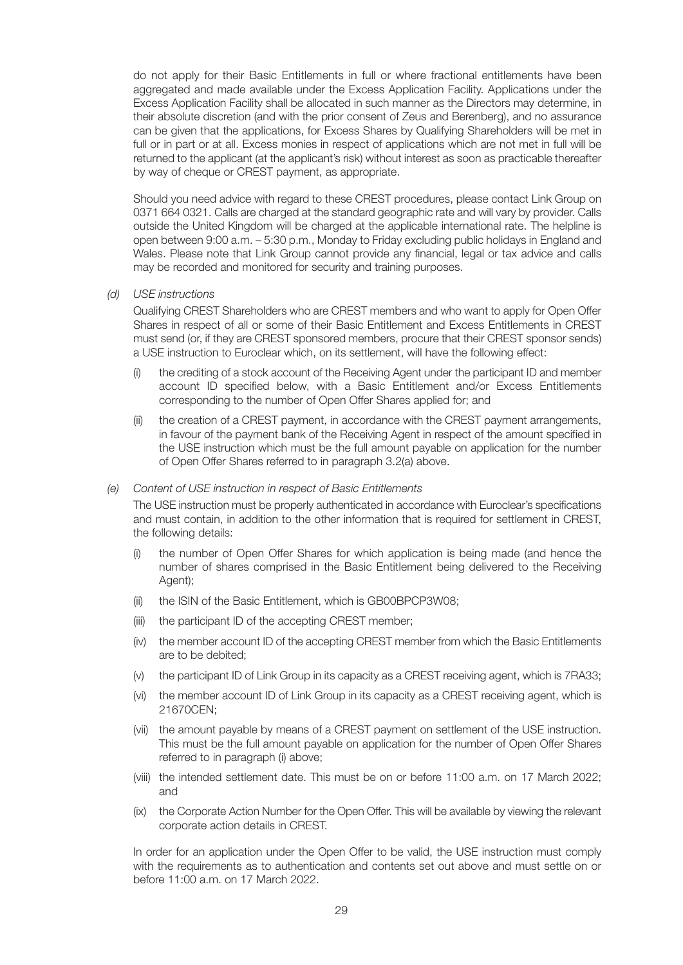do not apply for their Basic Entitlements in full or where fractional entitlements have been aggregated and made available under the Excess Application Facility. Applications under the Excess Application Facility shall be allocated in such manner as the Directors may determine, in their absolute discretion (and with the prior consent of Zeus and Berenberg), and no assurance can be given that the applications, for Excess Shares by Qualifying Shareholders will be met in full or in part or at all. Excess monies in respect of applications which are not met in full will be returned to the applicant (at the applicant's risk) without interest as soon as practicable thereafter by way of cheque or CREST payment, as appropriate.

Should you need advice with regard to these CREST procedures, please contact Link Group on 0371 664 0321. Calls are charged at the standard geographic rate and will vary by provider. Calls outside the United Kingdom will be charged at the applicable international rate. The helpline is open between 9:00 a.m. – 5:30 p.m., Monday to Friday excluding public holidays in England and Wales. Please note that Link Group cannot provide any financial, legal or tax advice and calls may be recorded and monitored for security and training purposes.

*(d) USE instructions*

Qualifying CREST Shareholders who are CREST members and who want to apply for Open Offer Shares in respect of all or some of their Basic Entitlement and Excess Entitlements in CREST must send (or, if they are CREST sponsored members, procure that their CREST sponsor sends) a USE instruction to Euroclear which, on its settlement, will have the following effect:

- the crediting of a stock account of the Receiving Agent under the participant ID and member account ID specified below, with a Basic Entitlement and/or Excess Entitlements corresponding to the number of Open Offer Shares applied for; and
- the creation of a CREST payment, in accordance with the CREST payment arrangements, in favour of the payment bank of the Receiving Agent in respect of the amount specified in the USE instruction which must be the full amount payable on application for the number of Open Offer Shares referred to in paragraph 3.2(a) above.

#### *(e) Content of USE instruction in respect of Basic Entitlements*

The USE instruction must be properly authenticated in accordance with Euroclear's specifications and must contain, in addition to the other information that is required for settlement in CREST, the following details:

- (i) the number of Open Offer Shares for which application is being made (and hence the number of shares comprised in the Basic Entitlement being delivered to the Receiving Agent);
- (ii) the ISIN of the Basic Entitlement, which is GB00BPCP3W08;
- (iii) the participant ID of the accepting CREST member;
- (iv) the member account ID of the accepting CREST member from which the Basic Entitlements are to be debited;
- (v) the participant ID of Link Group in its capacity as a CREST receiving agent, which is 7RA33;
- (vi) the member account ID of Link Group in its capacity as a CREST receiving agent, which is 21670CEN;
- (vii) the amount payable by means of a CREST payment on settlement of the USE instruction. This must be the full amount payable on application for the number of Open Offer Shares referred to in paragraph (i) above;
- (viii) the intended settlement date. This must be on or before 11:00 a.m. on 17 March 2022; and
- (ix) the Corporate Action Number for the Open Offer. This will be available by viewing the relevant corporate action details in CREST.

In order for an application under the Open Offer to be valid, the USE instruction must comply with the requirements as to authentication and contents set out above and must settle on or before 11:00 a.m. on 17 March 2022.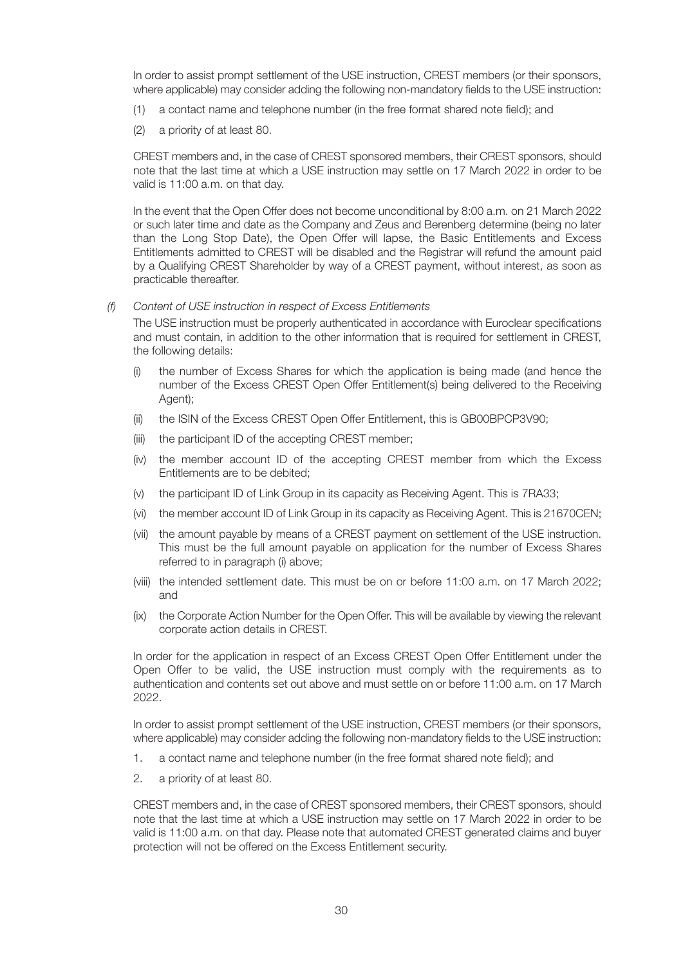In order to assist prompt settlement of the USE instruction, CREST members (or their sponsors, where applicable) may consider adding the following non-mandatory fields to the USE instruction:

- (1) a contact name and telephone number (in the free format shared note field); and
- (2) a priority of at least 80.

CREST members and, in the case of CREST sponsored members, their CREST sponsors, should note that the last time at which a USE instruction may settle on 17 March 2022 in order to be valid is 11:00 a.m. on that day.

In the event that the Open Offer does not become unconditional by 8:00 a.m. on 21 March 2022 or such later time and date as the Company and Zeus and Berenberg determine (being no later than the Long Stop Date), the Open Offer will lapse, the Basic Entitlements and Excess Entitlements admitted to CREST will be disabled and the Registrar will refund the amount paid by a Qualifying CREST Shareholder by way of a CREST payment, without interest, as soon as practicable thereafter.

# *(f) Content of USE instruction in respect of Excess Entitlements*

The USE instruction must be properly authenticated in accordance with Euroclear specifications and must contain, in addition to the other information that is required for settlement in CREST, the following details:

- (i) the number of Excess Shares for which the application is being made (and hence the number of the Excess CREST Open Offer Entitlement(s) being delivered to the Receiving Agent);
- (ii) the ISIN of the Excess CREST Open Offer Entitlement, this is GB00BPCP3V90;
- (iii) the participant ID of the accepting CREST member;
- (iv) the member account ID of the accepting CREST member from which the Excess Entitlements are to be debited;
- (v) the participant ID of Link Group in its capacity as Receiving Agent. This is 7RA33;
- (vi) the member account ID of Link Group in its capacity as Receiving Agent. This is 21670CEN;
- (vii) the amount payable by means of a CREST payment on settlement of the USE instruction. This must be the full amount payable on application for the number of Excess Shares referred to in paragraph (i) above;
- (viii) the intended settlement date. This must be on or before 11:00 a.m. on 17 March 2022; and
- (ix) the Corporate Action Number for the Open Offer. This will be available by viewing the relevant corporate action details in CREST.

In order for the application in respect of an Excess CREST Open Offer Entitlement under the Open Offer to be valid, the USE instruction must comply with the requirements as to authentication and contents set out above and must settle on or before 11:00 a.m. on 17 March 2022.

In order to assist prompt settlement of the USE instruction, CREST members (or their sponsors, where applicable) may consider adding the following non-mandatory fields to the USE instruction:

- 1. a contact name and telephone number (in the free format shared note field); and
- 2. a priority of at least 80.

CREST members and, in the case of CREST sponsored members, their CREST sponsors, should note that the last time at which a USE instruction may settle on 17 March 2022 in order to be valid is 11:00 a.m. on that day. Please note that automated CREST generated claims and buyer protection will not be offered on the Excess Entitlement security.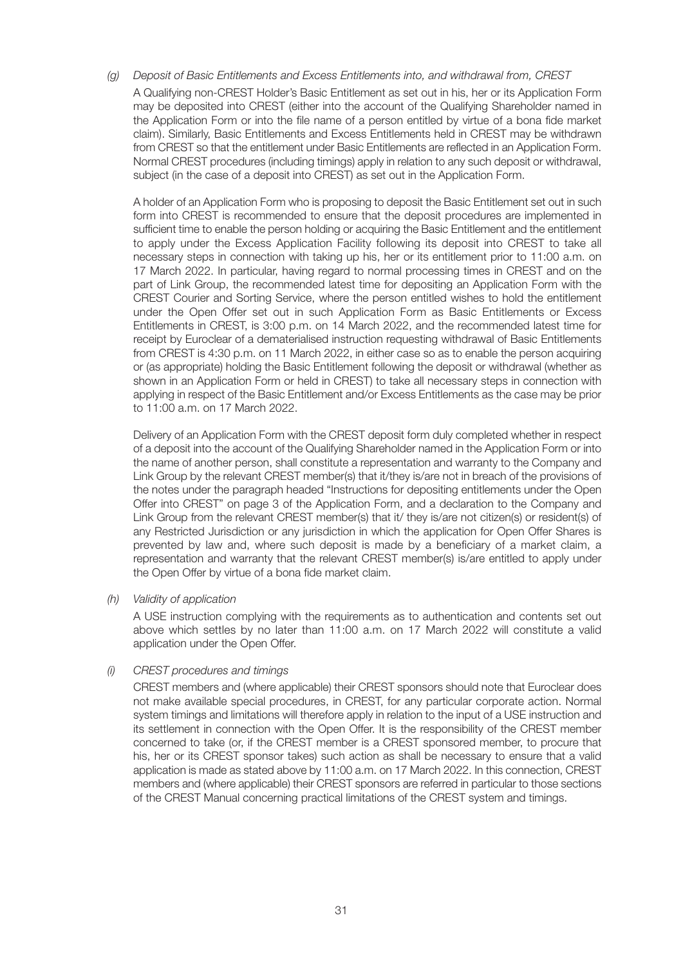*(g) Deposit of Basic Entitlements and Excess Entitlements into, and withdrawal from, CREST* A Qualifying non-CREST Holder's Basic Entitlement as set out in his, her or its Application Form may be deposited into CREST (either into the account of the Qualifying Shareholder named in the Application Form or into the file name of a person entitled by virtue of a bona fide market claim). Similarly, Basic Entitlements and Excess Entitlements held in CREST may be withdrawn from CREST so that the entitlement under Basic Entitlements are reflected in an Application Form. Normal CREST procedures (including timings) apply in relation to any such deposit or withdrawal, subject (in the case of a deposit into CREST) as set out in the Application Form.

A holder of an Application Form who is proposing to deposit the Basic Entitlement set out in such form into CREST is recommended to ensure that the deposit procedures are implemented in sufficient time to enable the person holding or acquiring the Basic Entitlement and the entitlement to apply under the Excess Application Facility following its deposit into CREST to take all necessary steps in connection with taking up his, her or its entitlement prior to 11:00 a.m. on 17 March 2022. In particular, having regard to normal processing times in CREST and on the part of Link Group, the recommended latest time for depositing an Application Form with the CREST Courier and Sorting Service, where the person entitled wishes to hold the entitlement under the Open Offer set out in such Application Form as Basic Entitlements or Excess Entitlements in CREST, is 3:00 p.m. on 14 March 2022, and the recommended latest time for receipt by Euroclear of a dematerialised instruction requesting withdrawal of Basic Entitlements from CREST is 4:30 p.m. on 11 March 2022, in either case so as to enable the person acquiring or (as appropriate) holding the Basic Entitlement following the deposit or withdrawal (whether as shown in an Application Form or held in CREST) to take all necessary steps in connection with applying in respect of the Basic Entitlement and/or Excess Entitlements as the case may be prior to 11:00 a.m. on 17 March 2022.

Delivery of an Application Form with the CREST deposit form duly completed whether in respect of a deposit into the account of the Qualifying Shareholder named in the Application Form or into the name of another person, shall constitute a representation and warranty to the Company and Link Group by the relevant CREST member(s) that it/they is/are not in breach of the provisions of the notes under the paragraph headed "Instructions for depositing entitlements under the Open Offer into CREST" on page 3 of the Application Form, and a declaration to the Company and Link Group from the relevant CREST member(s) that it/ they is/are not citizen(s) or resident(s) of any Restricted Jurisdiction or any jurisdiction in which the application for Open Offer Shares is prevented by law and, where such deposit is made by a beneficiary of a market claim, a representation and warranty that the relevant CREST member(s) is/are entitled to apply under the Open Offer by virtue of a bona fide market claim.

#### *(h) Validity of application*

A USE instruction complying with the requirements as to authentication and contents set out above which settles by no later than 11:00 a.m. on 17 March 2022 will constitute a valid application under the Open Offer.

#### *(i) CREST procedures and timings*

CREST members and (where applicable) their CREST sponsors should note that Euroclear does not make available special procedures, in CREST, for any particular corporate action. Normal system timings and limitations will therefore apply in relation to the input of a USE instruction and its settlement in connection with the Open Offer. It is the responsibility of the CREST member concerned to take (or, if the CREST member is a CREST sponsored member, to procure that his, her or its CREST sponsor takes) such action as shall be necessary to ensure that a valid application is made as stated above by 11:00 a.m. on 17 March 2022. In this connection, CREST members and (where applicable) their CREST sponsors are referred in particular to those sections of the CREST Manual concerning practical limitations of the CREST system and timings.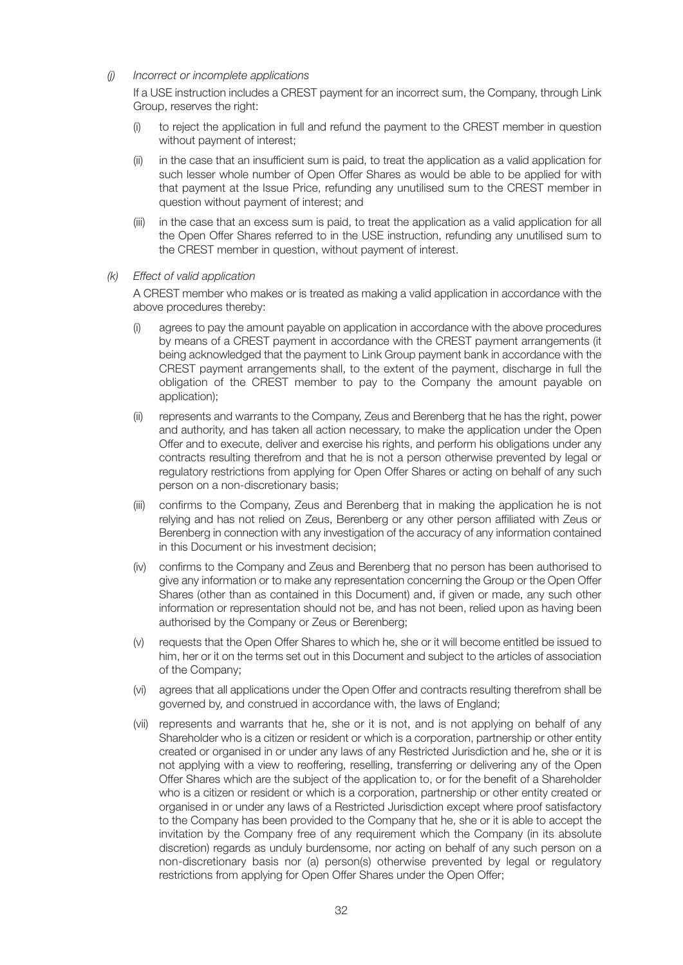*(j) Incorrect or incomplete applications*

If a USE instruction includes a CREST payment for an incorrect sum, the Company, through Link Group, reserves the right:

- (i) to reject the application in full and refund the payment to the CREST member in question without payment of interest;
- (ii) in the case that an insufficient sum is paid, to treat the application as a valid application for such lesser whole number of Open Offer Shares as would be able to be applied for with that payment at the Issue Price, refunding any unutilised sum to the CREST member in question without payment of interest; and
- (iii) in the case that an excess sum is paid, to treat the application as a valid application for all the Open Offer Shares referred to in the USE instruction, refunding any unutilised sum to the CREST member in question, without payment of interest.

#### *(k) Effect of valid application*

A CREST member who makes or is treated as making a valid application in accordance with the above procedures thereby:

- agrees to pay the amount payable on application in accordance with the above procedures by means of a CREST payment in accordance with the CREST payment arrangements (it being acknowledged that the payment to Link Group payment bank in accordance with the CREST payment arrangements shall, to the extent of the payment, discharge in full the obligation of the CREST member to pay to the Company the amount payable on application);
- (ii) represents and warrants to the Company, Zeus and Berenberg that he has the right, power and authority, and has taken all action necessary, to make the application under the Open Offer and to execute, deliver and exercise his rights, and perform his obligations under any contracts resulting therefrom and that he is not a person otherwise prevented by legal or regulatory restrictions from applying for Open Offer Shares or acting on behalf of any such person on a non-discretionary basis;
- (iii) confirms to the Company, Zeus and Berenberg that in making the application he is not relying and has not relied on Zeus, Berenberg or any other person affiliated with Zeus or Berenberg in connection with any investigation of the accuracy of any information contained in this Document or his investment decision;
- (iv) confirms to the Company and Zeus and Berenberg that no person has been authorised to give any information or to make any representation concerning the Group or the Open Offer Shares (other than as contained in this Document) and, if given or made, any such other information or representation should not be, and has not been, relied upon as having been authorised by the Company or Zeus or Berenberg;
- (v) requests that the Open Offer Shares to which he, she or it will become entitled be issued to him, her or it on the terms set out in this Document and subject to the articles of association of the Company;
- (vi) agrees that all applications under the Open Offer and contracts resulting therefrom shall be governed by, and construed in accordance with, the laws of England;
- (vii) represents and warrants that he, she or it is not, and is not applying on behalf of any Shareholder who is a citizen or resident or which is a corporation, partnership or other entity created or organised in or under any laws of any Restricted Jurisdiction and he, she or it is not applying with a view to reoffering, reselling, transferring or delivering any of the Open Offer Shares which are the subject of the application to, or for the benefit of a Shareholder who is a citizen or resident or which is a corporation, partnership or other entity created or organised in or under any laws of a Restricted Jurisdiction except where proof satisfactory to the Company has been provided to the Company that he, she or it is able to accept the invitation by the Company free of any requirement which the Company (in its absolute discretion) regards as unduly burdensome, nor acting on behalf of any such person on a non-discretionary basis nor (a) person(s) otherwise prevented by legal or regulatory restrictions from applying for Open Offer Shares under the Open Offer;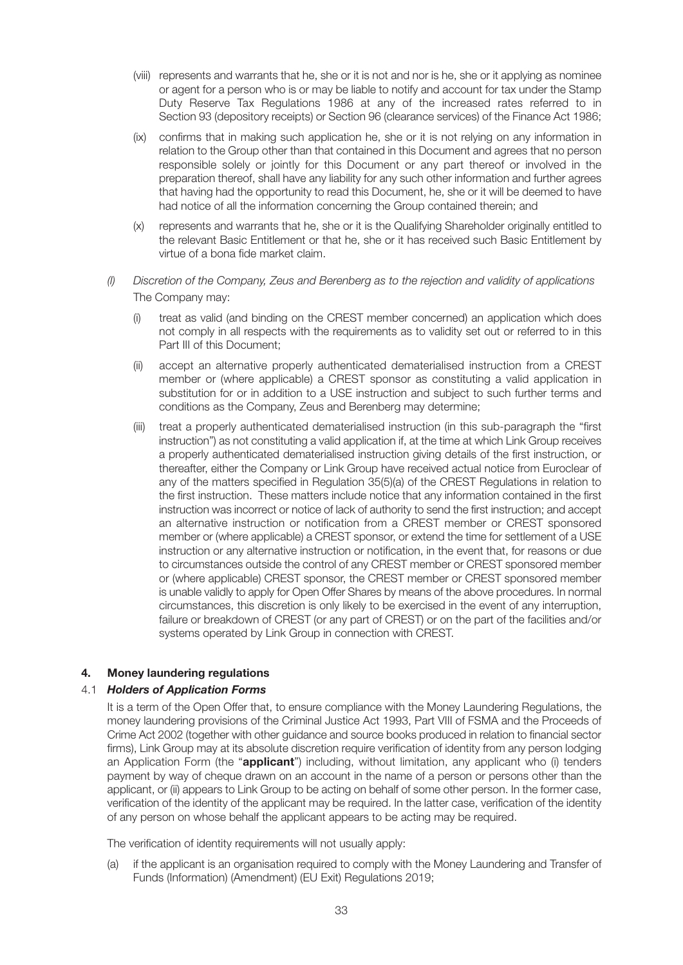- (viii) represents and warrants that he, she or it is not and nor is he, she or it applying as nominee or agent for a person who is or may be liable to notify and account for tax under the Stamp Duty Reserve Tax Regulations 1986 at any of the increased rates referred to in Section 93 (depository receipts) or Section 96 (clearance services) of the Finance Act 1986;
- (ix) confirms that in making such application he, she or it is not relying on any information in relation to the Group other than that contained in this Document and agrees that no person responsible solely or jointly for this Document or any part thereof or involved in the preparation thereof, shall have any liability for any such other information and further agrees that having had the opportunity to read this Document, he, she or it will be deemed to have had notice of all the information concerning the Group contained therein; and
- (x) represents and warrants that he, she or it is the Qualifying Shareholder originally entitled to the relevant Basic Entitlement or that he, she or it has received such Basic Entitlement by virtue of a bona fide market claim.
- *(l) Discretion of the Company, Zeus and Berenberg as to the rejection and validity of applications* The Company may:
	- (i) treat as valid (and binding on the CREST member concerned) an application which does not comply in all respects with the requirements as to validity set out or referred to in this Part III of this Document;
	- (ii) accept an alternative properly authenticated dematerialised instruction from a CREST member or (where applicable) a CREST sponsor as constituting a valid application in substitution for or in addition to a USE instruction and subject to such further terms and conditions as the Company, Zeus and Berenberg may determine;
	- (iii) treat a properly authenticated dematerialised instruction (in this sub-paragraph the "first instruction") as not constituting a valid application if, at the time at which Link Group receives a properly authenticated dematerialised instruction giving details of the first instruction, or thereafter, either the Company or Link Group have received actual notice from Euroclear of any of the matters specified in Regulation 35(5)(a) of the CREST Regulations in relation to the first instruction. These matters include notice that any information contained in the first instruction was incorrect or notice of lack of authority to send the first instruction; and accept an alternative instruction or notification from a CREST member or CREST sponsored member or (where applicable) a CREST sponsor, or extend the time for settlement of a USE instruction or any alternative instruction or notification, in the event that, for reasons or due to circumstances outside the control of any CREST member or CREST sponsored member or (where applicable) CREST sponsor, the CREST member or CREST sponsored member is unable validly to apply for Open Offer Shares by means of the above procedures. In normal circumstances, this discretion is only likely to be exercised in the event of any interruption, failure or breakdown of CREST (or any part of CREST) or on the part of the facilities and/or systems operated by Link Group in connection with CREST.

#### **4. Money laundering regulations**

#### 4.1 *Holders of Application Forms*

It is a term of the Open Offer that, to ensure compliance with the Money Laundering Regulations, the money laundering provisions of the Criminal Justice Act 1993, Part VIII of FSMA and the Proceeds of Crime Act 2002 (together with other guidance and source books produced in relation to financial sector firms), Link Group may at its absolute discretion require verification of identity from any person lodging an Application Form (the "**applicant**") including, without limitation, any applicant who (i) tenders payment by way of cheque drawn on an account in the name of a person or persons other than the applicant, or (ii) appears to Link Group to be acting on behalf of some other person. In the former case, verification of the identity of the applicant may be required. In the latter case, verification of the identity of any person on whose behalf the applicant appears to be acting may be required.

The verification of identity requirements will not usually apply:

(a) if the applicant is an organisation required to comply with the Money Laundering and Transfer of Funds (Information) (Amendment) (EU Exit) Regulations 2019;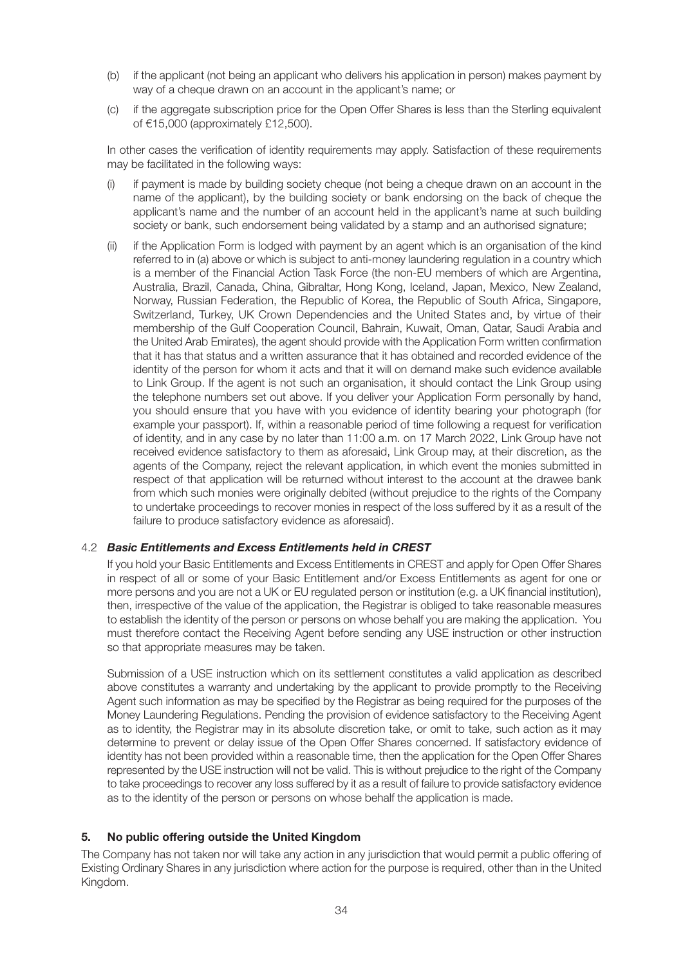- (b) if the applicant (not being an applicant who delivers his application in person) makes payment by way of a cheque drawn on an account in the applicant's name; or
- (c) if the aggregate subscription price for the Open Offer Shares is less than the Sterling equivalent of €15,000 (approximately £12,500).

In other cases the verification of identity requirements may apply. Satisfaction of these requirements may be facilitated in the following ways:

- (i) if payment is made by building society cheque (not being a cheque drawn on an account in the name of the applicant), by the building society or bank endorsing on the back of cheque the applicant's name and the number of an account held in the applicant's name at such building society or bank, such endorsement being validated by a stamp and an authorised signature;
- (ii) if the Application Form is lodged with payment by an agent which is an organisation of the kind referred to in (a) above or which is subject to anti-money laundering regulation in a country which is a member of the Financial Action Task Force (the non-EU members of which are Argentina, Australia, Brazil, Canada, China, Gibraltar, Hong Kong, Iceland, Japan, Mexico, New Zealand, Norway, Russian Federation, the Republic of Korea, the Republic of South Africa, Singapore, Switzerland, Turkey, UK Crown Dependencies and the United States and, by virtue of their membership of the Gulf Cooperation Council, Bahrain, Kuwait, Oman, Qatar, Saudi Arabia and the United Arab Emirates), the agent should provide with the Application Form written confirmation that it has that status and a written assurance that it has obtained and recorded evidence of the identity of the person for whom it acts and that it will on demand make such evidence available to Link Group. If the agent is not such an organisation, it should contact the Link Group using the telephone numbers set out above. If you deliver your Application Form personally by hand, you should ensure that you have with you evidence of identity bearing your photograph (for example your passport). If, within a reasonable period of time following a request for verification of identity, and in any case by no later than 11:00 a.m. on 17 March 2022, Link Group have not received evidence satisfactory to them as aforesaid, Link Group may, at their discretion, as the agents of the Company, reject the relevant application, in which event the monies submitted in respect of that application will be returned without interest to the account at the drawee bank from which such monies were originally debited (without prejudice to the rights of the Company to undertake proceedings to recover monies in respect of the loss suffered by it as a result of the failure to produce satisfactory evidence as aforesaid).

# 4.2 *Basic Entitlements and Excess Entitlements held in CREST*

If you hold your Basic Entitlements and Excess Entitlements in CREST and apply for Open Offer Shares in respect of all or some of your Basic Entitlement and/or Excess Entitlements as agent for one or more persons and you are not a UK or EU regulated person or institution (e.g. a UK financial institution), then, irrespective of the value of the application, the Registrar is obliged to take reasonable measures to establish the identity of the person or persons on whose behalf you are making the application. You must therefore contact the Receiving Agent before sending any USE instruction or other instruction so that appropriate measures may be taken.

Submission of a USE instruction which on its settlement constitutes a valid application as described above constitutes a warranty and undertaking by the applicant to provide promptly to the Receiving Agent such information as may be specified by the Registrar as being required for the purposes of the Money Laundering Regulations. Pending the provision of evidence satisfactory to the Receiving Agent as to identity, the Registrar may in its absolute discretion take, or omit to take, such action as it may determine to prevent or delay issue of the Open Offer Shares concerned. If satisfactory evidence of identity has not been provided within a reasonable time, then the application for the Open Offer Shares represented by the USE instruction will not be valid. This is without prejudice to the right of the Company to take proceedings to recover any loss suffered by it as a result of failure to provide satisfactory evidence as to the identity of the person or persons on whose behalf the application is made.

#### **5. No public offering outside the United Kingdom**

The Company has not taken nor will take any action in any jurisdiction that would permit a public offering of Existing Ordinary Shares in any jurisdiction where action for the purpose is required, other than in the United Kingdom.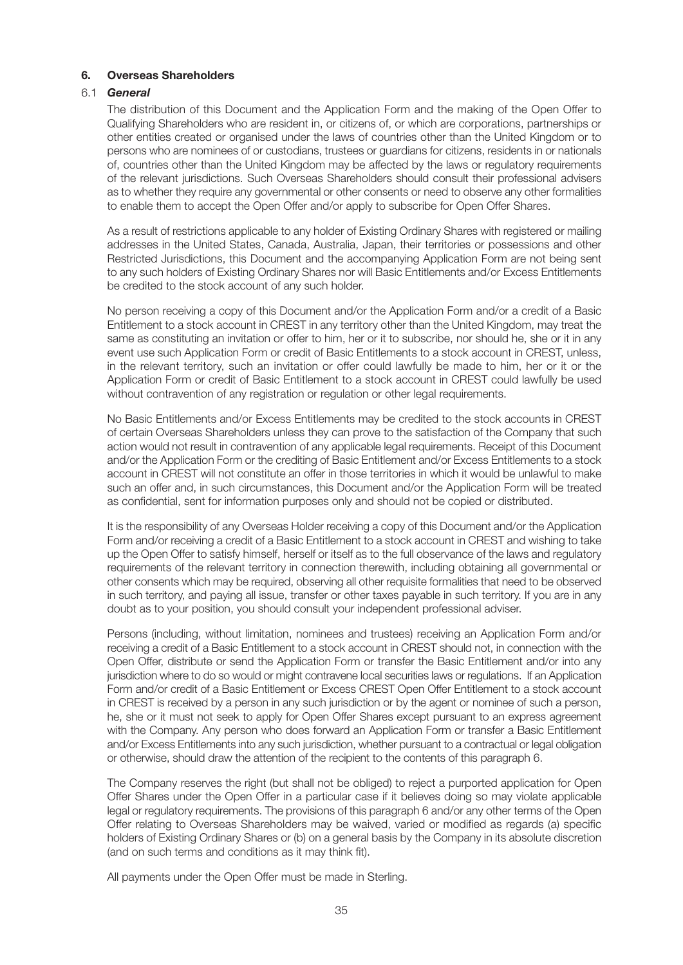#### **6. Overseas Shareholders**

#### 6.1 *General*

The distribution of this Document and the Application Form and the making of the Open Offer to Qualifying Shareholders who are resident in, or citizens of, or which are corporations, partnerships or other entities created or organised under the laws of countries other than the United Kingdom or to persons who are nominees of or custodians, trustees or guardians for citizens, residents in or nationals of, countries other than the United Kingdom may be affected by the laws or regulatory requirements of the relevant jurisdictions. Such Overseas Shareholders should consult their professional advisers as to whether they require any governmental or other consents or need to observe any other formalities to enable them to accept the Open Offer and/or apply to subscribe for Open Offer Shares.

As a result of restrictions applicable to any holder of Existing Ordinary Shares with registered or mailing addresses in the United States, Canada, Australia, Japan, their territories or possessions and other Restricted Jurisdictions, this Document and the accompanying Application Form are not being sent to any such holders of Existing Ordinary Shares nor will Basic Entitlements and/or Excess Entitlements be credited to the stock account of any such holder.

No person receiving a copy of this Document and/or the Application Form and/or a credit of a Basic Entitlement to a stock account in CREST in any territory other than the United Kingdom, may treat the same as constituting an invitation or offer to him, her or it to subscribe, nor should he, she or it in any event use such Application Form or credit of Basic Entitlements to a stock account in CREST, unless, in the relevant territory, such an invitation or offer could lawfully be made to him, her or it or the Application Form or credit of Basic Entitlement to a stock account in CREST could lawfully be used without contravention of any registration or regulation or other legal requirements.

No Basic Entitlements and/or Excess Entitlements may be credited to the stock accounts in CREST of certain Overseas Shareholders unless they can prove to the satisfaction of the Company that such action would not result in contravention of any applicable legal requirements. Receipt of this Document and/or the Application Form or the crediting of Basic Entitlement and/or Excess Entitlements to a stock account in CREST will not constitute an offer in those territories in which it would be unlawful to make such an offer and, in such circumstances, this Document and/or the Application Form will be treated as confidential, sent for information purposes only and should not be copied or distributed.

It is the responsibility of any Overseas Holder receiving a copy of this Document and/or the Application Form and/or receiving a credit of a Basic Entitlement to a stock account in CREST and wishing to take up the Open Offer to satisfy himself, herself or itself as to the full observance of the laws and regulatory requirements of the relevant territory in connection therewith, including obtaining all governmental or other consents which may be required, observing all other requisite formalities that need to be observed in such territory, and paying all issue, transfer or other taxes payable in such territory. If you are in any doubt as to your position, you should consult your independent professional adviser.

Persons (including, without limitation, nominees and trustees) receiving an Application Form and/or receiving a credit of a Basic Entitlement to a stock account in CREST should not, in connection with the Open Offer, distribute or send the Application Form or transfer the Basic Entitlement and/or into any jurisdiction where to do so would or might contravene local securities laws or regulations. If an Application Form and/or credit of a Basic Entitlement or Excess CREST Open Offer Entitlement to a stock account in CREST is received by a person in any such jurisdiction or by the agent or nominee of such a person, he, she or it must not seek to apply for Open Offer Shares except pursuant to an express agreement with the Company. Any person who does forward an Application Form or transfer a Basic Entitlement and/or Excess Entitlements into any such jurisdiction, whether pursuant to a contractual or legal obligation or otherwise, should draw the attention of the recipient to the contents of this paragraph 6.

The Company reserves the right (but shall not be obliged) to reject a purported application for Open Offer Shares under the Open Offer in a particular case if it believes doing so may violate applicable legal or regulatory requirements. The provisions of this paragraph 6 and/or any other terms of the Open Offer relating to Overseas Shareholders may be waived, varied or modified as regards (a) specific holders of Existing Ordinary Shares or (b) on a general basis by the Company in its absolute discretion (and on such terms and conditions as it may think fit).

All payments under the Open Offer must be made in Sterling.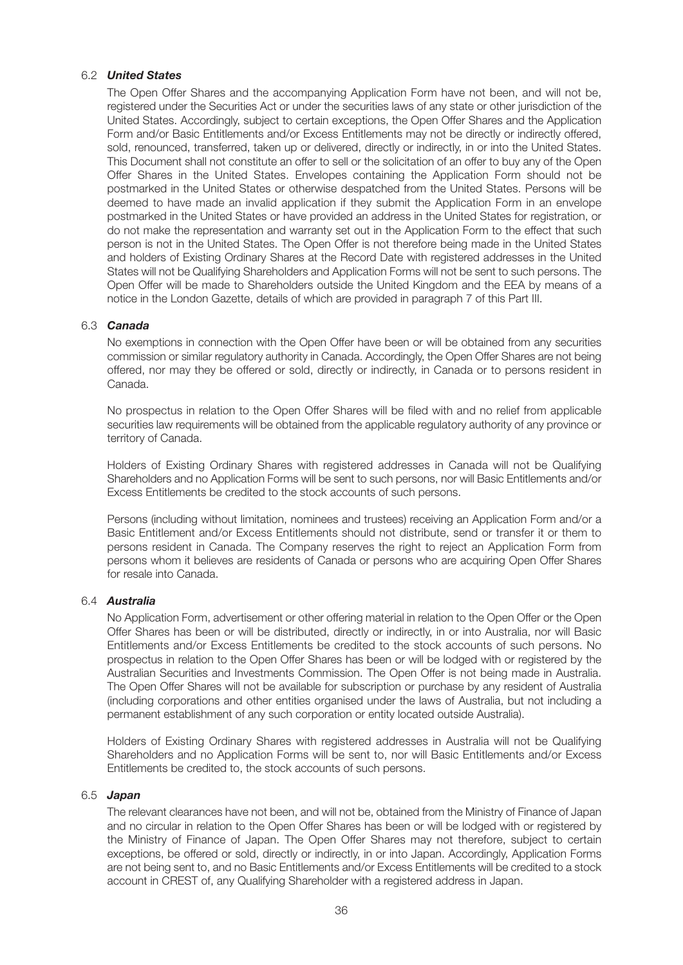#### 6.2 *United States*

The Open Offer Shares and the accompanying Application Form have not been, and will not be, registered under the Securities Act or under the securities laws of any state or other jurisdiction of the United States. Accordingly, subject to certain exceptions, the Open Offer Shares and the Application Form and/or Basic Entitlements and/or Excess Entitlements may not be directly or indirectly offered, sold, renounced, transferred, taken up or delivered, directly or indirectly, in or into the United States. This Document shall not constitute an offer to sell or the solicitation of an offer to buy any of the Open Offer Shares in the United States. Envelopes containing the Application Form should not be postmarked in the United States or otherwise despatched from the United States. Persons will be deemed to have made an invalid application if they submit the Application Form in an envelope postmarked in the United States or have provided an address in the United States for registration, or do not make the representation and warranty set out in the Application Form to the effect that such person is not in the United States. The Open Offer is not therefore being made in the United States and holders of Existing Ordinary Shares at the Record Date with registered addresses in the United States will not be Qualifying Shareholders and Application Forms will not be sent to such persons. The Open Offer will be made to Shareholders outside the United Kingdom and the EEA by means of a notice in the London Gazette, details of which are provided in paragraph 7 of this Part III.

#### 6.3 *Canada*

No exemptions in connection with the Open Offer have been or will be obtained from any securities commission or similar regulatory authority in Canada. Accordingly, the Open Offer Shares are not being offered, nor may they be offered or sold, directly or indirectly, in Canada or to persons resident in Canada.

No prospectus in relation to the Open Offer Shares will be filed with and no relief from applicable securities law requirements will be obtained from the applicable regulatory authority of any province or territory of Canada.

Holders of Existing Ordinary Shares with registered addresses in Canada will not be Qualifying Shareholders and no Application Forms will be sent to such persons, nor will Basic Entitlements and/or Excess Entitlements be credited to the stock accounts of such persons.

Persons (including without limitation, nominees and trustees) receiving an Application Form and/or a Basic Entitlement and/or Excess Entitlements should not distribute, send or transfer it or them to persons resident in Canada. The Company reserves the right to reject an Application Form from persons whom it believes are residents of Canada or persons who are acquiring Open Offer Shares for resale into Canada.

#### 6.4 *Australia*

No Application Form, advertisement or other offering material in relation to the Open Offer or the Open Offer Shares has been or will be distributed, directly or indirectly, in or into Australia, nor will Basic Entitlements and/or Excess Entitlements be credited to the stock accounts of such persons. No prospectus in relation to the Open Offer Shares has been or will be lodged with or registered by the Australian Securities and Investments Commission. The Open Offer is not being made in Australia. The Open Offer Shares will not be available for subscription or purchase by any resident of Australia (including corporations and other entities organised under the laws of Australia, but not including a permanent establishment of any such corporation or entity located outside Australia).

Holders of Existing Ordinary Shares with registered addresses in Australia will not be Qualifying Shareholders and no Application Forms will be sent to, nor will Basic Entitlements and/or Excess Entitlements be credited to, the stock accounts of such persons.

#### 6.5 *Japan*

The relevant clearances have not been, and will not be, obtained from the Ministry of Finance of Japan and no circular in relation to the Open Offer Shares has been or will be lodged with or registered by the Ministry of Finance of Japan. The Open Offer Shares may not therefore, subject to certain exceptions, be offered or sold, directly or indirectly, in or into Japan. Accordingly, Application Forms are not being sent to, and no Basic Entitlements and/or Excess Entitlements will be credited to a stock account in CREST of, any Qualifying Shareholder with a registered address in Japan.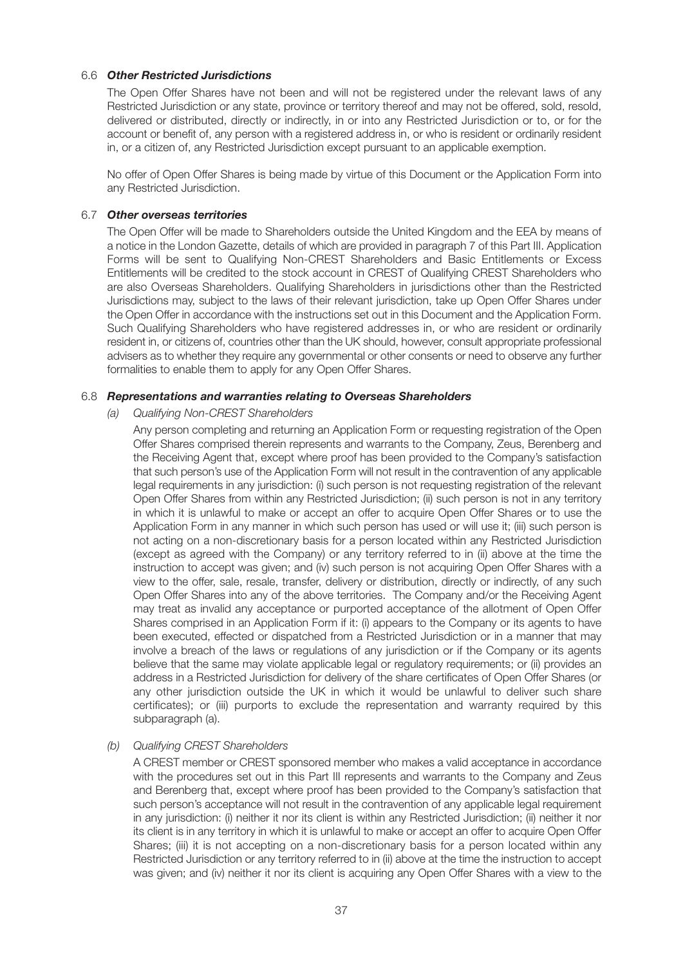#### 6.6 *Other Restricted Jurisdictions*

The Open Offer Shares have not been and will not be registered under the relevant laws of any Restricted Jurisdiction or any state, province or territory thereof and may not be offered, sold, resold, delivered or distributed, directly or indirectly, in or into any Restricted Jurisdiction or to, or for the account or benefit of, any person with a registered address in, or who is resident or ordinarily resident in, or a citizen of, any Restricted Jurisdiction except pursuant to an applicable exemption.

No offer of Open Offer Shares is being made by virtue of this Document or the Application Form into any Restricted Jurisdiction.

#### 6.7 *Other overseas territories*

The Open Offer will be made to Shareholders outside the United Kingdom and the EEA by means of a notice in the London Gazette, details of which are provided in paragraph 7 of this Part III. Application Forms will be sent to Qualifying Non-CREST Shareholders and Basic Entitlements or Excess Entitlements will be credited to the stock account in CREST of Qualifying CREST Shareholders who are also Overseas Shareholders. Qualifying Shareholders in jurisdictions other than the Restricted Jurisdictions may, subject to the laws of their relevant jurisdiction, take up Open Offer Shares under the Open Offer in accordance with the instructions set out in this Document and the Application Form. Such Qualifying Shareholders who have registered addresses in, or who are resident or ordinarily resident in, or citizens of, countries other than the UK should, however, consult appropriate professional advisers as to whether they require any governmental or other consents or need to observe any further formalities to enable them to apply for any Open Offer Shares.

#### 6.8 *Representations and warranties relating to Overseas Shareholders*

*(a) Qualifying Non-CREST Shareholders*

Any person completing and returning an Application Form or requesting registration of the Open Offer Shares comprised therein represents and warrants to the Company, Zeus, Berenberg and the Receiving Agent that, except where proof has been provided to the Company's satisfaction that such person's use of the Application Form will not result in the contravention of any applicable legal requirements in any jurisdiction: (i) such person is not requesting registration of the relevant Open Offer Shares from within any Restricted Jurisdiction; (ii) such person is not in any territory in which it is unlawful to make or accept an offer to acquire Open Offer Shares or to use the Application Form in any manner in which such person has used or will use it; (iii) such person is not acting on a non-discretionary basis for a person located within any Restricted Jurisdiction (except as agreed with the Company) or any territory referred to in (ii) above at the time the instruction to accept was given; and (iv) such person is not acquiring Open Offer Shares with a view to the offer, sale, resale, transfer, delivery or distribution, directly or indirectly, of any such Open Offer Shares into any of the above territories. The Company and/or the Receiving Agent may treat as invalid any acceptance or purported acceptance of the allotment of Open Offer Shares comprised in an Application Form if it: (i) appears to the Company or its agents to have been executed, effected or dispatched from a Restricted Jurisdiction or in a manner that may involve a breach of the laws or regulations of any jurisdiction or if the Company or its agents believe that the same may violate applicable legal or regulatory requirements; or (ii) provides an address in a Restricted Jurisdiction for delivery of the share certificates of Open Offer Shares (or any other jurisdiction outside the UK in which it would be unlawful to deliver such share certificates); or (iii) purports to exclude the representation and warranty required by this subparagraph (a).

#### *(b) Qualifying CREST Shareholders*

A CREST member or CREST sponsored member who makes a valid acceptance in accordance with the procedures set out in this Part III represents and warrants to the Company and Zeus and Berenberg that, except where proof has been provided to the Company's satisfaction that such person's acceptance will not result in the contravention of any applicable legal requirement in any jurisdiction: (i) neither it nor its client is within any Restricted Jurisdiction; (ii) neither it nor its client is in any territory in which it is unlawful to make or accept an offer to acquire Open Offer Shares; (iii) it is not accepting on a non-discretionary basis for a person located within any Restricted Jurisdiction or any territory referred to in (ii) above at the time the instruction to accept was given; and (iv) neither it nor its client is acquiring any Open Offer Shares with a view to the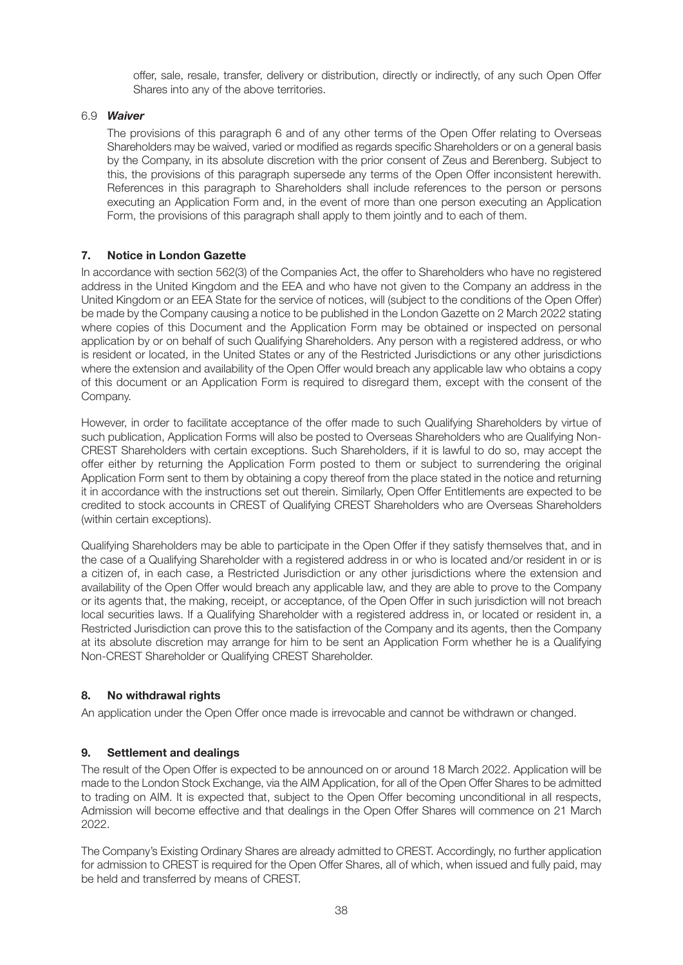offer, sale, resale, transfer, delivery or distribution, directly or indirectly, of any such Open Offer Shares into any of the above territories.

#### 6.9 *Waiver*

The provisions of this paragraph 6 and of any other terms of the Open Offer relating to Overseas Shareholders may be waived, varied or modified as regards specific Shareholders or on a general basis by the Company, in its absolute discretion with the prior consent of Zeus and Berenberg. Subject to this, the provisions of this paragraph supersede any terms of the Open Offer inconsistent herewith. References in this paragraph to Shareholders shall include references to the person or persons executing an Application Form and, in the event of more than one person executing an Application Form, the provisions of this paragraph shall apply to them jointly and to each of them.

#### **7. Notice in London Gazette**

In accordance with section 562(3) of the Companies Act, the offer to Shareholders who have no registered address in the United Kingdom and the EEA and who have not given to the Company an address in the United Kingdom or an EEA State for the service of notices, will (subject to the conditions of the Open Offer) be made by the Company causing a notice to be published in the London Gazette on 2 March 2022 stating where copies of this Document and the Application Form may be obtained or inspected on personal application by or on behalf of such Qualifying Shareholders. Any person with a registered address, or who is resident or located, in the United States or any of the Restricted Jurisdictions or any other jurisdictions where the extension and availability of the Open Offer would breach any applicable law who obtains a copy of this document or an Application Form is required to disregard them, except with the consent of the Company.

However, in order to facilitate acceptance of the offer made to such Qualifying Shareholders by virtue of such publication, Application Forms will also be posted to Overseas Shareholders who are Qualifying Non-CREST Shareholders with certain exceptions. Such Shareholders, if it is lawful to do so, may accept the offer either by returning the Application Form posted to them or subject to surrendering the original Application Form sent to them by obtaining a copy thereof from the place stated in the notice and returning it in accordance with the instructions set out therein. Similarly, Open Offer Entitlements are expected to be credited to stock accounts in CREST of Qualifying CREST Shareholders who are Overseas Shareholders (within certain exceptions).

Qualifying Shareholders may be able to participate in the Open Offer if they satisfy themselves that, and in the case of a Qualifying Shareholder with a registered address in or who is located and/or resident in or is a citizen of, in each case, a Restricted Jurisdiction or any other jurisdictions where the extension and availability of the Open Offer would breach any applicable law, and they are able to prove to the Company or its agents that, the making, receipt, or acceptance, of the Open Offer in such jurisdiction will not breach local securities laws. If a Qualifying Shareholder with a registered address in, or located or resident in, a Restricted Jurisdiction can prove this to the satisfaction of the Company and its agents, then the Company at its absolute discretion may arrange for him to be sent an Application Form whether he is a Qualifying Non-CREST Shareholder or Qualifying CREST Shareholder.

# **8. No withdrawal rights**

An application under the Open Offer once made is irrevocable and cannot be withdrawn or changed.

#### **9. Settlement and dealings**

The result of the Open Offer is expected to be announced on or around 18 March 2022. Application will be made to the London Stock Exchange, via the AIM Application, for all of the Open Offer Shares to be admitted to trading on AIM. It is expected that, subject to the Open Offer becoming unconditional in all respects, Admission will become effective and that dealings in the Open Offer Shares will commence on 21 March 2022.

The Company's Existing Ordinary Shares are already admitted to CREST. Accordingly, no further application for admission to CREST is required for the Open Offer Shares, all of which, when issued and fully paid, may be held and transferred by means of CREST.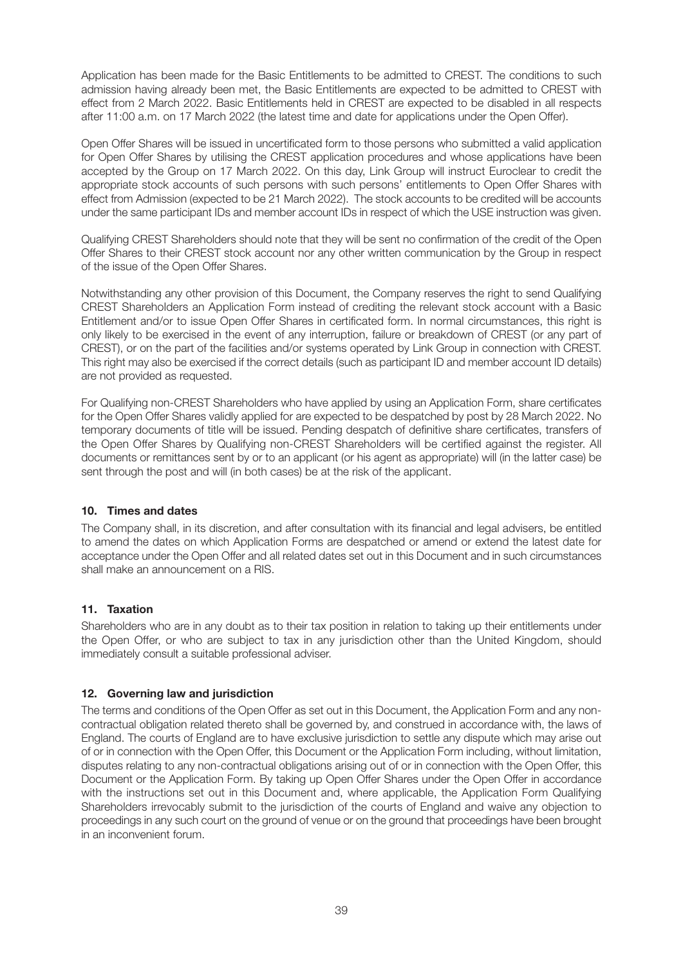Application has been made for the Basic Entitlements to be admitted to CREST. The conditions to such admission having already been met, the Basic Entitlements are expected to be admitted to CREST with effect from 2 March 2022. Basic Entitlements held in CREST are expected to be disabled in all respects after 11:00 a.m. on 17 March 2022 (the latest time and date for applications under the Open Offer).

Open Offer Shares will be issued in uncertificated form to those persons who submitted a valid application for Open Offer Shares by utilising the CREST application procedures and whose applications have been accepted by the Group on 17 March 2022. On this day, Link Group will instruct Euroclear to credit the appropriate stock accounts of such persons with such persons' entitlements to Open Offer Shares with effect from Admission (expected to be 21 March 2022). The stock accounts to be credited will be accounts under the same participant IDs and member account IDs in respect of which the USE instruction was given.

Qualifying CREST Shareholders should note that they will be sent no confirmation of the credit of the Open Offer Shares to their CREST stock account nor any other written communication by the Group in respect of the issue of the Open Offer Shares.

Notwithstanding any other provision of this Document, the Company reserves the right to send Qualifying CREST Shareholders an Application Form instead of crediting the relevant stock account with a Basic Entitlement and/or to issue Open Offer Shares in certificated form. In normal circumstances, this right is only likely to be exercised in the event of any interruption, failure or breakdown of CREST (or any part of CREST), or on the part of the facilities and/or systems operated by Link Group in connection with CREST. This right may also be exercised if the correct details (such as participant ID and member account ID details) are not provided as requested.

For Qualifying non-CREST Shareholders who have applied by using an Application Form, share certificates for the Open Offer Shares validly applied for are expected to be despatched by post by 28 March 2022. No temporary documents of title will be issued. Pending despatch of definitive share certificates, transfers of the Open Offer Shares by Qualifying non-CREST Shareholders will be certified against the register. All documents or remittances sent by or to an applicant (or his agent as appropriate) will (in the latter case) be sent through the post and will (in both cases) be at the risk of the applicant.

#### **10. Times and dates**

The Company shall, in its discretion, and after consultation with its financial and legal advisers, be entitled to amend the dates on which Application Forms are despatched or amend or extend the latest date for acceptance under the Open Offer and all related dates set out in this Document and in such circumstances shall make an announcement on a RIS.

# **11. Taxation**

Shareholders who are in any doubt as to their tax position in relation to taking up their entitlements under the Open Offer, or who are subject to tax in any jurisdiction other than the United Kingdom, should immediately consult a suitable professional adviser.

#### **12. Governing law and jurisdiction**

The terms and conditions of the Open Offer as set out in this Document, the Application Form and any noncontractual obligation related thereto shall be governed by, and construed in accordance with, the laws of England. The courts of England are to have exclusive jurisdiction to settle any dispute which may arise out of or in connection with the Open Offer, this Document or the Application Form including, without limitation, disputes relating to any non-contractual obligations arising out of or in connection with the Open Offer, this Document or the Application Form. By taking up Open Offer Shares under the Open Offer in accordance with the instructions set out in this Document and, where applicable, the Application Form Qualifying Shareholders irrevocably submit to the jurisdiction of the courts of England and waive any objection to proceedings in any such court on the ground of venue or on the ground that proceedings have been brought in an inconvenient forum.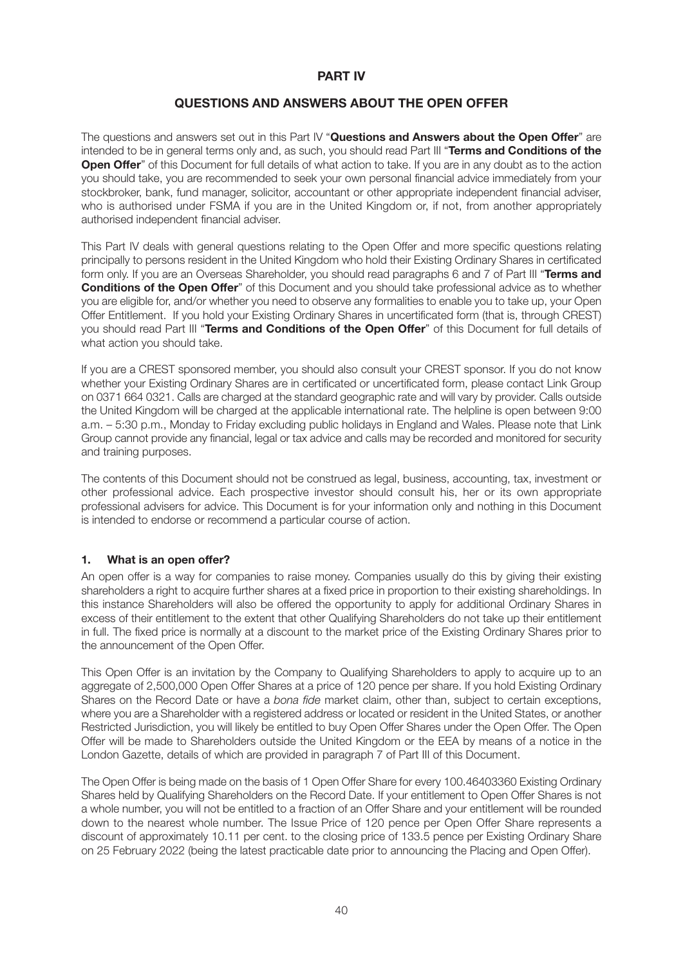## **PART IV**

# **QUESTIONS AND ANSWERS ABOUT THE OPEN OFFER**

The questions and answers set out in this Part IV "**Questions and Answers about the Open Offer**" are intended to be in general terms only and, as such, you should read Part III "**Terms and Conditions of the Open Offer**" of this Document for full details of what action to take. If you are in any doubt as to the action you should take, you are recommended to seek your own personal financial advice immediately from your stockbroker, bank, fund manager, solicitor, accountant or other appropriate independent financial adviser, who is authorised under FSMA if you are in the United Kingdom or, if not, from another appropriately authorised independent financial adviser.

This Part IV deals with general questions relating to the Open Offer and more specific questions relating principally to persons resident in the United Kingdom who hold their Existing Ordinary Shares in certificated form only. If you are an Overseas Shareholder, you should read paragraphs 6 and 7 of Part III "**Terms and Conditions of the Open Offer**" of this Document and you should take professional advice as to whether you are eligible for, and/or whether you need to observe any formalities to enable you to take up, your Open Offer Entitlement. If you hold your Existing Ordinary Shares in uncertificated form (that is, through CREST) you should read Part III "**Terms and Conditions of the Open Offer**" of this Document for full details of what action you should take.

If you are a CREST sponsored member, you should also consult your CREST sponsor. If you do not know whether your Existing Ordinary Shares are in certificated or uncertificated form, please contact Link Group on 0371 664 0321. Calls are charged at the standard geographic rate and will vary by provider. Calls outside the United Kingdom will be charged at the applicable international rate. The helpline is open between 9:00 a.m. – 5:30 p.m., Monday to Friday excluding public holidays in England and Wales. Please note that Link Group cannot provide any financial, legal or tax advice and calls may be recorded and monitored for security and training purposes.

The contents of this Document should not be construed as legal, business, accounting, tax, investment or other professional advice. Each prospective investor should consult his, her or its own appropriate professional advisers for advice. This Document is for your information only and nothing in this Document is intended to endorse or recommend a particular course of action.

# **1. What is an open offer?**

An open offer is a way for companies to raise money. Companies usually do this by giving their existing shareholders a right to acquire further shares at a fixed price in proportion to their existing shareholdings. In this instance Shareholders will also be offered the opportunity to apply for additional Ordinary Shares in excess of their entitlement to the extent that other Qualifying Shareholders do not take up their entitlement in full. The fixed price is normally at a discount to the market price of the Existing Ordinary Shares prior to the announcement of the Open Offer.

This Open Offer is an invitation by the Company to Qualifying Shareholders to apply to acquire up to an aggregate of 2,500,000 Open Offer Shares at a price of 120 pence per share. If you hold Existing Ordinary Shares on the Record Date or have a *bona fide* market claim, other than, subject to certain exceptions, where you are a Shareholder with a registered address or located or resident in the United States, or another Restricted Jurisdiction, you will likely be entitled to buy Open Offer Shares under the Open Offer. The Open Offer will be made to Shareholders outside the United Kingdom or the EEA by means of a notice in the London Gazette, details of which are provided in paragraph 7 of Part III of this Document.

The Open Offer is being made on the basis of 1 Open Offer Share for every 100.46403360 Existing Ordinary Shares held by Qualifying Shareholders on the Record Date. If your entitlement to Open Offer Shares is not a whole number, you will not be entitled to a fraction of an Offer Share and your entitlement will be rounded down to the nearest whole number. The Issue Price of 120 pence per Open Offer Share represents a discount of approximately 10.11 per cent. to the closing price of 133.5 pence per Existing Ordinary Share on 25 February 2022 (being the latest practicable date prior to announcing the Placing and Open Offer).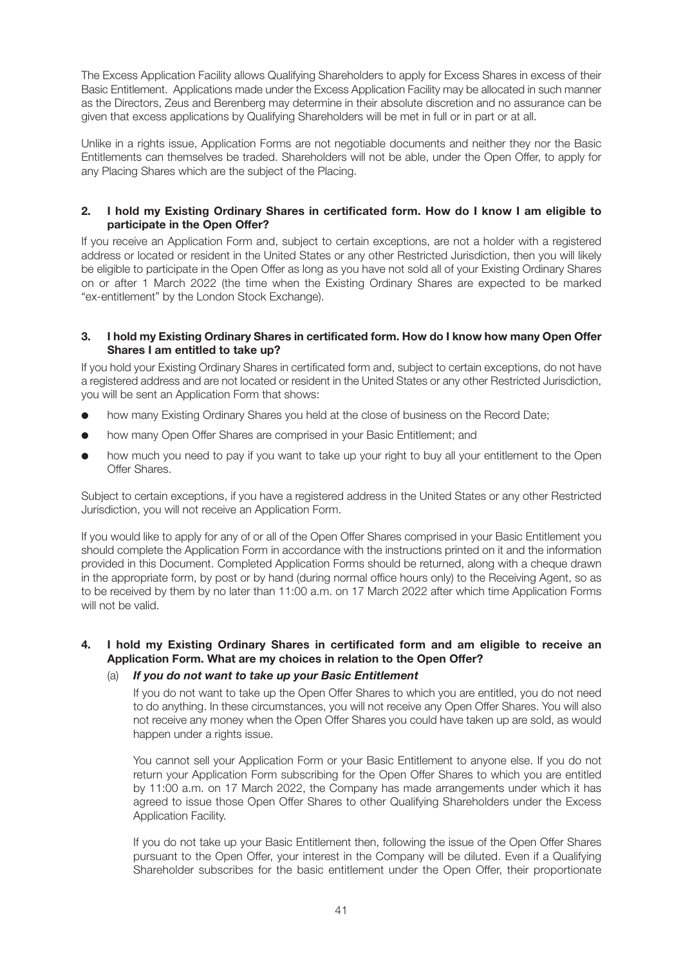The Excess Application Facility allows Qualifying Shareholders to apply for Excess Shares in excess of their Basic Entitlement. Applications made under the Excess Application Facility may be allocated in such manner as the Directors, Zeus and Berenberg may determine in their absolute discretion and no assurance can be given that excess applications by Qualifying Shareholders will be met in full or in part or at all.

Unlike in a rights issue, Application Forms are not negotiable documents and neither they nor the Basic Entitlements can themselves be traded. Shareholders will not be able, under the Open Offer, to apply for any Placing Shares which are the subject of the Placing.

## **2. I hold my Existing Ordinary Shares in certificated form. How do I know I am eligible to participate in the Open Offer?**

If you receive an Application Form and, subject to certain exceptions, are not a holder with a registered address or located or resident in the United States or any other Restricted Jurisdiction, then you will likely be eligible to participate in the Open Offer as long as you have not sold all of your Existing Ordinary Shares on or after 1 March 2022 (the time when the Existing Ordinary Shares are expected to be marked "ex-entitlement" by the London Stock Exchange).

#### **3. I hold my Existing Ordinary Shares in certificated form. How do I know how many Open Offer Shares I am entitled to take up?**

If you hold your Existing Ordinary Shares in certificated form and, subject to certain exceptions, do not have a registered address and are not located or resident in the United States or any other Restricted Jurisdiction, you will be sent an Application Form that shows:

- how many Existing Ordinary Shares you held at the close of business on the Record Date;
- how many Open Offer Shares are comprised in your Basic Entitlement; and
- how much you need to pay if you want to take up your right to buy all your entitlement to the Open Offer Shares.

Subject to certain exceptions, if you have a registered address in the United States or any other Restricted Jurisdiction, you will not receive an Application Form.

If you would like to apply for any of or all of the Open Offer Shares comprised in your Basic Entitlement you should complete the Application Form in accordance with the instructions printed on it and the information provided in this Document. Completed Application Forms should be returned, along with a cheque drawn in the appropriate form, by post or by hand (during normal office hours only) to the Receiving Agent, so as to be received by them by no later than 11:00 a.m. on 17 March 2022 after which time Application Forms will not be valid.

#### **4. I hold my Existing Ordinary Shares in certificated form and am eligible to receive an Application Form. What are my choices in relation to the Open Offer?**

#### (a) *If you do not want to take up your Basic Entitlement*

If you do not want to take up the Open Offer Shares to which you are entitled, you do not need to do anything. In these circumstances, you will not receive any Open Offer Shares. You will also not receive any money when the Open Offer Shares you could have taken up are sold, as would happen under a rights issue.

You cannot sell your Application Form or your Basic Entitlement to anyone else. If you do not return your Application Form subscribing for the Open Offer Shares to which you are entitled by 11:00 a.m. on 17 March 2022, the Company has made arrangements under which it has agreed to issue those Open Offer Shares to other Qualifying Shareholders under the Excess Application Facility.

If you do not take up your Basic Entitlement then, following the issue of the Open Offer Shares pursuant to the Open Offer, your interest in the Company will be diluted. Even if a Qualifying Shareholder subscribes for the basic entitlement under the Open Offer, their proportionate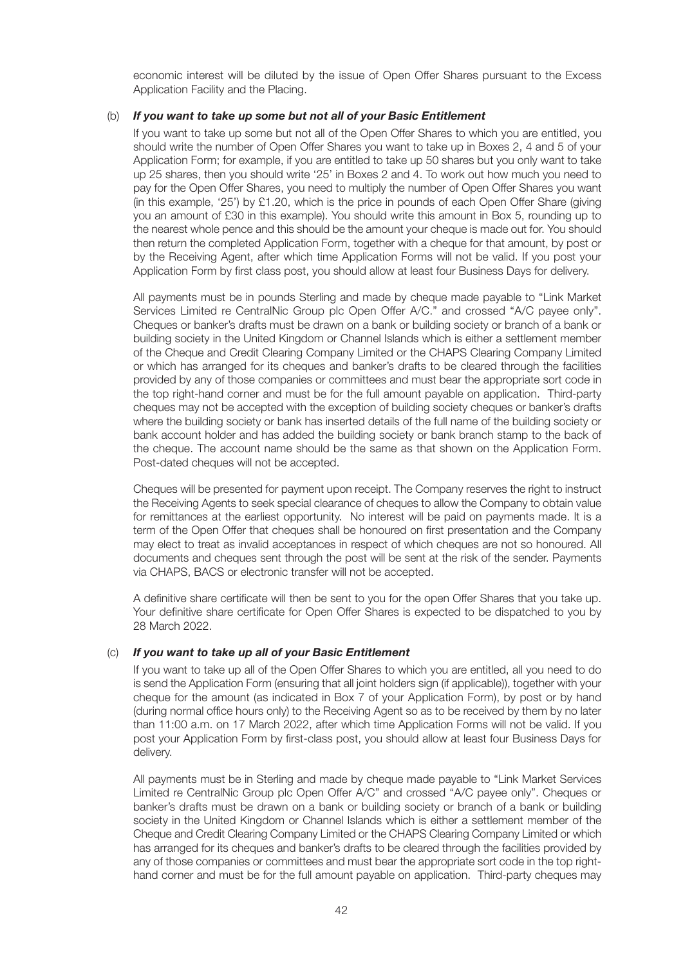economic interest will be diluted by the issue of Open Offer Shares pursuant to the Excess Application Facility and the Placing.

#### (b) *If you want to take up some but not all of your Basic Entitlement*

If you want to take up some but not all of the Open Offer Shares to which you are entitled, you should write the number of Open Offer Shares you want to take up in Boxes 2, 4 and 5 of your Application Form; for example, if you are entitled to take up 50 shares but you only want to take up 25 shares, then you should write '25' in Boxes 2 and 4. To work out how much you need to pay for the Open Offer Shares, you need to multiply the number of Open Offer Shares you want (in this example, '25') by £1.20, which is the price in pounds of each Open Offer Share (giving you an amount of £30 in this example). You should write this amount in Box 5, rounding up to the nearest whole pence and this should be the amount your cheque is made out for. You should then return the completed Application Form, together with a cheque for that amount, by post or by the Receiving Agent, after which time Application Forms will not be valid. If you post your Application Form by first class post, you should allow at least four Business Days for delivery.

All payments must be in pounds Sterling and made by cheque made payable to "Link Market Services Limited re CentralNic Group plc Open Offer A/C." and crossed "A/C payee only". Cheques or banker's drafts must be drawn on a bank or building society or branch of a bank or building society in the United Kingdom or Channel Islands which is either a settlement member of the Cheque and Credit Clearing Company Limited or the CHAPS Clearing Company Limited or which has arranged for its cheques and banker's drafts to be cleared through the facilities provided by any of those companies or committees and must bear the appropriate sort code in the top right-hand corner and must be for the full amount payable on application. Third-party cheques may not be accepted with the exception of building society cheques or banker's drafts where the building society or bank has inserted details of the full name of the building society or bank account holder and has added the building society or bank branch stamp to the back of the cheque. The account name should be the same as that shown on the Application Form. Post-dated cheques will not be accepted.

Cheques will be presented for payment upon receipt. The Company reserves the right to instruct the Receiving Agents to seek special clearance of cheques to allow the Company to obtain value for remittances at the earliest opportunity. No interest will be paid on payments made. It is a term of the Open Offer that cheques shall be honoured on first presentation and the Company may elect to treat as invalid acceptances in respect of which cheques are not so honoured. All documents and cheques sent through the post will be sent at the risk of the sender. Payments via CHAPS, BACS or electronic transfer will not be accepted.

A definitive share certificate will then be sent to you for the open Offer Shares that you take up. Your definitive share certificate for Open Offer Shares is expected to be dispatched to you by 28 March 2022.

#### (c) *If you want to take up all of your Basic Entitlement*

If you want to take up all of the Open Offer Shares to which you are entitled, all you need to do is send the Application Form (ensuring that all joint holders sign (if applicable)), together with your cheque for the amount (as indicated in Box 7 of your Application Form), by post or by hand (during normal office hours only) to the Receiving Agent so as to be received by them by no later than 11:00 a.m. on 17 March 2022, after which time Application Forms will not be valid. If you post your Application Form by first-class post, you should allow at least four Business Days for delivery.

All payments must be in Sterling and made by cheque made payable to "Link Market Services Limited re CentralNic Group plc Open Offer A/C" and crossed "A/C payee only". Cheques or banker's drafts must be drawn on a bank or building society or branch of a bank or building society in the United Kingdom or Channel Islands which is either a settlement member of the Cheque and Credit Clearing Company Limited or the CHAPS Clearing Company Limited or which has arranged for its cheques and banker's drafts to be cleared through the facilities provided by any of those companies or committees and must bear the appropriate sort code in the top righthand corner and must be for the full amount payable on application. Third-party cheques may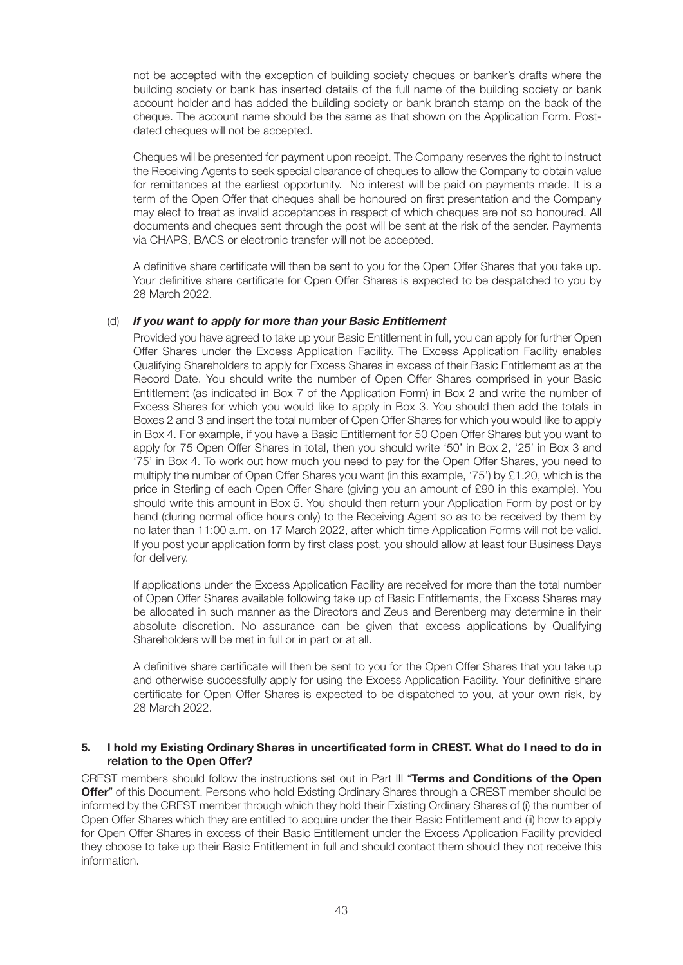not be accepted with the exception of building society cheques or banker's drafts where the building society or bank has inserted details of the full name of the building society or bank account holder and has added the building society or bank branch stamp on the back of the cheque. The account name should be the same as that shown on the Application Form. Postdated cheques will not be accepted.

Cheques will be presented for payment upon receipt. The Company reserves the right to instruct the Receiving Agents to seek special clearance of cheques to allow the Company to obtain value for remittances at the earliest opportunity. No interest will be paid on payments made. It is a term of the Open Offer that cheques shall be honoured on first presentation and the Company may elect to treat as invalid acceptances in respect of which cheques are not so honoured. All documents and cheques sent through the post will be sent at the risk of the sender. Payments via CHAPS, BACS or electronic transfer will not be accepted.

A definitive share certificate will then be sent to you for the Open Offer Shares that you take up. Your definitive share certificate for Open Offer Shares is expected to be despatched to you by 28 March 2022.

#### (d) *If you want to apply for more than your Basic Entitlement*

Provided you have agreed to take up your Basic Entitlement in full, you can apply for further Open Offer Shares under the Excess Application Facility. The Excess Application Facility enables Qualifying Shareholders to apply for Excess Shares in excess of their Basic Entitlement as at the Record Date. You should write the number of Open Offer Shares comprised in your Basic Entitlement (as indicated in Box 7 of the Application Form) in Box 2 and write the number of Excess Shares for which you would like to apply in Box 3. You should then add the totals in Boxes 2 and 3 and insert the total number of Open Offer Shares for which you would like to apply in Box 4. For example, if you have a Basic Entitlement for 50 Open Offer Shares but you want to apply for 75 Open Offer Shares in total, then you should write '50' in Box 2, '25' in Box 3 and '75' in Box 4. To work out how much you need to pay for the Open Offer Shares, you need to multiply the number of Open Offer Shares you want (in this example, '75') by £1.20, which is the price in Sterling of each Open Offer Share (giving you an amount of £90 in this example). You should write this amount in Box 5. You should then return your Application Form by post or by hand (during normal office hours only) to the Receiving Agent so as to be received by them by no later than 11:00 a.m. on 17 March 2022, after which time Application Forms will not be valid. If you post your application form by first class post, you should allow at least four Business Days for delivery.

If applications under the Excess Application Facility are received for more than the total number of Open Offer Shares available following take up of Basic Entitlements, the Excess Shares may be allocated in such manner as the Directors and Zeus and Berenberg may determine in their absolute discretion. No assurance can be given that excess applications by Qualifying Shareholders will be met in full or in part or at all.

A definitive share certificate will then be sent to you for the Open Offer Shares that you take up and otherwise successfully apply for using the Excess Application Facility. Your definitive share certificate for Open Offer Shares is expected to be dispatched to you, at your own risk, by 28 March 2022.

#### **5. I hold my Existing Ordinary Shares in uncertificated form in CREST. What do I need to do in relation to the Open Offer?**

CREST members should follow the instructions set out in Part III "**Terms and Conditions of the Open Offer**" of this Document. Persons who hold Existing Ordinary Shares through a CREST member should be informed by the CREST member through which they hold their Existing Ordinary Shares of (i) the number of Open Offer Shares which they are entitled to acquire under the their Basic Entitlement and (ii) how to apply for Open Offer Shares in excess of their Basic Entitlement under the Excess Application Facility provided they choose to take up their Basic Entitlement in full and should contact them should they not receive this information.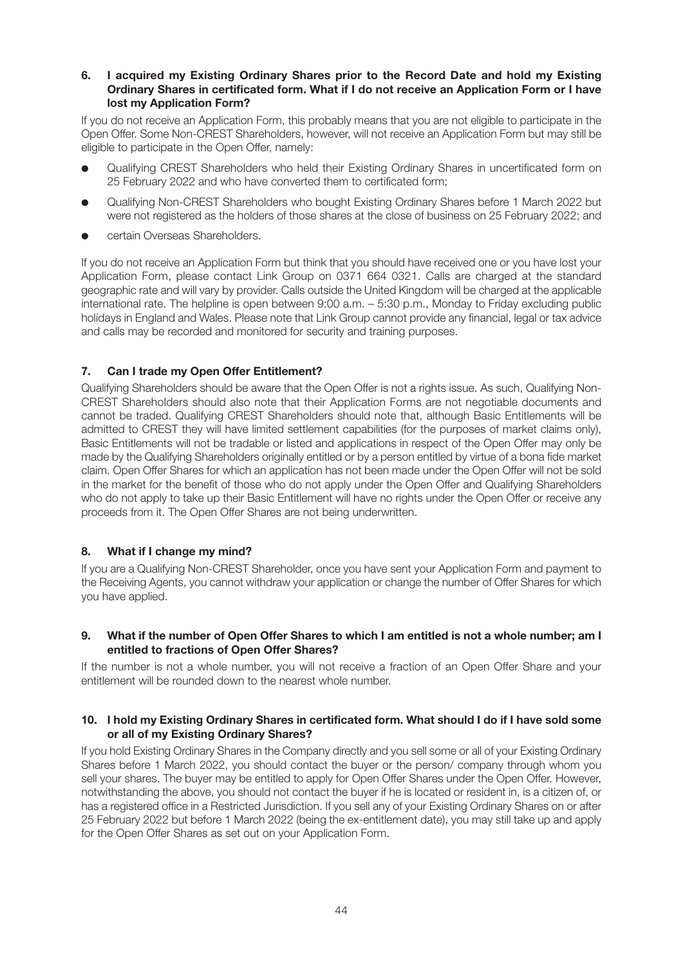#### **6. I acquired my Existing Ordinary Shares prior to the Record Date and hold my Existing Ordinary Shares in certificated form. What if I do not receive an Application Form or I have lost my Application Form?**

If you do not receive an Application Form, this probably means that you are not eligible to participate in the Open Offer. Some Non-CREST Shareholders, however, will not receive an Application Form but may still be eligible to participate in the Open Offer, namely:

- l Qualifying CREST Shareholders who held their Existing Ordinary Shares in uncertificated form on 25 February 2022 and who have converted them to certificated form;
- l Qualifying Non-CREST Shareholders who bought Existing Ordinary Shares before 1 March 2022 but were not registered as the holders of those shares at the close of business on 25 February 2022; and
- certain Overseas Shareholders.

If you do not receive an Application Form but think that you should have received one or you have lost your Application Form, please contact Link Group on 0371 664 0321. Calls are charged at the standard geographic rate and will vary by provider. Calls outside the United Kingdom will be charged at the applicable international rate. The helpline is open between 9:00 a.m. – 5:30 p.m., Monday to Friday excluding public holidays in England and Wales. Please note that Link Group cannot provide any financial, legal or tax advice and calls may be recorded and monitored for security and training purposes.

# **7. Can I trade my Open Offer Entitlement?**

Qualifying Shareholders should be aware that the Open Offer is not a rights issue. As such, Qualifying Non-CREST Shareholders should also note that their Application Forms are not negotiable documents and cannot be traded. Qualifying CREST Shareholders should note that, although Basic Entitlements will be admitted to CREST they will have limited settlement capabilities (for the purposes of market claims only), Basic Entitlements will not be tradable or listed and applications in respect of the Open Offer may only be made by the Qualifying Shareholders originally entitled or by a person entitled by virtue of a bona fide market claim. Open Offer Shares for which an application has not been made under the Open Offer will not be sold in the market for the benefit of those who do not apply under the Open Offer and Qualifying Shareholders who do not apply to take up their Basic Entitlement will have no rights under the Open Offer or receive any proceeds from it. The Open Offer Shares are not being underwritten.

#### **8. What if I change my mind?**

If you are a Qualifying Non-CREST Shareholder, once you have sent your Application Form and payment to the Receiving Agents, you cannot withdraw your application or change the number of Offer Shares for which you have applied.

#### **9. What if the number of Open Offer Shares to which I am entitled is not a whole number; am I entitled to fractions of Open Offer Shares?**

If the number is not a whole number, you will not receive a fraction of an Open Offer Share and your entitlement will be rounded down to the nearest whole number.

#### **10. I hold my Existing Ordinary Shares in certificated form. What should I do if I have sold some or all of my Existing Ordinary Shares?**

If you hold Existing Ordinary Shares in the Company directly and you sell some or all of your Existing Ordinary Shares before 1 March 2022, you should contact the buyer or the person/ company through whom you sell your shares. The buyer may be entitled to apply for Open Offer Shares under the Open Offer. However, notwithstanding the above, you should not contact the buyer if he is located or resident in, is a citizen of, or has a registered office in a Restricted Jurisdiction. If you sell any of your Existing Ordinary Shares on or after 25 February 2022 but before 1 March 2022 (being the ex-entitlement date), you may still take up and apply for the Open Offer Shares as set out on your Application Form.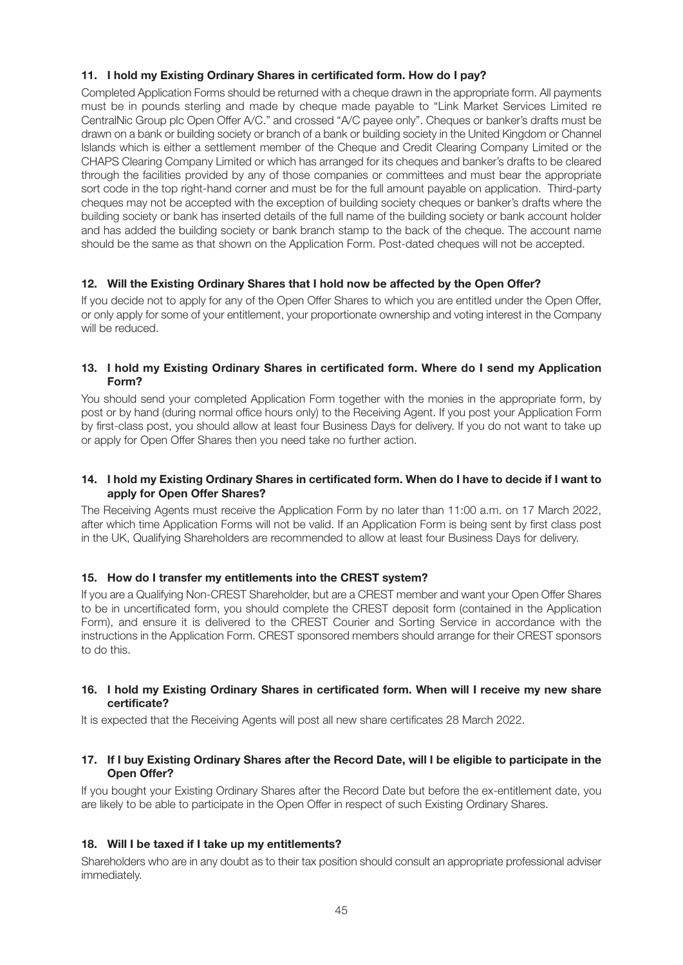# **11. I hold my Existing Ordinary Shares in certificated form. How do I pay?**

Completed Application Forms should be returned with a cheque drawn in the appropriate form. All payments must be in pounds sterling and made by cheque made payable to "Link Market Services Limited re CentralNic Group plc Open Offer A/C." and crossed "A/C payee only". Cheques or banker's drafts must be drawn on a bank or building society or branch of a bank or building society in the United Kingdom or Channel Islands which is either a settlement member of the Cheque and Credit Clearing Company Limited or the CHAPS Clearing Company Limited or which has arranged for its cheques and banker's drafts to be cleared through the facilities provided by any of those companies or committees and must bear the appropriate sort code in the top right-hand corner and must be for the full amount payable on application. Third-party cheques may not be accepted with the exception of building society cheques or banker's drafts where the building society or bank has inserted details of the full name of the building society or bank account holder and has added the building society or bank branch stamp to the back of the cheque. The account name should be the same as that shown on the Application Form. Post-dated cheques will not be accepted.

# **12. Will the Existing Ordinary Shares that I hold now be affected by the Open Offer?**

If you decide not to apply for any of the Open Offer Shares to which you are entitled under the Open Offer, or only apply for some of your entitlement, your proportionate ownership and voting interest in the Company will be reduced.

## **13. I hold my Existing Ordinary Shares in certificated form. Where do I send my Application Form?**

You should send your completed Application Form together with the monies in the appropriate form, by post or by hand (during normal office hours only) to the Receiving Agent. If you post your Application Form by first-class post, you should allow at least four Business Days for delivery. If you do not want to take up or apply for Open Offer Shares then you need take no further action.

#### **14. I hold my Existing Ordinary Shares in certificated form. When do I have to decide if I want to apply for Open Offer Shares?**

The Receiving Agents must receive the Application Form by no later than 11:00 a.m. on 17 March 2022, after which time Application Forms will not be valid. If an Application Form is being sent by first class post in the UK, Qualifying Shareholders are recommended to allow at least four Business Days for delivery.

#### **15. How do I transfer my entitlements into the CREST system?**

If you are a Qualifying Non-CREST Shareholder, but are a CREST member and want your Open Offer Shares to be in uncertificated form, you should complete the CREST deposit form (contained in the Application Form), and ensure it is delivered to the CREST Courier and Sorting Service in accordance with the instructions in the Application Form. CREST sponsored members should arrange for their CREST sponsors to do this.

#### **16. I hold my Existing Ordinary Shares in certificated form. When will I receive my new share certificate?**

It is expected that the Receiving Agents will post all new share certificates 28 March 2022.

#### **17. If I buy Existing Ordinary Shares after the Record Date, will I be eligible to participate in the Open Offer?**

If you bought your Existing Ordinary Shares after the Record Date but before the ex-entitlement date, you are likely to be able to participate in the Open Offer in respect of such Existing Ordinary Shares.

#### **18. Will I be taxed if I take up my entitlements?**

Shareholders who are in any doubt as to their tax position should consult an appropriate professional adviser immediately.